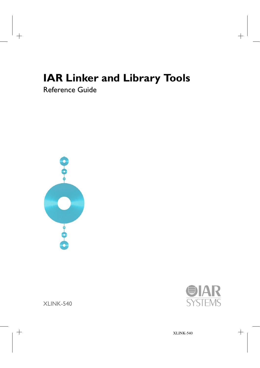# **IAR Linker and Library Tools**

Reference Guide





XLINK-540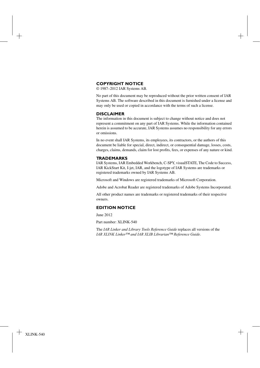## **COPYRIGHT NOTICE**

© 1987–2012 IAR Systems AB.

No part of this document may be reproduced without the prior written consent of IAR Systems AB. The software described in this document is furnished under a license and may only be used or copied in accordance with the terms of such a license.

#### **DISCLAIMER**

The information in this document is subject to change without notice and does not represent a commitment on any part of IAR Systems. While the information contained herein is assumed to be accurate, IAR Systems assumes no responsibility for any errors or omissions.

In no event shall IAR Systems, its employees, its contractors, or the authors of this document be liable for special, direct, indirect, or consequential damage, losses, costs, charges, claims, demands, claim for lost profits, fees, or expenses of any nature or kind.

## **TRADEMARKS**

IAR Systems, IAR Embedded Workbench, C-SPY, visualSTATE, The Code to Success, IAR KickStart Kit, I-jet, IAR, and the logotype of IAR Systems are trademarks or registered trademarks owned by IAR Systems AB.

Microsoft and Windows are registered trademarks of Microsoft Corporation.

Adobe and Acrobat Reader are registered trademarks of Adobe Systems Incorporated.

All other product names are trademarks or registered trademarks of their respective owners.

#### **EDITION NOTICE**

June 2012

Part number: XLINK-540

The *IAR Linker and Library Tools Reference Guide* replaces all versions of the *IAR XLINK Linker™ and IAR XLIB Librarian™ Reference Guide*.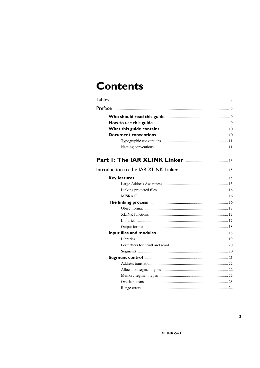# **Contents**

#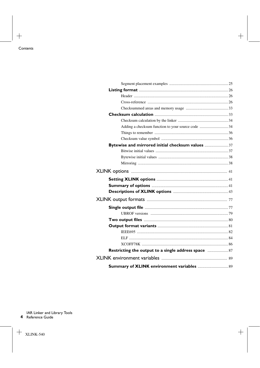| Adding a checksum function to your source code 34    |  |
|------------------------------------------------------|--|
|                                                      |  |
|                                                      |  |
| Bytewise and mirrored initial checksum values 37     |  |
|                                                      |  |
|                                                      |  |
|                                                      |  |
|                                                      |  |
|                                                      |  |
|                                                      |  |
|                                                      |  |
|                                                      |  |
|                                                      |  |
|                                                      |  |
|                                                      |  |
|                                                      |  |
|                                                      |  |
|                                                      |  |
|                                                      |  |
|                                                      |  |
| Restricting the output to a single address space  87 |  |
|                                                      |  |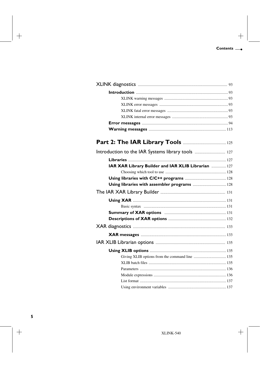| IAR XAR Library Builder and IAR XLIB Librarian  127 |  |
|-----------------------------------------------------|--|
|                                                     |  |
|                                                     |  |
| Using libraries with assembler programs  128        |  |
|                                                     |  |
|                                                     |  |
|                                                     |  |
|                                                     |  |
|                                                     |  |
|                                                     |  |
|                                                     |  |
|                                                     |  |
|                                                     |  |
|                                                     |  |
|                                                     |  |
|                                                     |  |
|                                                     |  |
|                                                     |  |
|                                                     |  |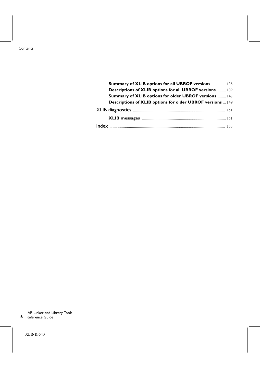| Summary of XLIB options for all UBROF versions  138        |  |
|------------------------------------------------------------|--|
| Descriptions of XLIB options for all UBROF versions  139   |  |
| Summary of XLIB options for older UBROF versions  148      |  |
| Descriptions of XLIB options for older UBROF versions  149 |  |
|                                                            |  |
|                                                            |  |
|                                                            |  |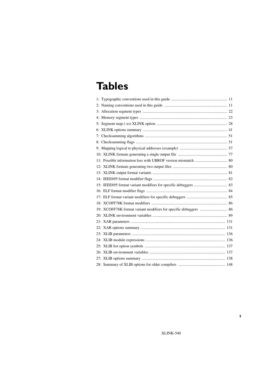# <span id="page-6-0"></span>**Tables**

| 19: XCOFF78K format variant modifiers for specific debuggers  86 |  |
|------------------------------------------------------------------|--|
|                                                                  |  |
|                                                                  |  |
|                                                                  |  |
|                                                                  |  |
|                                                                  |  |
|                                                                  |  |
|                                                                  |  |
|                                                                  |  |
|                                                                  |  |
|                                                                  |  |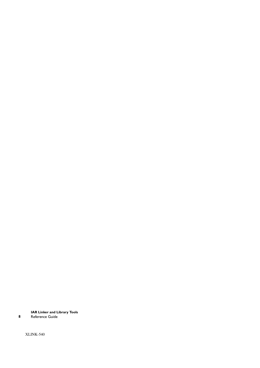**8**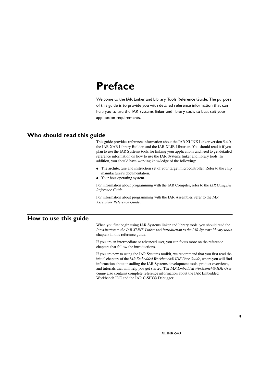# <span id="page-8-0"></span>**Preface**

Welcome to the IAR Linker and Library Tools Reference Guide. The purpose of this guide is to provide you with detailed reference information that can help you to use the IAR Systems linker and library tools to best suit your application requirements.

# <span id="page-8-1"></span>**Who should read this guide**

This guide provides reference information about the IAR XLINK Linker version 5.4.0, the IAR XAR Library Builder, and the IAR XLIB Librarian. You should read it if you plan to use the IAR Systems tools for linking your applications and need to get detailed reference information on how to use the IAR Systems linker and library tools. In addition, you should have working knowledge of the following:

- The architecture and instruction set of your target microcontroller. Refer to the chip manufacturer's documentation.
- Your host operating system.

For information about programming with the IAR Compiler, refer to the *IAR Compiler Reference Guide*.

For information about programming with the IAR Assembler, refer to the *IAR Assembler Reference Guide*.

# <span id="page-8-2"></span>**How to use this guide**

When you first begin using IAR Systems linker and library tools, you should read the *[Introduction to the IAR XLINK Linker](#page-14-3)* and *[Introduction to the IAR Systems library tools](#page-126-3)* chapters in this reference guide.

If you are an intermediate or advanced user, you can focus more on the reference chapters that follow the introductions.

If you are new to using the IAR Systems toolkit, we recommend that you first read the initial chapters of the *IAR Embedded Workbench® IDE User Guide*, where you will find information about installing the IAR Systems development tools, product overviews, and tutorials that will help you get started. The *IAR Embedded Workbench® IDE User Guide* also contains complete reference information about the IAR Embedded Workbench IDE and the IAR C-SPY® Debugger.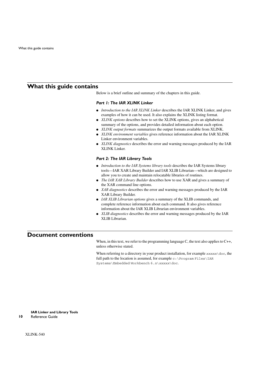# <span id="page-9-0"></span>**What this guide contains**

Below is a brief outline and summary of the chapters in this guide.

## *[Part 1: The IAR XLINK Linker](#page-12-1)*

- *[Introduction to the IAR XLINK Linker](#page-14-3)* describes the IAR XLINK Linker, and gives examples of how it can be used. It also explains the XLINK listing format.
- *[XLINK options](#page-40-4)* describes how to set the XLINK options, gives an alphabetical summary of the options, and provides detailed information about each option.
- *[XLINK output formats](#page-76-3)* summarizes the output formats available from XLINK.
- *[XLINK environment variables](#page-88-3)* gives reference information about the IAR XLINK Linker environment variables.
- *[XLINK diagnostics](#page-92-6)* describes the error and warning messages produced by the IAR XLINK Linker.

## *[Part 2: The IAR Library Tools](#page-124-1)*

- *[Introduction to the IAR Systems library tools](#page-126-3)* describes the IAR Systems library tools—IAR XAR Library Builder and IAR XLIB Librarian—which are designed to allow you to create and maintain relocatable libraries of routines.
- *[The IAR XAR Library Builder](#page-130-6)* describes how to use XAR and gives a summary of the XAR command line options.
- *[XAR diagnostics](#page-132-2)* describes the error and warning messages produced by the IAR XAR Library Builder.
- *[IAR XLIB Librarian options](#page-134-4)* gives a summary of the XLIB commands, and complete reference information about each command. It also gives reference information about the IAR XLIB Librarian environment variables.
- *[XLIB diagnostics](#page-150-2)* describes the error and warning messages produced by the IAR XLIB Librarian.

# <span id="page-9-1"></span>**Document conventions**

When, in this text, we refer to the programming language C, the text also applies to C++, unless otherwise stated.

When referring to a directory in your product installation, for example *xxxxx*\doc, the full path to the location is assumed, for example  $c:\Perogram \text{ Files} \text{IAR}$ Systems\Embedded Workbench 6.*n*\*xxxxx*\doc.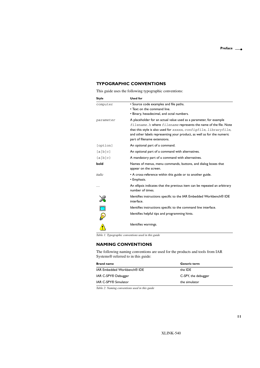## <span id="page-10-0"></span>**TYPOGRAPHIC CONVENTIONS**

This guide uses the following typographic conventions:

| <b>Style</b> | <b>Used for</b>                                                                                                                                                                                                                                                                                                      |
|--------------|----------------------------------------------------------------------------------------------------------------------------------------------------------------------------------------------------------------------------------------------------------------------------------------------------------------------|
| computer     | • Source code examples and file paths.<br>• Text on the command line.<br>• Binary, hexadecimal, and octal numbers.                                                                                                                                                                                                   |
| parameter    | A placeholder for an actual value used as a parameter, for example<br>filename. h where filename represents the name of the file. Note<br>that this style is also used for xxxxx, configfile, libraryfile,<br>and other labels representing your product, as well as for the numeric<br>part of filename extensions. |
| [option]     | An optional part of a command.                                                                                                                                                                                                                                                                                       |
| [a b c]      | An optional part of a command with alternatives.                                                                                                                                                                                                                                                                     |
| ${a b c}$    | A mandatory part of a command with alternatives.                                                                                                                                                                                                                                                                     |
| bold         | Names of menus, menu commands, buttons, and dialog boxes that<br>appear on the screen.                                                                                                                                                                                                                               |
| italic       | • A cross-reference within this guide or to another guide.<br>• Emphasis.                                                                                                                                                                                                                                            |
|              | An ellipsis indicates that the previous item can be repeated an arbitrary<br>number of times.                                                                                                                                                                                                                        |
|              | Identifies instructions specific to the IAR Embedded Workbench® IDE<br>interface.                                                                                                                                                                                                                                    |
|              | Identifies instructions specific to the command line interface.                                                                                                                                                                                                                                                      |
| <b>9</b>     | Identifies helpful tips and programming hints.                                                                                                                                                                                                                                                                       |
|              | Identifies warnings.                                                                                                                                                                                                                                                                                                 |

<span id="page-10-2"></span>*Table 1: Typographic conventions used in this guide*

# <span id="page-10-1"></span>**NAMING CONVENTIONS**

The following naming conventions are used for the products and tools from IAR Systems® referred to in this guide:

| <b>Brand name</b>               | <b>Generic term</b> |
|---------------------------------|---------------------|
| IAR Embedded Workbench® IDE     | the <b>IDE</b>      |
| IAR C-SPY <sup>®</sup> Debugger | C-SPY, the debugger |
| IAR C-SPY® Simulator            | the simulator       |

<span id="page-10-3"></span>*Table 2: Naming conventions used in this guide*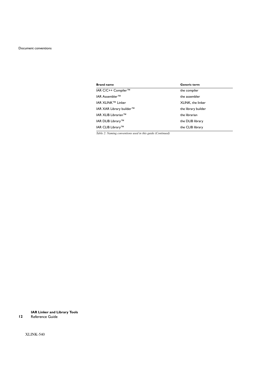| <b>Brand name</b>        | Generic term        |
|--------------------------|---------------------|
| IAR C/C++ Compiler™      | the compiler        |
| IAR Assembler™           | the assembler       |
| IAR XLINK™ Linker        | XLINK, the linker   |
| IAR XAR Library builder™ | the library builder |
| IAR XLIB Librarian™      | the librarian       |
| IAR DLIB Library™        | the DLIB library    |
| IAR CLIB Library™        | the CLIB library    |

*Table 2: Naming conventions used in this guide (Continued)*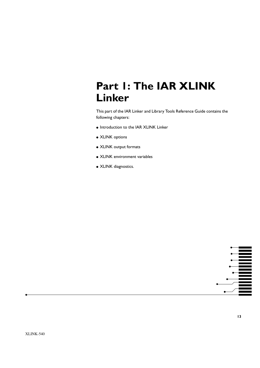# <span id="page-12-1"></span><span id="page-12-0"></span>**Part 1: The IAR XLINK Linker**

This part of the IAR Linker and Library Tools Reference Guide contains the following chapters:

- [Introduction to the IAR XLINK Linker](#page-14-3)
- [XLINK options](#page-40-4)
- [XLINK output formats](#page-76-3)
- [XLINK environment variables](#page-88-3)
- [XLINK diagnostics.](#page-92-6)

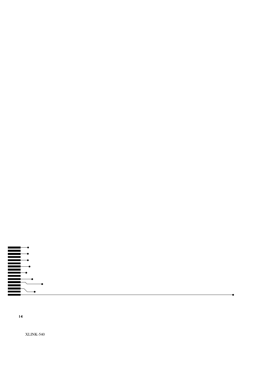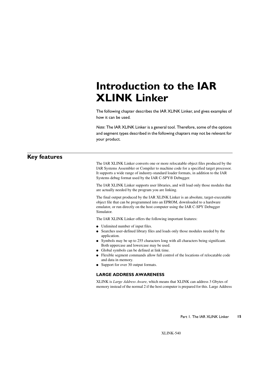# <span id="page-14-3"></span><span id="page-14-0"></span>**Introduction to the IAR XLINK Linker**

The following chapter describes the IAR XLINK Linker, and gives examples of how it can be used.

*Note*: The IAR XLINK Linker is a general tool. Therefore, some of the options and segment types described in the following chapters may not be relevant for your product.

# <span id="page-14-1"></span>**Key features**

The IAR XLINK Linker converts one or more relocatable object files produced by the IAR Systems Assembler or Compiler to machine code for a specified target processor. It supports a wide range of industry-standard loader formats, in addition to the IAR Systems debug format used by the IAR C-SPY® Debugger.

The IAR XLINK Linker supports user libraries, and will load only those modules that are actually needed by the program you are linking.

The final output produced by the IAR XLINK Linker is an absolute, target-executable object file that can be programmed into an EPROM, downloaded to a hardware emulator, or run directly on the host computer using the IAR C-SPY Debugger Simulator.

The IAR XLINK Linker offers the following important features:

- Unlimited number of input files.
- Searches user-defined library files and loads only those modules needed by the application.
- Symbols may be up to 255 characters long with all characters being significant. Both uppercase and lowercase may be used.
- Global symbols can be defined at link time.
- Flexible segment commands allow full control of the locations of relocatable code and data in memory.
- Support for over 30 output formats.

# <span id="page-14-2"></span>**LARGE ADDRESS AWARENESS**

XLINK is *Large Address Aware*, which means that XLINK can address 3 Gbytes of memory instead of the normal 2 if the host computer is prepared for this. Large Address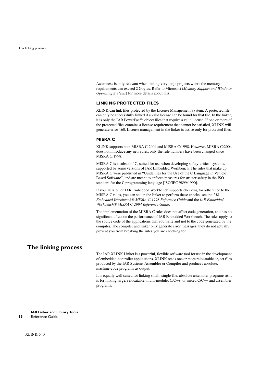Awareness is only relevant when linking very large projects where the memory requirements can exceed 2 Gbytes. Refer to Microsoft (*Memory Support and Windows Operating Systems*) for more details about this.

#### <span id="page-15-0"></span>**LINKING PROTECTED FILES**

XLINK can link files protected by the License Management System. A protected file can only be successfully linked if a valid license can be found for that file. In the linker, it is only the IAR PowerPac™ object files that require a valid license. If one or more of the protected files contains a license requirement that cannot be satisfied, XLINK will generate error 160. License management in the linker is active only for protected files.

#### <span id="page-15-1"></span>**MISRA C**

XLINK supports both MISRA C:2004 and MISRA C:1998. However, MISRA C:2004 does not introduce any new rules, only the rule numbers have been changed since MISRA C:1998.

MISRA C is a subset of C, suited for use when developing safety-critical systems, supported by some versions of IAR Embedded Workbench. The rules that make up MISRA C were published in "Guidelines for the Use of the C Language in Vehicle Based Software", and are meant to enforce measures for stricter safety in the ISO standard for the C programming language [ISO/IEC 9899:1990].

If your version of IAR Embedded Workbench supports checking for adherence to the MISRA C rules, you can set up the linker to perform these checks, see the *IAR Embedded Workbench® MISRA C:1998 Reference Guide* and the *IAR Embedded Workbench® MISRA C:2004 Reference Guide*.

The implementation of the MISRA C rules does not affect code generation, and has no significant effect on the performance of IAR Embedded Workbench. The rules apply to the source code of the applications that you write and not to the code generated by the compiler. The compiler and linker only generate error messages, they do not actually prevent you from breaking the rules you are checking for.

# <span id="page-15-2"></span>**The linking process**

The IAR XLINK Linker is a powerful, flexible software tool for use in the development of embedded-controller applications. XLINK reads one or more relocatable object files produced by the IAR Systems Assembler or Compiler and produces absolute, machine-code programs as output.

It is equally well suited for linking small, single-file, absolute assembler programs as it is for linking large, relocatable, multi-module, C/C++, or mixed C/C++ and assembler programs.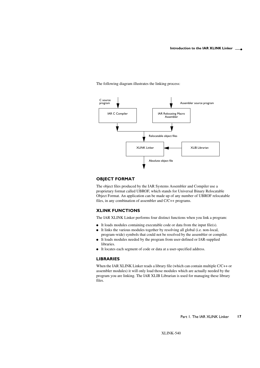

The following diagram illustrates the linking process:

#### <span id="page-16-0"></span>**OBJECT FORMAT**

The object files produced by the IAR Systems Assembler and Compiler use a proprietary format called UBROF, which stands for Universal Binary Relocatable Object Format. An application can be made up of any number of UBROF relocatable files, in any combination of assembler and C/C++ programs.

#### <span id="page-16-1"></span>**XLINK FUNCTIONS**

The IAR XLINK Linker performs four distinct functions when you link a program:

- $\bullet$  It loads modules containing executable code or data from the input file(s).
- It links the various modules together by resolving all global (i.e. non-local, program-wide) symbols that could not be resolved by the assembler or compiler.
- It loads modules needed by the program from user-defined or IAR-supplied libraries.
- It locates each segment of code or data at a user-specified address.

#### <span id="page-16-2"></span>**LIBRARIES**

When the IAR XLINK Linker reads a library file (which can contain multiple C/C++ or assembler modules) it will only load those modules which are actually needed by the program you are linking. The IAR XLIB Librarian is used for managing these library files.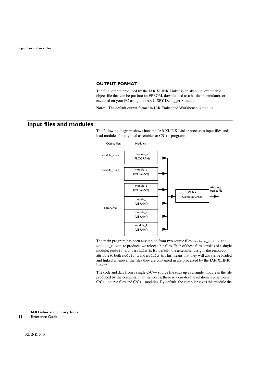#### <span id="page-17-0"></span>**OUTPUT FORMAT**

The final output produced by the IAR XLINK Linker is an absolute, executable object file that can be put into an EPROM, downloaded to a hardware emulator, or executed on your PC using the IAR C-SPY Debugger Simulator.

**Note:** The default output format in IAR Embedded Workbench is DEBUG.

# <span id="page-17-1"></span>**Input files and modules**

The following diagram shows how the IAR XLINK Linker processes input files and load modules for a typical assembler or C/C++ program:



The main program has been assembled from two source files, module\_ $a$ .snn and module\_b.snn, to produce two relocatable files. Each of these files consists of a single module, module\_a and module\_b. By default, the assembler assigns the PROGRAM attribute to both module\_a and module\_b. This means that they will always be loaded and linked whenever the files they are contained in are processed by the IAR XLINK Linker.

The code and data from a single C/C++ source file ends up as a single module in the file produced by the compiler. In other words, there is a one-to-one relationship between C/C++ source files and C/C++ modules. By default, the compiler gives this module the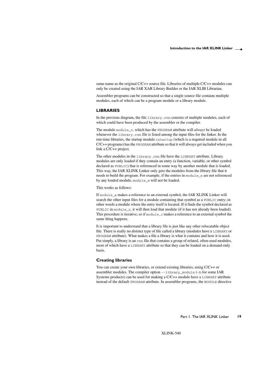same name as the original C/C++ source file. Libraries of multiple C/C++ modules can only be created using the IAR XAR Library Builder or the IAR XLIB Librarian.

Assembler programs can be constructed so that a single source file contains multiple modules, each of which can be a program module or a library module.

### <span id="page-18-0"></span>**LIBRARIES**

In the previous diagram, the file library.rnn consists of multiple modules, each of which could have been produced by the assembler or the compiler.

The module module\_c, which has the PROGRAM attribute will *always* be loaded whenever the library.rnn file is listed among the input files for the linker. In the run-time libraries, the startup module cstartup (which is a required module in all C/C++ programs) has the PROGRAM attribute so that it will always get included when you link a C/C++ project.

The other modules in the library.rnn file have the LIBRARY attribute. Library modules are only loaded if they contain an entry (a function, variable, or other symbol declared as PUBLIC) that is referenced in some way by another module that is loaded. This way, the IAR XLINK Linker only gets the modules from the library file that it needs to build the program. For example, if the entries in module  $e$  are not referenced by any loaded module, module\_e will not be loaded.

This works as follows:

If module\_a makes a reference to an external symbol, the IAR XLINK Linker will search the other input files for a module containing that symbol as a PUBLIC entry; in other words a module where the entry itself is located. If it finds the symbol declared as PUBLIC in module c, it will then load that module (if it has not already been loaded). This procedure is iterative, so if module\_c makes a reference to an external symbol the same thing happens.

It is important to understand that a library file is just like any other relocatable object file. There is really no distinct type of file called a library (modules have a LIBRARY or PROGRAM attribute). What makes a file a library is what it contains and how it is used. Put simply, a library is an rnn file that contains a group of related, often-used modules, most of which have a LIBRARY attribute so that they can be loaded on a demand-only basis.

#### **Creating libraries**

You can create your own libraries, or extend existing libraries, using C/C++ or assembler modules. The compiler option --library\_module (-b for some IAR Systems products) can be used for making a  $C/C++$  module have a LIBRARY attribute instead of the default PROGRAM attribute. In assembler programs, the MODULE directive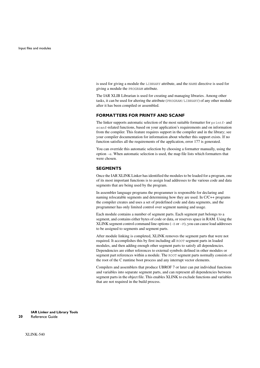is used for giving a module the LIBRARY attribute, and the NAME directive is used for giving a module the PROGRAM attribute.

The IAR XLIB Librarian is used for creating and managing libraries. Among other tasks, it can be used for altering the attribute (PROGRAM/LIBRARY) of any other module after it has been compiled or assembled.

#### <span id="page-19-0"></span>**FORMATTERS FOR PRINTF AND SCANF**

The linker supports automatic selection of the most suitable formatter for printf- and scanf-related functions, based on your application's requirements and on information from the compiler. This feature requires support in the compiler and in the library; see your compiler documentation for information about whether this support exists. If no function satisfies all the requirements of the application, error 177 is generated.

You can override this automatic selection by choosing a formatter manually, using the option -e. When automatic selection is used, the map file lists which formatters that were chosen.

## <span id="page-19-1"></span>**SEGMENTS**

Once the IAR XLINK Linker has identified the modules to be loaded for a program, one of its most important functions is to assign load addresses to the various code and data segments that are being used by the program.

In assembler language programs the programmer is responsible for declaring and naming relocatable segments and determining how they are used. In C/C++ programs the compiler creates and uses a set of predefined code and data segments, and the programmer has only limited control over segment naming and usage.

Each module contains a number of segment parts. Each segment part belongs to a segment, and contains either bytes of code or data, or reserves space in RAM. Using the XLINK segment control command line options  $(-z \text{ or } -P)$ , you can cause load addresses to be assigned to segments and segment parts.

After module linking is completed, XLINK removes the segment parts that were not required. It accomplishes this by first including all ROOT segment parts in loaded modules, and then adding enough other segment parts to satisfy all dependencies. Dependencies are either references to external symbols defined in other modules or segment part references within a module. The ROOT segment parts normally consists of the root of the C runtime boot process and any interrupt vector elements.

Compilers and assemblers that produce UBROF 7 or later can put individual functions and variables into separate segment parts, and can represent all dependencies between segment parts in the object file. This enables XLINK to exclude functions and variables that are not required in the build process.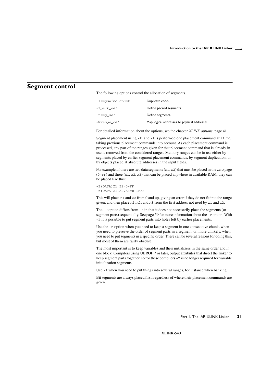# <span id="page-20-0"></span>**Segment control**

The following options control the allocation of segments.

| -Ksegs=inc, count | Duplicate code.                              |
|-------------------|----------------------------------------------|
| -Ppack def        | Define packed segments.                      |
| -Zseg def         | Define segments.                             |
| $-Mrange\_def$    | Map logical addresses to physical addresses. |

For detailed information about the options, see the chapter *[XLINK options](#page-40-4)*, page 41.

Segment placement using  $-z$  and  $-p$  is performed one placement command at a time, taking previous placement commands into account. As each placement command is processed, any part of the ranges given for that placement command that is already in use is removed from the considered ranges. Memory ranges can be in use either by segments placed by earlier segment placement commands, by segment duplication, or by objects placed at absolute addresses in the input fields.

For example, if there are two data segments  $(21, 22)$  that must be placed in the zero page  $(0 - FF)$  and three  $(A1, A2, A3)$  that can be placed anywhere in available RAM, they can be placed like this:

 $-Z(DATA)Z1,ZZ=0-FF$ -Z(DATA)A1,A2,A3=0-1FFF

This will place  $Z_1$  and  $Z_2$  from 0 and up, giving an error if they do not fit into the range given, and then place A1, A2, and A3 from the first address not used by Z1 and Z2.

The  $-P$  option differs from  $-Z$  in that it does not necessarily place the segments (or segment parts) sequentially. See [page 59](#page-58-0) for more information about the -P option. With -P it is possible to put segment parts into holes left by earlier placements.

Use the  $-z$  option when you need to keep a segment in one consecutive chunk, when you need to preserve the order of segment parts in a segment, or, more unlikely, when you need to put segments in a specific order. There can be several reasons for doing this, but most of them are fairly obscure.

The most important is to keep variables and their initializers in the same order and in one block. Compilers using UBROF 7 or later, output attributes that direct the linker to keep segment parts together, so for these compilers -Z is no longer required for variable initialization segments.

Use -P when you need to put things into several ranges, for instance when banking.

Bit segments are always placed first, regardless of where their placement commands are given.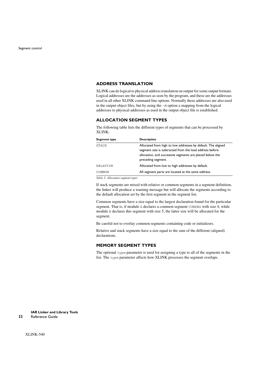#### <span id="page-21-0"></span>**ADDRESS TRANSLATION**

XLINK can do logical to physical address translation on output for some output formats. Logical addresses are the addresses as seen by the program, and these are the addresses used in all other XLINK command line options. Normally these addresses are also used in the output object files, but by using the -M option a mapping from the logical addresses to physical addresses as used in the output object file is established.

## <span id="page-21-1"></span>**ALLOCATION SEGMENT TYPES**

The following table lists the different types of segments that can be processed by XLINK:

| <b>Segment type</b> | <b>Description</b>                                                                                                                                                                                        |
|---------------------|-----------------------------------------------------------------------------------------------------------------------------------------------------------------------------------------------------------|
| STACK               | Allocated from high to low addresses by default. The aligned<br>segment size is subtracted from the load address before<br>allocation, and successive segments are placed below the<br>preceding segment. |
| RELATIVE            | Allocated from low to high addresses by default.                                                                                                                                                          |
| COMMON              | All segment parts are located at the same address.                                                                                                                                                        |
|                     |                                                                                                                                                                                                           |

<span id="page-21-3"></span>*Table 3: Allocation segment types*

If stack segments are mixed with relative or common segments in a segment definition, the linker will produce a warning message but will allocate the segments according to the default allocation set by the first segment in the segment list.

Common segments have a size equal to the largest declaration found for the particular segment. That is, if module A declares a common segment COMSEG with size 4, while module B declares this segment with size 5, the latter size will be allocated for the segment.

Be careful not to overlay common segments containing code or initializers.

Relative and stack segments have a size equal to the sum of the different (aligned) declarations.

## <span id="page-21-2"></span>**MEMORY SEGMENT TYPES**

The optional *type* parameter is used for assigning a type to all of the segments in the list. The *type* parameter affects how XLINK processes the segment overlaps.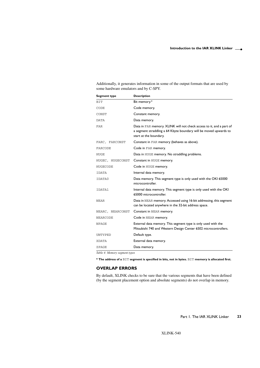÷

| <b>Description</b>                                                                                                                                                  |
|---------------------------------------------------------------------------------------------------------------------------------------------------------------------|
| Bit memory.*                                                                                                                                                        |
| Code memory.                                                                                                                                                        |
| Constant memory.                                                                                                                                                    |
| Data memory.                                                                                                                                                        |
| Data in FAR memory. XLINK will not check access to it, and a part of<br>a segment straddling a 64 Kbyte boundary will be moved upwards to<br>start at the boundary. |
| Constant in FAR memory (behaves as above).                                                                                                                          |
| Code in FAR memory.                                                                                                                                                 |
| Data in HUGE memory. No straddling problems.                                                                                                                        |
| Constant in HUGE memory.                                                                                                                                            |
| Code in HUGE memory.                                                                                                                                                |
| Internal data memory.                                                                                                                                               |
| Data memory. This segment type is only used with the OKI 65000<br>microcontroller.                                                                                  |
| Internal data memory. This segment type is only used with the OKI<br>65000 microcontroller.                                                                         |
| Data in NEAR memory. Accessed using 16-bit addressing, this segment<br>can be located anywhere in the 32-bit address space.                                         |
| Constant in NEAR memory.                                                                                                                                            |
| Code in NEAR memory.                                                                                                                                                |
| External data memory. This segment type is only used with the<br>Mitsubishi 740 and Western Design Center 6502 microcontrollers.                                    |
| Default type.                                                                                                                                                       |
| External data memory.                                                                                                                                               |
| Data memory.                                                                                                                                                        |
|                                                                                                                                                                     |

Additionally, it generates information in some of the output formats that are used by some hardware emulators and by C-SPY.

<span id="page-22-1"></span>*Table 4: Memory segment types*

**\* The address of a** BIT **segment is specified in bits, not in bytes.** BIT **memory is allocated first.**

#### <span id="page-22-0"></span>**OVERLAP ERRORS**

By default, XLINK checks to be sure that the various segments that have been defined (by the segment placement option and absolute segments) do not overlap in memory.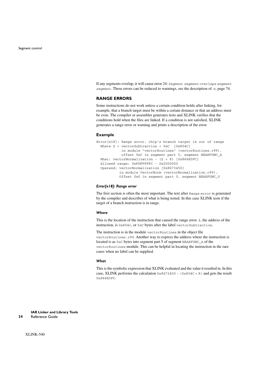If any segments overlap, it will cause error 24: Segment *segment* overlaps segment *segment*. These errors can be reduced to warnings, see the description of *-z*[, page 74](#page-73-0).

## <span id="page-23-0"></span>**RANGE ERRORS**

Some instructions do not work unless a certain condition holds after linking, for example, that a branch target must be within a certain distance or that an address must be even. The compiler or assembler generates tests and XLINK verifies that the conditions hold when the files are linked. If a condition is not satisfied, XLINK generates a range error or warning and prints a description of the error.

#### **Example**

```
Error[e18]: Range error, chip's branch target is out of range
  Where \frac{1}{5} = vectorSubtraction + 0xC [0x804C]
             in module "vectorRoutines" (vectorRoutines.r99),
             offset 0xC in segment part 5, segment NEARFUNC_A
 What: vectorNormalization - (S + 8) [0x866B3FC] Allowed range: 0xFDFFFFFC - 0x2000000
  Operand: vectorNormalization [0x8673450]
            in module VectorNorm (vectorNormalization.r99),
            Offset 0x0 in segment part 0, segment NEARFUNC_V
```
#### *Error[e18]: Range error*

The first section is often the most important. The text after Range error is generated by the compiler and describes of what is being tested. In this case XLINK tests if the target of a branch instruction is in range.

#### *Where*

This is the location of the instruction that caused the range error. \$, the address of the instruction, is 0x804c, or 0xC bytes after the label vectorSubtraction.

The instruction is in the module vectorRoutines in the object file vectorRoutines.r99. Another way to express the address where the instruction is located is as  $0 \times C$  bytes into segment part 5 of segment NEARFUNC A of the vectorRoutines module. This can be helpful in locating the instruction in the rare cases when no label can be supplied.

#### *What*

This is the symbolic expression that XLINK evaluated and the value it resulted in. In this case, XLINK performs the calculation  $0 \times 8673450 - (0 \times 804C + 8)$  and gets the result 0x866B3FC.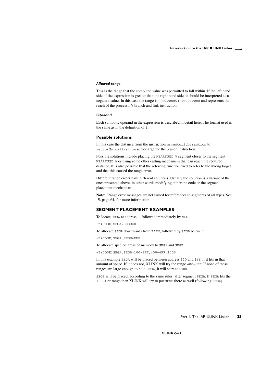#### *Allowed range*

This is the range that the computed value was permitted to fall within. If the left hand side of the expression is greater than the right hand side, it should be interpreted as a negative value. In this case the range is -0x2000004–0x2000000 and represents the reach of the processor's branch and link instruction.

#### *Operand*

Each symbolic operand in the expression is described in detail here. The format used is the same as in the definition of \$.

#### **Possible solutions**

In this case the distance from the instruction in vectorSubtraction to vectorNormalization is too large for the branch instruction.

Possible solutions include placing the NEARFUNC\_V segment closer to the segment NEARFUNC\_A or using some other calling mechanism that can reach the required distance. It is also possible that the referring function tried to refer to the wrong target and that this caused the range error.

Different range errors have different solutions. Usually the solution is a variant of the ones presented above, in other words modifying either the code or the segment placement mechanism.

**Note:** Range error messages are not issued for references to segments of all types. See *-R*[, page 64,](#page-63-0) for more information.

#### <span id="page-24-0"></span>**SEGMENT PLACEMENT EXAMPLES**

To locate SEGA at address 0, followed immediately by SEGB:

-Z(CODE)SEGA, SEGB=0

To allocate SEGA downwards from FFFH, followed by SEGB below it:

-Z(CODE) SEGA, SEGB#FFF

To allocate specific areas of memory to SEGA and SEGB:

-Z(CODE)SEGA,SEGB=100-1FF,400-6FF,1000

In this example SEGA will be placed between address 100 and 1FF, if it fits in that amount of space. If it does not, XLINK will try the range 400–6FF. If none of these ranges are large enough to hold SEGA, it will start at 1000.

SEGB will be placed, according to the same rules, after segment SEGA. If SEGA fits the 100–1FF range then XLINK will try to put SEGB there as well (following SEGA).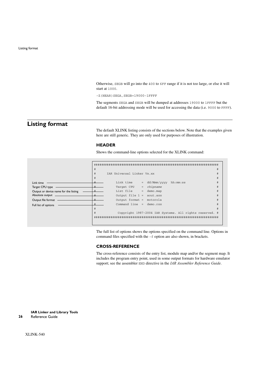Otherwise, SEGB will go into the 400 to 6FF range if it is not too large, or else it will start at 1000.

-Z(NEAR) SEGA, SEGB=19000-1FFFF

The segments SEGA and SEGB will be dumped at addresses 19000 to 1FFFF but the default 16-bit addressing mode will be used for accessing the data (i.e. 9000 to FFFF).

# <span id="page-25-0"></span>**Listing format**

The default XLINK listing consists of the sections below. Note that the examples given here are still generic. They are only used for purposes of illustration.

#### <span id="page-25-1"></span>**HEADER**

Shows the command-line options selected for the XLINK command:

|                                       | #                                                       | # |  |  |  |
|---------------------------------------|---------------------------------------------------------|---|--|--|--|
|                                       | TAR Universal Linker Vx.xx                              |   |  |  |  |
|                                       |                                                         |   |  |  |  |
| Link time                             | Link time<br>dd/Mmm/yyyy<br>hh:mm:ss<br>$=$             |   |  |  |  |
| Target CPU type                       | chipname<br>Target CPU<br>$\quad =$                     |   |  |  |  |
| Output or device name for the listing | List file<br>demo.map<br>$=$                            |   |  |  |  |
|                                       | Output file $1 =$<br>aout.ann                           |   |  |  |  |
| Output file format                    | Output format =<br>motorola                             |   |  |  |  |
| Full list of options                  | $Command line =$<br>demo.rnn                            |   |  |  |  |
|                                       |                                                         |   |  |  |  |
|                                       | Copyright 1987-2004 IAR Systems. All rights reserved. # |   |  |  |  |
|                                       |                                                         |   |  |  |  |
|                                       |                                                         |   |  |  |  |

The full list of options shows the options specified on the command line. Options in command files specified with the -f option are also shown, in brackets.

## <span id="page-25-2"></span>**CROSS-REFERENCE**

The cross-reference consists of the entry list, module map and/or the segment map. It includes the program entry point, used in some output formats for hardware emulator support; see the assembler END directive in the *IAR Assembler Reference Guide*.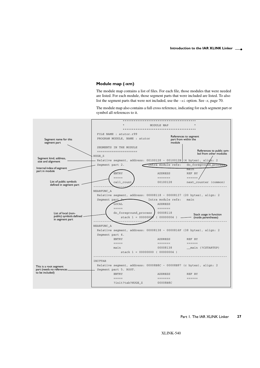#### **Module map (-xm)**

The module map contains a list of files. For each file, those modules that were needed are listed. For each module, those segment parts that were included are listed. To also list the segment parts that were not included, use the -xi option. See *-x*[, page 70.](#page-69-0)

The module map also contains a full cross reference, indicating for each segment part or symbol all references to it.

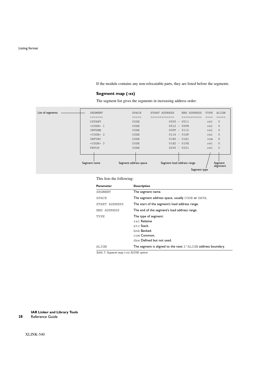If the module contains any non-relocatable parts, they are listed before the segments.

## **Segment map (-xs)**

The segment list gives the segments in increasing address order:



This lists the following:

| <b>Parameter</b> | <b>Description</b>                                                                                                            |
|------------------|-------------------------------------------------------------------------------------------------------------------------------|
| SEGMENT          | The segment name.                                                                                                             |
| <b>SPACE</b>     | The segment address space, usually CODE or DATA.                                                                              |
| START ADDRESS    | The start of the segment's load address range.                                                                                |
| ADDRESS<br>END   | The end of the segment's load address range.                                                                                  |
| TYPE.            | The type of segment:<br>$r \in \mathbb{R}$ Relative<br>stic Stack.<br>bnk Banked.<br>com Common.<br>dse Defined but not used. |
|                  |                                                                                                                               |
| AL TGN           | The segment is aligned to the next $2^{\wedge}$ ALIGN address boundary.                                                       |

<span id="page-27-0"></span>*Table 5: Segment map (-xs) XLINK option*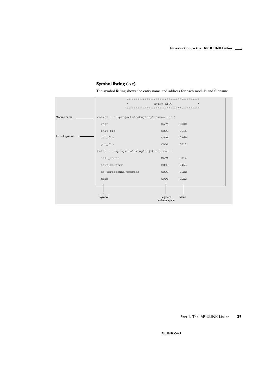# **Symbol listing (-xe)**

The symbol listing shows the entry name and address for each module and filename.

|                 | $\star$                                     | ENTRY LIST               | $\star$ |  |  |  |
|-----------------|---------------------------------------------|--------------------------|---------|--|--|--|
|                 |                                             |                          |         |  |  |  |
| Module name     | common ( c:\projects\debug\obj\common.rnn ) |                          |         |  |  |  |
|                 | root                                        | <b>DATA</b>              | 0000    |  |  |  |
|                 | init_fib                                    | CODE                     | 0116    |  |  |  |
| List of symbols | get_fib                                     | CODE                     | 0360    |  |  |  |
|                 | put_fib                                     | CODE                     | 0012    |  |  |  |
|                 | tutor ( c:\projects\debug\obj\tutor.rnn )   |                          |         |  |  |  |
|                 | call_count                                  | <b>DATA</b>              | 0014    |  |  |  |
|                 | next_counter                                | CODE                     | 0463    |  |  |  |
|                 | do_foreground_process                       | CODE                     | 01BB    |  |  |  |
|                 | main                                        | CODE                     | 01E2    |  |  |  |
|                 |                                             |                          |         |  |  |  |
|                 |                                             |                          |         |  |  |  |
|                 | Symbol                                      | Segment<br>address space | Value   |  |  |  |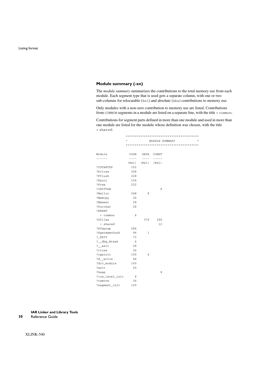## Module summary (-xn)

The module summary summarizes the contributions to the total memory use from each module. Each segment type that is used gets a separate column, with one or two sub-columns for relocatable (Re1) and absolute (Abs) contributions to memory use.

Only modules with a non-zero contribution to memory use are listed. Contributions from COMMON segments in a module are listed on a separate line, with the title  $+$  common.

Contributions for segment parts defined in more than one module and used in more than one module are listed for the module whose definition was chosen, with the title + shared:

|                 | $\star$<br>$\star$<br>MODULE SUMMARY |                         |             |  |
|-----------------|--------------------------------------|-------------------------|-------------|--|
|                 |                                      |                         |             |  |
|                 |                                      |                         |             |  |
| Module          | CODE                                 | DATA                    | CONST       |  |
| . <i>.</i> .    | $- - - -$                            | $- - - -$               | $- - - - -$ |  |
|                 |                                      | $(Rel)$ $(Rel)$ $(Rel)$ |             |  |
| ?CSTARTUP       | 152                                  |                         |             |  |
| ?Fclose         | 308                                  |                         |             |  |
| ?Fflush         | 228                                  |                         |             |  |
| ?Fputc          | 156                                  |                         |             |  |
| ?Free           | 252                                  |                         |             |  |
| ?INITTAB        |                                      |                         | 8           |  |
| ?Malloc         | 348                                  | 8                       |             |  |
| ?Memcpy         | 36                                   |                         |             |  |
| ?Memset         | 28                                   |                         |             |  |
| ?Putchar        | 28                                   |                         |             |  |
| ?RESET          |                                      |                         |             |  |
| + common        | 4                                    |                         |             |  |
| ?Xfiles         |                                      | 376                     | 296         |  |
| + shared        |                                      |                         | 12          |  |
| ?Xfwprep        | 284                                  |                         |             |  |
| ?Xgetmemchunk   | 96                                   | 1                       |             |  |
| ? EXIT          | 72                                   |                         |             |  |
| ?_dbg_Break     | $\overline{4}$                       |                         |             |  |
| ?_exit          | 28                                   |                         |             |  |
| ?close          | 36                                   |                         |             |  |
| ?cppinit        | 100                                  | 4                       |             |  |
| ?d_write        | 44                                   |                         |             |  |
| ?div_module     | 100                                  |                         |             |  |
| ?exit           | 20                                   |                         |             |  |
| ?heap           |                                      |                         | 8           |  |
| ?low_level_init | - 8                                  |                         |             |  |
| ?remove         | 36                                   |                         |             |  |
| ?segment_init   | 120                                  |                         |             |  |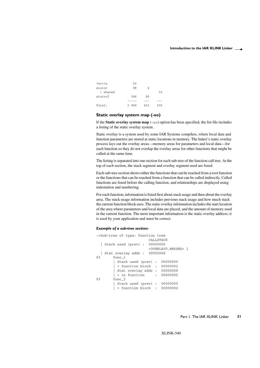| ?write   | 2.0  |     |     |
|----------|------|-----|-----|
| atutor   | 88   | 4   |     |
| + shared |      |     | 12  |
| atutor2  | 364  | 40  |     |
|          |      |     |     |
| Total:   | 2960 | 433 | 336 |
|          |      |     |     |

#### **Static overlay system map (-xo)**

If the **Static overlay system map**  $(-\infty)$  option has been specified, the list file includes a listing of the static overlay system.

Static overlay is a system used by some IAR Systems compilers, where local data and function parameters are stored at static locations in memory. The linker's static overlay process lays out the overlay areas—memory areas for parameters and local data—for each function so they do not overlap the overlay areas for other functions that might be called at the same time.

The listing is separated into one section for each sub-tree of the function call tree. At the top of each section, the stack segment and overlay segment used are listed.

Each sub-tree section shows either the functions that can be reached from a root function or the functions that can be reached from a function that can be called indirectly. Called functions are listed before the calling function, and relationships are displayed using indentation and numbering.

For each function, information is listed first about stack usage and then about the overlay area. The stack usage information includes previous stack usage and how much stack the current function block uses. The static overlay information includes the start location of the area where parameters and local data are placed, and the amount of memory used in the current function. The most important information is the static overlay address; it is used by your application and must be correct.

#### *Example of a sub-tree section:*

```
->Sub-tree of type: Function tree
                        CALLSTACK
   | Stack used (prev) : 00000000
                         <OVERLAY0,WRKSEG> 1
   | Stat overlay addr : 00000066
03 func_1
        | Stack used (prev) : 00000000
        | + function block : 00000002
        | Stat overlay addr : 00000066
        | + in function : 00000002
03 func_2
        | Stack used (prev) : 00000000
        | + function block : 00000002
```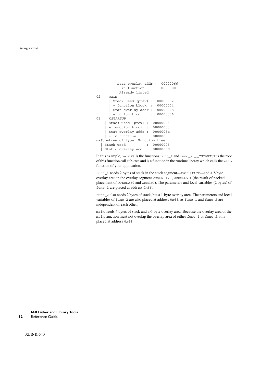```
 | Stat overlay addr : 00000066
        | + in function : 00000001
        | Already listed
02 main
     | Stack used (prev) : 00000002
      | + function block : 00000004
      | Stat overlay addr : 00000068
      | + in function : 00000006
01 CSTARTUP
     | Stack used (prev) : 00000006
   + function block : 00000000
    | Stat overlay addr : 0000006E
    | + in function : 00000000
<-Sub-tree of type: Function tree
   | Stack used : 00000006
   | Static overlay acc. : 0000006E
```
In this example, main calls the functions func\_1 and func\_2. \_\_CSTARTUP is the root of this function call sub-tree and is a function in the runtime library which calls the main function of your application.

func\_1 needs 2 bytes of stack in the stack segment—CALLSTACK—and a 2-byte overlay area in the overlay segment <OVERLAY0, WRKSEG> 1 (the result of packed placement of OVERLAY0 and WRKSEG). The parameters and local variables (2 bytes) of func\_1 are placed at address 0x66.

func\_2 also needs 2 bytes of stack, but a 1-byte overlay area. The parameters and local variables of func\_2 are also placed at address  $0x66$ , as func\_1 and func\_2 are independent of each other.

main needs 4 bytes of stack and a 6-byte overlay area. Because the overlay area of the main function must not overlap the overlay area of either func\_1 or func\_2, it is placed at address 0x68.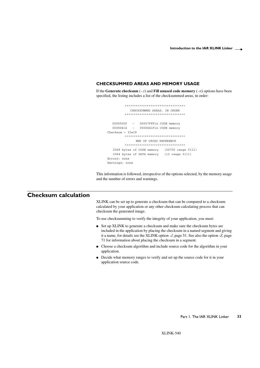## <span id="page-32-0"></span>**CHECKSUMMED AREAS AND MEMORY USAGE**

If the Generate checksum  $(-J)$  and Fill unused code memory  $(-H)$  options have been specified, the listing includes a list of the checksummed areas, in order:

```
CHECKSUMMED AREAS, IN ORDER
       **********************************
  00000000 = 00007FFFin CODE memory
  0000D414 - 0000D41Fin CODE memory
Checksum = 32e19END OF CROSS REFERENCE
       *********************************
  2068 bytes of CODE memory (30700 range fill)
  2064 bytes of DATA memory (12 range fill)
Errors: none
Warnings: none
```
This information is followed, irrespective of the options selected, by the memory usage and the number of errors and warnings.

# <span id="page-32-1"></span>**Checksum calculation**

XLINK can be set up to generate a checksum that can be compared to a checksum calculated by your application or any other checksum calculating process that can checksum the generated image.

To use checksumming to verify the integrity of your application, you must:

- Set up XLINK to generate a checksum and make sure the checksum bytes are included in the application by placing the checksum in a named segment and giving it a name, for details see the XLINK option -J, page 51. See also the option -Z, page 71 for information about placing the checksum in a segment.
- Choose a checksum algorithm and include source code for the algorithm in your application.
- Decide what memory ranges to verify and set up the source code for it in your application source code.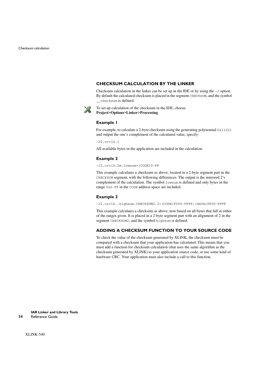## <span id="page-33-0"></span>**CHECKSUM CALCULATION BY THE LINKER**

Checksum calculation in the linker can be set up in the IDE or by using the  $-J$  option. By default the calculated checksum is placed in the segment CHECKSUM, and the symbol \_\_checksum is defined.



To set up calculation of the checksum in the IDE, choose **Project>Options>Linker>Processing**

#### **Example 1**

For example, to calculate a 2-byte checksum using the generating polynomial  $0 \times 11021$ and output the one's complement of the calculated value, specify:

```
-J2,crc16,1
```
All available bytes in the application are included in the calculation.

#### **Example 2**

-J2,crc16,2m,lowsum=(CODE)0-FF

This example calculates a checksum as above, located in a 2-byte segment part in the CHECKSUM segment, with the following differences: The output is the mirrored 2's complement of the calculation. The symbol lowsum is defined and only bytes in the range 0x0-FF in the CODE address space are included.

#### **Example 3**

-J2,crc16,,highsum,CHECKSUM2,2=(CODE)F000-FFFF;(DATA)FF00-FFFF

This example calculates a checksum as above, now based on all bytes that fall in either of the ranges given. It is placed in a 2-byte segment part with an alignment of 2 in the segment CHECKSUM2, and the symbol highsum is defined.

## <span id="page-33-1"></span>**ADDING A CHECKSUM FUNCTION TO YOUR SOURCE CODE**

To check the value of the checksum generated by XLINK, the checksum must be compared with a checksum that your application has calculated. This means that you must add a function for checksum calculation (that uses the same algorithm as the checksum generated by XLINK) to your application source code, or use some kind of hardware CRC. Your application must also include a call to this function.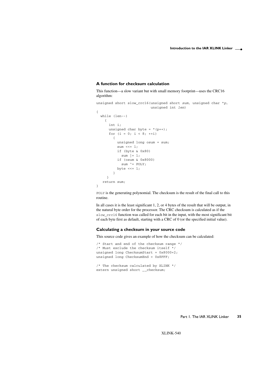## **A function for checksum calculation**

This function—a slow variant but with small memory footprint—uses the CRC16 algorithm:

```
unsigned short slow_crc16(unsigned short sum, unsigned char *p,
                             unsigned int len)
{
   while (len--)
    {
       int i;
      unsigned char byte = *(p++);
      for (i = 0; i < 8; ++i){
           unsigned long osum = sum;
          sum <<= 1;
           if (byte & 0x80)
             sum |= 1;
           if (osum & 0x8000)
            sum ^{\wedge} = POLY;
          byte <<= 1;
         }
      }
    return sum;
}
```
POLY is the generating polynomial. The checksum is the result of the final call to this routine.

In all cases it is the least significant 1, 2, or 4 bytes of the result that will be output, in the natural byte order for the processor. The CRC checksum is calculated as if the slow\_crc16 function was called for each bit in the input, with the most significant bit of each byte first as default, starting with a CRC of 0 (or the specified initial value).

#### **Calculating a checksum in your source code**

This source code gives an example of how the checksum can be calculated:

```
/* Start and end of the checksum range */
/* Must exclude the checksum itself */
unsigned long ChecksumStart = 0x8000+2;
unsigned long ChecksumEnd = 0x8FFF;
/* The checksum calculated by XLINK */
extern unsigned short __checksum;
```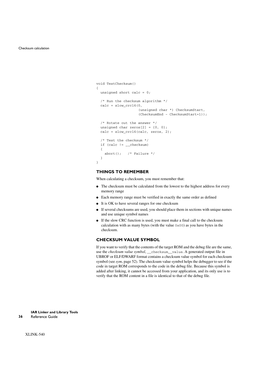```
void TestChecksum()
{
  unsigned short calc = 0;
  /* Run the checksum algorithm */
 calc = slow\_crc16(0, (unsigned char *) ChecksumStart,
                      (ChecksumEnd - ChecksumStart+1));
   /* Rotate out the answer */
 unsigned char zeros[2] = \{0, 0\};
 calc = slow\_crc16(calc, zeros, 2); /* Test the checksum */
  if (calc != __checksum)
   {
   abort(): /* Failure */
   }
}
```
## <span id="page-35-0"></span>**THINGS TO REMEMBER**

When calculating a checksum, you must remember that:

- The checksum must be calculated from the lowest to the highest address for every memory range
- Each memory range must be verified in exactly the same order as defined
- It is OK to have several ranges for one checksum
- If several checksums are used, you should place them in sections with unique names and use unique symbol names
- If the slow CRC function is used, you must make a final call to the checksum calculation with as many bytes (with the value  $0 \times 00$ ) as you have bytes in the checksum.

## <span id="page-35-1"></span>**CHECKSUM VALUE SYMBOL**

If you want to verify that the contents of the target ROM and the debug file are the same, use the *checksum value symbol*, \_\_checksum\_\_value. A generated output file in UBROF or ELF/DWARF format contains a checksum value symbol for each checksum symbol (see *sym*[, page 52](#page-51-0)). The checksum value symbol helps the debugger to see if the code in target ROM corresponds to the code in the debug file. Because this symbol is added after linking, it cannot be accessed from your application, and its only use is to verify that the ROM content in a file is identical to that of the debug file.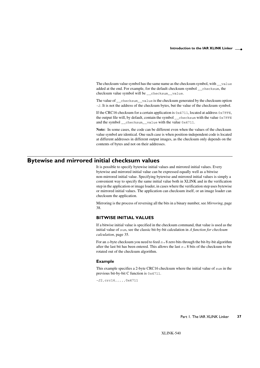The checksum value symbol has the same name as the checksum symbol, with \_\_value added at the end. For example, for the default checksum symbol \_\_checksum, the checksum value symbol will be checksum value.

The value of \_\_checksum\_\_value is the checksum generated by the checksum option -J. It is not the address of the checksum bytes, but the value of the checksum symbol.

If the CRC16 checksum for a certain application is  $0 \times 4711$ , located at address  $0 \times 7$  FFE, the output file will, by default, contain the symbol  $\epsilon$  checksum with the value 0x7FFE and the symbol \_\_checksum\_\_value with the value 0x4711.

**Note:** In some cases, the code can be different even when the values of the checksum value symbol are identical. One such case is when position-independent code is located at different addresses in different output images, as the checksum only depends on the contents of bytes and not on their addresses.

# **Bytewise and mirrored initial checksum values**

It is possible to specify bytewise initial values and mirrored initial values. Every bytewise and mirrored initial value can be expressed equally well as a bitwise non-mirrored initial value. Specifying bytewise and mirrored initial values is simply a convenient way to specify the same initial value both in XLINK and in the verification step in the application or image loader, in cases where the verification step uses bytewise or mirrored initial values. The application can checksum itself, or an image loader can checksum the application.

Mirroring is the process of reversing all the bits in a binary number, see *[Mirroring](#page-37-0)*, page [38.](#page-37-0)

## <span id="page-36-0"></span>**BITWISE INITIAL VALUES**

If a bitwise initial value is specified in the checksum command, that value is used as the initial value of sum, see the classic bit-by-bit calculation in *[A function for checksum](#page-34-0)  [calculation](#page-34-0)*, page 35.

For an *n*-byte checksum you need to feed *n* \* 8 zero bits through the bit-by-bit algorithm after the last bit has been entered. This allows the last  $n * 8$  bits of the checksum to be rotated out of the checksum algorithm.

### **Example**

This example specifies a 2-byte CRC16 checksum where the initial value of sum in the previous bit-by-bit C function is 0x4711.

-J2,crc16,,,,,0x4711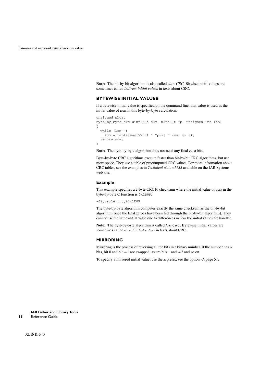**Note:** The bit-by-bit algorithm is also called *slow CRC*. Bitwise initial values are sometimes called *indirect initial values* in texts about CRC.

## <span id="page-37-2"></span>**BYTEWISE INITIAL VALUES**

If a bytewise initial value is specified on the command line, that value is used as the initial value of sum in this byte-by-byte calculation:

```
unsigned short
byte by byte crc(uint16 t sum, uint8 t *p, unsigned int len)
{
  while (len--)
    sum = table[sum >> 8) ^ *p++] ^ (sum << 8);
  return sum;
}
```
**Note:** The byte-by-byte algorithm does not need any final zero bits.

Byte-by-byte CRC algorithms execute faster than bit-by-bit CRC algorithms, but use more space. They use a table of precomputed CRC values. For more information about CRC tables, see the examples in *Technical Note 91733* available on the IAR Systems web site.

### **Example**

This example specifies a 2-byte CRC16 checksum where the initial value of sum in the byte-by-byte C function is 0x1D0F:

-J2,crc16,,,,,#0x1D0F

The byte-by-byte algorithm computes exactly the same checksum as the bit-by-bit algorithm (once the final zeroes have been fed through the bit-by-bit algorithm). They cannot use the same initial value due to differences in how the initial values are handled.

**Note:** The byte-by-byte algorithm is called *fast CRC*. Bytewise initial values are sometimes called *direct initial values* in texts about CRC.

## <span id="page-37-1"></span><span id="page-37-0"></span>**MIRRORING**

Mirroring is the process of reversing all the bits in a binary number. If the number has *n* bits, bit 0 and bit *n*-1 are swapped, as are bits 1 and *n*-2 and so on.

To specify a mirrored initial value, use the m prefix, see the option *-J*[, page 51](#page-50-0).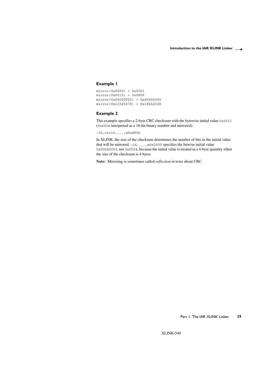## **Example 1**

```
mirror(0x8000) = 0x0001
mirror(0xF010) = 0x080Fmirror(0x00000002) = 0x40000000mirror(0x12345678) = 0x1E6A2C48
```
## **Example 2**

This example specifies a 2-byte CRC checksum with the bytewise initial value  $0 \times 5012$ (0x480A interpreted as a 16-bit binary number and mirrored):

-J2,crc16,,,,,m0x480A

In XLINK, the size of the checksum determines the number of bits in the initial value that will be mirrored.  $-J4$ , ...,  $m0x2000$  specifies the bitwise initial value 0x00040000, not 0x0004, because the initial value is treated as a 4-byte quantity when the size of the checksum is 4 bytes.

**Note:** Mirroring is sometimes called *reflection* in texts about CRC.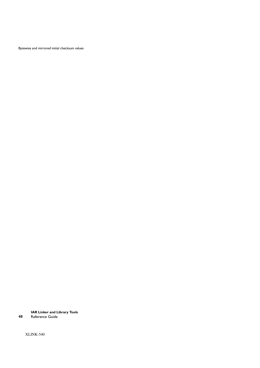Bytewise and mirrored initial checksum values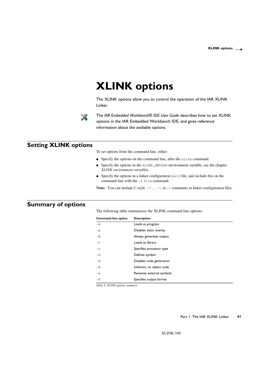# **XLINK options**

The XLINK options allow you to control the operation of the IAR XLINK Linker.



The *IAR Embedded Workbench® IDE User Guide* describes how to set XLINK options in the IAR Embedded Workbench IDE, and gives reference information about the available options.

# **Setting XLINK options**

To set options from the command line, either:

- Specify the options on the command line, after the xlink command.
- Specify the options in the XLINK\_ENVPAR environment variable; see the chapter *[XLINK environment variables](#page-88-0)*.
- Specify the options in a linker configuration  $(xc_1)$  file, and include this on the command line with the -f *file* command.

Note: You can include C-style /\*...\*/ or // comments in linker configuration files.

# **Summary of options**

The following table summarizes the XLINK command line options:

| <b>Command line option</b> | <b>Description</b>       |
|----------------------------|--------------------------|
| $-A$                       | Loads as program         |
| $-a$                       | Disables static overlay  |
| $-B$                       | Always generates output  |
| $-C$                       | Loads as library         |
| $-c$                       | Specifies processor type |
| $-D$                       | Defines symbol           |
| $-d$                       | Disables code generation |
| $-E$                       | Inherent, no object code |
| $-e$                       | Renames external symbols |
| $-F$                       | Specifies output format  |

*Table 6: XLINK options summary*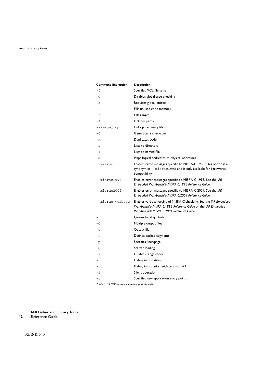| <b>Command line option</b> | <b>Description</b>                                                                                                                                                           |  |
|----------------------------|------------------------------------------------------------------------------------------------------------------------------------------------------------------------------|--|
| $-f$                       | Specifies XCL filename                                                                                                                                                       |  |
| $-G$                       | Disables global type checking                                                                                                                                                |  |
| -g                         | Requires global entries                                                                                                                                                      |  |
| – H                        | Fills unused code memory                                                                                                                                                     |  |
| -h                         | Fills ranges.                                                                                                                                                                |  |
| $-\mathbb{I}$              | Includes paths                                                                                                                                                               |  |
| --image_input              | Links pure binary files                                                                                                                                                      |  |
| – J                        | Generates a checksum                                                                                                                                                         |  |
| $-K$                       | Duplicates code                                                                                                                                                              |  |
| – L                        | Lists to directory                                                                                                                                                           |  |
| $-1$                       | Lists to named file                                                                                                                                                          |  |
| $-M$                       | Maps logical addresses to physical addresses                                                                                                                                 |  |
| --misrac                   | Enables error messages specific to MISRA-C:1998. This option is a<br>synonym of --misrac1998 and is only available for backwards<br>compatibility.                           |  |
| --misrac1998               | Enables error messages specific to MISRA-C:1998. See the IAR<br>Embedded Workbench® MISRA C:1998 Reference Guide.                                                            |  |
| $--missrac2004$            | Enables error messages specific to MISRA-C:2004. See the IAR<br>Embedded Workbench® MISRA C:2004 Reference Guide.                                                            |  |
| --misrac_verbose           | Enables verbose logging of MISRA C checking. See the IAR Embedded<br>Workbench® MISRA C:1998 Reference Guide or the IAR Embedded<br>Workbench® MISRA C:2004 Reference Guide. |  |
| -n                         | Ignores local symbols                                                                                                                                                        |  |
| $-0$                       | Multiple output files                                                                                                                                                        |  |
| $-0$                       | Output file                                                                                                                                                                  |  |
| – P                        | Defines packed segments                                                                                                                                                      |  |
| $-p$                       | Specifies lines/page                                                                                                                                                         |  |
| $-Q$                       | Scatter loading                                                                                                                                                              |  |
| $-R$                       | Disables range check                                                                                                                                                         |  |
| $-r$                       | Debug information                                                                                                                                                            |  |
| -rt.                       | Debug information with terminal I/O                                                                                                                                          |  |
| -S                         | Silent operation                                                                                                                                                             |  |
| $-\mathbf{S}$              | Specifies new application entry point                                                                                                                                        |  |

*Table 6: XLINK options summary (Continued)*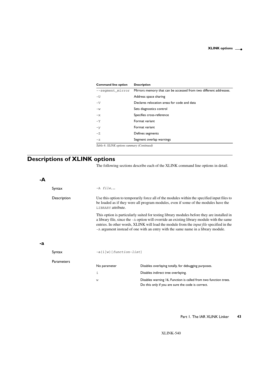| <b>Command line option</b>                 | <b>Description</b>                                                |
|--------------------------------------------|-------------------------------------------------------------------|
| --seqment mirror                           | Mirrors memory that can be accessed from two different addresses. |
| -U                                         | Address space sharing                                             |
| -V                                         | Declares relocation areas for code and data                       |
| $-w$                                       | Sets diagnostics control                                          |
| $-x$                                       | Specifies cross-reference                                         |
| $-Y$                                       | Format variant                                                    |
| $-y$                                       | Format variant                                                    |
| $-7$                                       | Defines segments                                                  |
| $-7.$                                      | Segment overlap warnings                                          |
| Table 6: XLINK options summary (Continued) |                                                                   |

**Descriptions of XLINK options**

The following sections describe each of the XLINK command line options in detail.

**-A**

**-a**

| Syntax      | $-A$ file,                                                                                                                                                                                               |                                                                                                                                                                                                                                                                                                                                                                                    |
|-------------|----------------------------------------------------------------------------------------------------------------------------------------------------------------------------------------------------------|------------------------------------------------------------------------------------------------------------------------------------------------------------------------------------------------------------------------------------------------------------------------------------------------------------------------------------------------------------------------------------|
| Description | Use this option to temporarily force all of the modules within the specified input files to<br>be loaded as if they were all program modules, even if some of the modules have the<br>LIBRARY attribute. |                                                                                                                                                                                                                                                                                                                                                                                    |
|             |                                                                                                                                                                                                          | This option is particularly suited for testing library modules before they are installed in<br>a library file, since the $-A$ option will override an existing library module with the same<br>entries. In other words, XLINK will load the module from the <i>input file</i> specified in the<br>-A argument instead of one with an entry with the same name in a library module. |
| Syntax      | $-a[i w]$ [function-list]                                                                                                                                                                                |                                                                                                                                                                                                                                                                                                                                                                                    |
| Parameters  |                                                                                                                                                                                                          |                                                                                                                                                                                                                                                                                                                                                                                    |
|             | No parameter                                                                                                                                                                                             | Disables overlaying totally, for debugging purposes.                                                                                                                                                                                                                                                                                                                               |
|             | i                                                                                                                                                                                                        | Disables indirect tree overlaying.                                                                                                                                                                                                                                                                                                                                                 |
|             | W                                                                                                                                                                                                        | Disables warning 16, Function is called from two function trees.<br>Do this only if you are sure the code is correct.                                                                                                                                                                                                                                                              |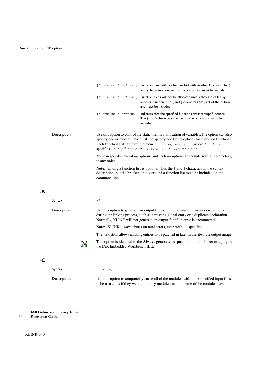|                                 | ( <i>function</i> , <i>function</i> ) Function trees will not be overlaid with another function. The (<br>and ) characters are part of the option and must be included.                                                                                                                                                              |
|---------------------------------|--------------------------------------------------------------------------------------------------------------------------------------------------------------------------------------------------------------------------------------------------------------------------------------------------------------------------------------|
|                                 | [function, function] Function trees will not be allocated unless they are called by<br>another function. The $\lceil$ and $\rceil$ characters are part of the option<br>and must be included.                                                                                                                                        |
|                                 | { function, function} Indicates that the specified functions are interrupt functions.<br>The { and } characters are part of the option and must be<br>included.                                                                                                                                                                      |
|                                 | Use this option to control the static memory allocation of variables. The option can also<br>specify one or more function lists, to specify additional options for specified functions.<br>Each function list can have the form function, function, where function<br>specifies a public function or a module: function combination. |
| in any order.                   | You can specify several –a options, and each –a option can include several parameters,                                                                                                                                                                                                                                               |
| command line.                   | <b>Note:</b> Giving a function list is optional, thus the [and ] characters in the syntax<br>description, but the brackets that surround a function list must be included on the                                                                                                                                                     |
| $-B$                            |                                                                                                                                                                                                                                                                                                                                      |
|                                 | Use this option to generate an output file even if a non-fatal error was encountered<br>during the linking process, such as a missing global entry or a duplicate declaration.<br>Normally, XLINK will not generate an output file if an error is encountered.                                                                       |
|                                 | <b>Note:</b> XLINK always aborts on fatal errors, even with $-B$ specified.                                                                                                                                                                                                                                                          |
|                                 | The $-B$ option allows missing entries to be patched in later in the absolute output image.                                                                                                                                                                                                                                          |
| the IAR Embedded Workbench IDE. | This option is identical to the <b>Always generate output</b> option in the linker category in                                                                                                                                                                                                                                       |
|                                 |                                                                                                                                                                                                                                                                                                                                      |

**-C** 

**-B** 

Syntax -C  $file, ...$ 

Description Use this option to temporarily cause all of the modules within the specified input files to be treated as if they were all library modules, even if some of the modules have the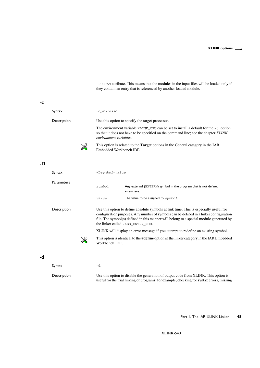PROGRAM attribute. This means that the modules in the input files will be loaded only if they contain an entry that is referenced by another loaded module.

| -C |             |   |                                                                                                                                                                                                         |
|----|-------------|---|---------------------------------------------------------------------------------------------------------------------------------------------------------------------------------------------------------|
|    | Syntax      |   | -cprocessor                                                                                                                                                                                             |
|    | Description |   | Use this option to specify the target processor.                                                                                                                                                        |
|    |             |   | The environment variable XLINK_CPU can be set to install a default for the $-c$ option<br>so that it does not have to be specified on the command line; see the chapter XLINK<br>environment variables. |
|    |             | ≫ | This option is related to the <b>Target</b> options in the General category in the IAR<br>Embedded Workbench IDE.                                                                                       |

**-D** 

| Syntax            | -Dsymbol=value |                                                                                                                                                                                                                                                                                                                  |
|-------------------|----------------|------------------------------------------------------------------------------------------------------------------------------------------------------------------------------------------------------------------------------------------------------------------------------------------------------------------|
| <b>Parameters</b> | symbol         | Any external (EXTERN) symbol in the program that is not defined<br>elsewhere.                                                                                                                                                                                                                                    |
|                   | value          | The value to be assigned to $symbol1$ .                                                                                                                                                                                                                                                                          |
| Description       |                | Use this option to define absolute symbols at link time. This is especially useful for<br>configuration purposes. Any number of symbols can be defined in a linker configuration<br>file. The symbol(s) defined in this manner will belong to a special module generated by<br>the linker called ?ABS ENTRY MOD. |
|                   |                | XLINK will display an error message if you attempt to redefine an existing symbol.                                                                                                                                                                                                                               |
|                   | Workbench IDE. | This option is identical to the #define option in the linker category in the IAR Embedded                                                                                                                                                                                                                        |
|                   |                |                                                                                                                                                                                                                                                                                                                  |

**-d** 

Syntax -d

Description Use this option to disable the generation of output code from XLINK. This option is useful for the trial linking of programs; for example, checking for syntax errors, missing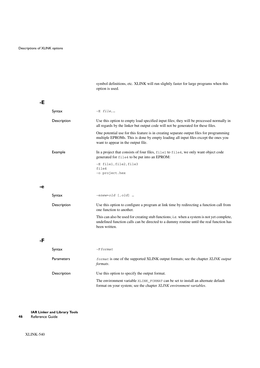symbol definitions, etc. XLINK will run slightly faster for large programs when this option is used.

# **-E**

**-e** 

<span id="page-45-0"></span>**-F** 

| Syntax      | $-E$ file,                                                                                                                                                                                                          |
|-------------|---------------------------------------------------------------------------------------------------------------------------------------------------------------------------------------------------------------------|
| Description | Use this option to empty load specified input files; they will be processed normally in<br>all regards by the linker but output code will not be generated for these files.                                         |
|             | One potential use for this feature is in creating separate output files for programming<br>multiple EPROMs. This is done by empty loading all input files except the ones you<br>want to appear in the output file. |
| Example     | In a project that consists of four files, filed to file4, we only want object code<br>generated for file4 to be put into an EPROM:                                                                                  |
|             | -E file1, file2, file3<br>file4<br>-o project.hex                                                                                                                                                                   |
|             |                                                                                                                                                                                                                     |
| Syntax      | $-$ enew=old [, old]                                                                                                                                                                                                |
| Description | Use this option to configure a program at link time by redirecting a function call from<br>one function to another.                                                                                                 |
|             | This can also be used for creating stub functions; i.e. when a system is not yet complete,<br>undefined function calls can be directed to a dummy routine until the real function has<br>been written.              |
|             |                                                                                                                                                                                                                     |
| Syntax      | $-Fformat$                                                                                                                                                                                                          |
| Parameters  | format is one of the supported XLINK output formats; see the chapter XLINK output<br>formats.                                                                                                                       |
| Description | Use this option to specify the output format.                                                                                                                                                                       |
|             | The environment variable XLINK_FORMAT can be set to install an alternate default                                                                                                                                    |

format on your system; see the chapter *[XLINK environment variables](#page-88-0)*.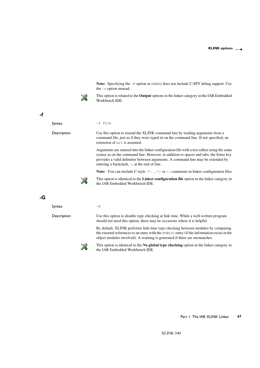**Note:** Specifying the -F option as DEBUG does not include C-SPY debug support. Use the -r option instead.



This option is related to the **Output** options in the linker category in the IAR Embedded Workbench IDE.

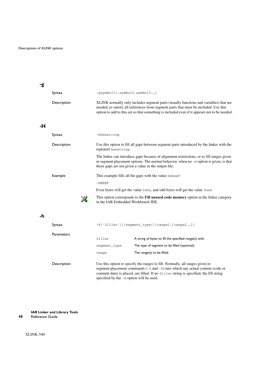<span id="page-47-0"></span>

| -g |             |  |                                                                                                                                                                                                                                                                               |
|----|-------------|--|-------------------------------------------------------------------------------------------------------------------------------------------------------------------------------------------------------------------------------------------------------------------------------|
|    | Syntax      |  | $-gsymboll[$ , $symboll2$ , $symboll3$ , ]                                                                                                                                                                                                                                    |
|    | Description |  | XLINK normally only includes segment parts (usually functions and variables) that are<br>needed, to satisfy all references from segment parts that must be included. Use this<br>option to add to this set so that something is included even if it appears not to be needed. |
| -н |             |  |                                                                                                                                                                                                                                                                               |
|    | Syntax      |  | -Hhexstring                                                                                                                                                                                                                                                                   |
|    | Description |  | Use this option to fill all gaps between segment parts introduced by the linker with the<br>repeated hexstring.                                                                                                                                                               |
|    |             |  | The linker can introduce gaps because of alignment restrictions, or to fill ranges given<br>in segment placement options. The normal behavior, when no –H option is given, is that<br>these gaps are not given a value in the output file.                                    |
|    | Example     |  | This example fills all the gaps with the value 0xbeef:                                                                                                                                                                                                                        |
|    |             |  | $-HBEEF$                                                                                                                                                                                                                                                                      |
|    |             |  | Even bytes will get the value $0 \times b$ , and odd bytes will get the value $0 \times e$ .                                                                                                                                                                                  |
|    |             |  | This option corresponds to the Fill unused code memory option in the linker category<br>in the IAR Embedded Workbench IDE.                                                                                                                                                    |

# **-h**

| Syntax            |                                            | $-h['filter']$ (seqment type) { range1, $[range2, ]$ }                                                                                                                                                                                                                     |
|-------------------|--------------------------------------------|----------------------------------------------------------------------------------------------------------------------------------------------------------------------------------------------------------------------------------------------------------------------------|
| <b>Parameters</b> | filler<br>segment_type<br>range            | A string of bytes to fill the specified range(s) with.<br>The type of segment to be filled (optional).<br>The range(s) to be filled.                                                                                                                                       |
| Description       | specified by the $-H$ option will be used. | Use this option to specify the ranges to fill. Normally, all ranges given in<br>segment-placement commands $(-z \text{ and } -P)$ into which any actual content (code or<br>constant data) is placed, are filled. If no <i>filler</i> string is specified, the fill string |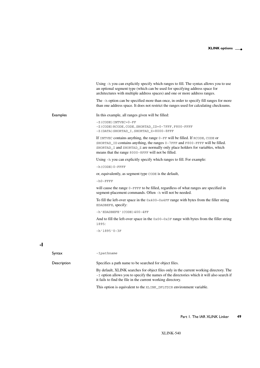|             | Using -h you can explicitly specify which ranges to fill. The syntax allows you to use<br>an optional segment type (which can be used for specifying address space for<br>architectures with multiple address spaces) and one or more address ranges.                                                |
|-------------|------------------------------------------------------------------------------------------------------------------------------------------------------------------------------------------------------------------------------------------------------------------------------------------------------|
|             | The -h option can be specified more than once, in order to specify fill ranges for more<br>than one address space. It does not restrict the ranges used for calculating checksums.                                                                                                                   |
| Examples    | In this example, all ranges given will be filled:                                                                                                                                                                                                                                                    |
|             | -Z (CODE) INTVEC=0-FF<br>-Z (CODE) RCODE, CODE, SHORTAD_ID=0-7FFF, F800-FFFF<br>-Z (DATA) SHORTAD_I, SHORTAD_Z=8000-8FFF                                                                                                                                                                             |
|             | If INTVEC contains anything, the range 0-FF will be filled. If RCODE, CODE or<br>SHORTAD_ID contains anything, the ranges 0-7FFF and F800-FFFF will be filled.<br>SHORTAD_I and SHORTAD_Z are normally only place holders for variables, which<br>means that the range 8000-8FFF will not be filled. |
|             | Using -h you can explicitly specify which ranges to fill. For example:                                                                                                                                                                                                                               |
|             | $-h$ (CODE) $0$ -FFFF                                                                                                                                                                                                                                                                                |
|             | or, equivalently, as segment type CODE is the default,                                                                                                                                                                                                                                               |
|             | $-h0-FFFF$                                                                                                                                                                                                                                                                                           |
|             | will cause the range 0-FFFF to be filled, regardless of what ranges are specified in<br>segment-placement commands. Often -h will not be needed.                                                                                                                                                     |
|             | To fill the left-over space in the $0 \times 400 - 0 \times 4$ FF range with bytes from the filler string<br>EDADBEFE, specify:                                                                                                                                                                      |
|             | -h'EDADBEFE' (CODE) 400-4FF                                                                                                                                                                                                                                                                          |
|             | And to fill the left-over space in the $0 \times 00 - 0 \times 3$ F range with bytes from the filler string<br>1895:                                                                                                                                                                                 |
|             | $-h'1895'0-3F$                                                                                                                                                                                                                                                                                       |
|             |                                                                                                                                                                                                                                                                                                      |
| Syntax      | -Ipathname                                                                                                                                                                                                                                                                                           |
| Description | Specifies a path name to be searched for object files.                                                                                                                                                                                                                                               |
|             | By default, XLINK searches for object files only in the current working directory. The<br>-I option allows you to specify the names of the directories which it will also search if                                                                                                                  |

**-I** 

This option is equivalent to the XLINK\_DFLTDIR environment variable.

it fails to find the file in the current working directory.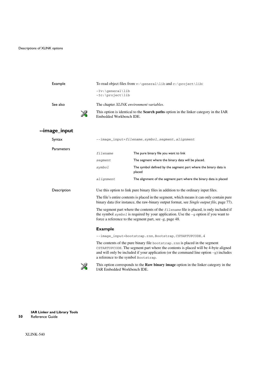| Example  | To read object files from $v: \genscript{rel}{\iota}$ and $c: \propto \tilde{\text{ls}}$ . |  |
|----------|--------------------------------------------------------------------------------------------|--|
|          | $-Iv:\qquad I\$<br>$-Ic:\project\lib$                                                      |  |
| See also | The chapter XLINK environment variables.                                                   |  |



This option is identical to the **Search paths** option in the linker category in the IAR Embedded Workbench IDE.

# **--image\_input**

| Syntax      |                                                                                                                                                                                                                                                   | --image input=filename, symbol, segment, alignment                                                                                                                                      |                                                                                                                                                                                                                                                                |  |  |
|-------------|---------------------------------------------------------------------------------------------------------------------------------------------------------------------------------------------------------------------------------------------------|-----------------------------------------------------------------------------------------------------------------------------------------------------------------------------------------|----------------------------------------------------------------------------------------------------------------------------------------------------------------------------------------------------------------------------------------------------------------|--|--|
| Parameters  |                                                                                                                                                                                                                                                   |                                                                                                                                                                                         |                                                                                                                                                                                                                                                                |  |  |
|             |                                                                                                                                                                                                                                                   | filename                                                                                                                                                                                | The pure binary file you want to link                                                                                                                                                                                                                          |  |  |
|             |                                                                                                                                                                                                                                                   | segment                                                                                                                                                                                 | The segment where the binary data will be placed.                                                                                                                                                                                                              |  |  |
|             |                                                                                                                                                                                                                                                   | symbol                                                                                                                                                                                  | The symbol defined by the segment part where the binary data is<br>placed                                                                                                                                                                                      |  |  |
|             |                                                                                                                                                                                                                                                   | alignment                                                                                                                                                                               | The alignment of the segment part where the binary data is placed                                                                                                                                                                                              |  |  |
| Description |                                                                                                                                                                                                                                                   | Use this option to link pure binary files in addition to the ordinary input files.                                                                                                      |                                                                                                                                                                                                                                                                |  |  |
|             |                                                                                                                                                                                                                                                   | The file's entire contents is placed in the segment, which means it can only contain pure<br>binary data (for instance, the raw-binary output format, see Single output file, page 77). |                                                                                                                                                                                                                                                                |  |  |
|             | The segment part where the contents of the $f$ i lename file is placed, is only included if<br>the symbol $symbo1$ is required by your application. Use the $-g$ option if you want to<br>force a reference to the segment part, see -g, page 48. |                                                                                                                                                                                         |                                                                                                                                                                                                                                                                |  |  |
|             |                                                                                                                                                                                                                                                   | <b>Example</b>                                                                                                                                                                          |                                                                                                                                                                                                                                                                |  |  |
|             |                                                                                                                                                                                                                                                   |                                                                                                                                                                                         | --image_input=bootstrap.rnn, Bootstrap, CSTARTUPCODE, 4                                                                                                                                                                                                        |  |  |
|             |                                                                                                                                                                                                                                                   | a reference to the symbol Bootstrap.                                                                                                                                                    | The contents of the pure binary file bootstrap.rnn is placed in the segment<br>CSTARTUPCODE. The segment part where the contents is placed will be 4-byte aligned<br>and will only be included if your application (or the command line option $-g$ ) includes |  |  |
|             | ৲⋒                                                                                                                                                                                                                                                |                                                                                                                                                                                         | This option corresponds to the <b>Raw hinary image</b> option in the linker category in the                                                                                                                                                                    |  |  |



This option corresponds to the **Raw binary image** option in the linker category in the IAR Embedded Workbench IDE.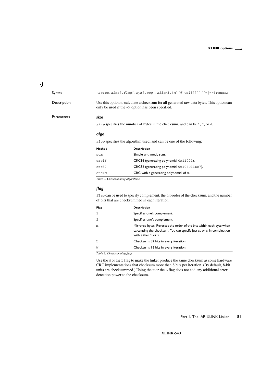# <span id="page-50-0"></span>**-J**

| Syntax      | $-Jsize$ , algo[, flag[, sym[, seg[, align[, [m][#]val]]]]][{= ==}ranges]                                                                      |
|-------------|------------------------------------------------------------------------------------------------------------------------------------------------|
| Description | Use this option to calculate a checksum for all generated raw data bytes. This option can<br>only be used if the -H option has been specified. |

## Parameters *size*

*size* specifies the number of bytes in the checksum, and can be 1, 2, or 4.

#### *algo*

*algo* specifies the algorithm used, and can be one of the following:

| Method  | <b>Description</b>                            |
|---------|-----------------------------------------------|
| sum     | Simple arithmetic sum.                        |
| crc16   | CRC16 (generating polynomial $0x11021$ ).     |
| crc32   | CRC32 (generating polynomial $0x104C11DB7$ ). |
| $crc=n$ | CRC with a generating polynomial of $n$ .     |

*Table 7: Checksumming algorithms*

## *flag*

*flag* can be used to specify complement, the bit-order of the checksum, and the number of bits that are checksummed in each iteration.

| Flag           | <b>Description</b>                                                                                                                                                             |
|----------------|--------------------------------------------------------------------------------------------------------------------------------------------------------------------------------|
| $\mathbf{1}$   | Specifies one's complement.                                                                                                                                                    |
| $\mathfrak{D}$ | Specifies two's complement.                                                                                                                                                    |
| m              | Mirrored bytes. Reverses the order of the bits within each byte when<br>calculating the checksum. You can specify just $m$ , or $m$ in combination<br>with either $1$ or $2$ . |
| L              | Checksums 32 bits in every iteration.                                                                                                                                          |
| W              | Checksums 16 bits in every iteration.                                                                                                                                          |

*Table 8: Checksumming flags*

Use the W or the L flag to make the linker produce the same checksum as some hardware CRC implementations that checksum more than 8 bits per iteration. (By default, 8-bit units are checksummed.) Using the W or the L flag does not add any additional error detection power to the checksum.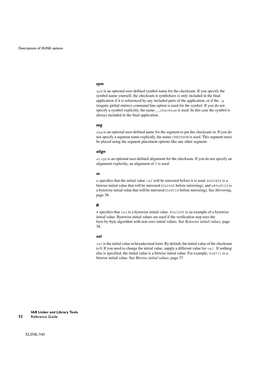#### *sym*

*sym* is an optional user-defined symbol name for the checksum. If you specify the symbol name yourself, the checksum it symbolizes is only included in the final application if it is referenced by any included parts of the application, or if the -g (require global entries) command line option is used for the symbol. If you do not specify a symbol explicitly, the name \_\_checksum is used. In this case the symbol is always included in the final application.

#### *seg*

*seg* is an optional user-defined name for the segment to put the checksum in. If you do not specify a segment name explicitly, the name CHECKSUM is used. This segment must be placed using the segment placement options like any other segment.

#### *align*

*align* is an optional user-defined alignment for the checksum. If you do not specify an alignment explicitly, an alignment of 1 is used.

#### *m*

m specifies that the initial value *val* will be mirrored before it is used. m0x2468 is a bitwise initial value that will be mirrored ( $0x2468$  before mirroring), and  $m#0x8C18$  is a bytewise initial value that will be mirrored (0x8C18 before mirroring). See *[Mirroring](#page-37-1)*, [page 38.](#page-37-1)

## *#*

# specifies that *val* is a bytewise initial value. #0x1D0F is an example of a bytewise initial value. Bytewise initial values are used if the verification step uses the byte-by-byte algorithm with non-zero initial values. See *[Bytewise initial values](#page-37-2)*, page [38.](#page-37-2)

#### *val*

*val* is the initial value in hexadecimal form. By default, the initial value of the checksum is 0. If you need to change the initial value, supply a different value for *val*. If nothing else is specified, the initial value is a bitwise initial value. For example,  $0 \times 4711$  is a bitwise initial value. See *[Bitwise initial values](#page-36-0)*, page 37.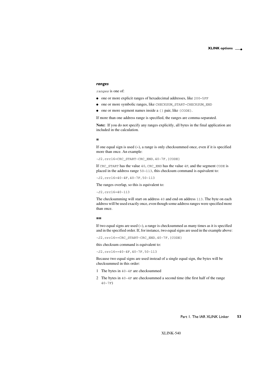#### *ranges*

*ranges* is one of:

- one or more explicit ranges of hexadecimal addresses, like 200–5FF
- one or more symbolic ranges, like CHECKSUM\_START–CHECKSUM\_END
- one or more segment names inside a  $\{ \}$  pair, like  $\{ \text{CODE} \}.$

If more than one address range is specified, the ranges are comma-separated.

**Note:** If you do not specify any ranges explicitly, all bytes in the final application are included in the calculation.

#### **=**

If one equal sign is used  $(=)$ , a range is only checksummed once, even if it is specified more than once. An example:

-J2,crc16=CRC\_START-CRC\_END,40-7F,{CODE}

If CRC\_START has the value 40, CRC\_END has the value 4F, and the segment CODE is placed in the address range 50–113, this checksum command is equivalent to:

-J2,crc16=40-4F,40-7F,50-113

The ranges overlap, so this is equivalent to:

-J2,crc16=40-113

The checksumming will start on address 40 and end on address 113. The byte on each address will be used exactly once, even though some address ranges were specified more than once.

#### **==**

If two equal signs are used  $(=)$ , a range is checksummed as many times as it is specified and in the specified order. If, for instance, two equal signs are used in the example above:

-J2,crc16==CRC\_START-CRC\_END,40-7F,{CODE}

this checksum command is equivalent to:

-J2,crc16==40-4F,40-7F,50-113

Because two equal signs are used instead of a single equal sign, the bytes will be checksummed in this order:

- 1 The bytes in 40-4F are checksummed
- 2 The bytes in  $40-4F$  are checksummed a second time (the first half of the range 40-7F)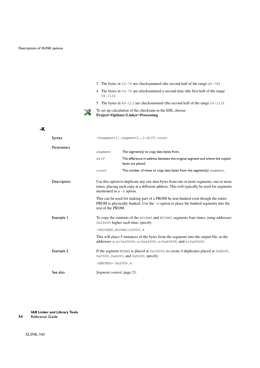- 3 The bytes in 50-7F are checksummed (the second half of the range 40-7F)
- 4 The bytes in 50-7F are checksummed a second time (the first half of the range 50-113)
- 5 The bytes in 80-113 are checksummed (the second half of the range 50-113).





| Syntax      | -Ksegment1[, segment2, ] =diff, count                                                                                                                                                                               |                                                                                                                                                                               |  |
|-------------|---------------------------------------------------------------------------------------------------------------------------------------------------------------------------------------------------------------------|-------------------------------------------------------------------------------------------------------------------------------------------------------------------------------|--|
| Parameters  |                                                                                                                                                                                                                     |                                                                                                                                                                               |  |
|             | segment                                                                                                                                                                                                             | The segment(s) to copy data bytes from.                                                                                                                                       |  |
|             | diff                                                                                                                                                                                                                | The difference in address between the original segment and where the copied<br>bytes are placed.                                                                              |  |
|             | count                                                                                                                                                                                                               | The number of times to copy data bytes from the segment(s) $segment$ .                                                                                                        |  |
| Description | Use this option to duplicate any raw data bytes from one or more segments, one or more<br>times, placing each copy at a different address. This will typically be used for segments<br>mentioned in $a - z$ option. |                                                                                                                                                                               |  |
|             | rest of the PROM.                                                                                                                                                                                                   | This can be used for making part of a PROM be non-banked even though the entire<br>PROM is physically banked. Use the $-p$ option to place the banked segments into the       |  |
| Example 1   |                                                                                                                                                                                                                     | To copy the contents of the RCODEO and RCODE1 segments four times, using addresses<br>$0 \times 20000$ higher each time, specify:                                             |  |
|             |                                                                                                                                                                                                                     | $-KRCODE0$ , $RCODE1 = 20000$ , $4$                                                                                                                                           |  |
|             |                                                                                                                                                                                                                     | This will place 5 instances of the bytes from the segments into the output file, at the<br>addresses x, x+0x20000, x+0x40000, x+0x60000, and x+0x80000.                       |  |
| Example 2   |                                                                                                                                                                                                                     | If the segment MYSEG is placed at $0 \times 10000$ , to create 4 duplicates placed at $0 \times E000$ ,<br>$0 \times 0000$ , $0 \times A000$ , and $0 \times 8000$ , specify: |  |
|             | $-KMYSEG = -0x2000, 4$                                                                                                                                                                                              |                                                                                                                                                                               |  |
| See also    | Segment control, page 21.                                                                                                                                                                                           |                                                                                                                                                                               |  |

# **-K**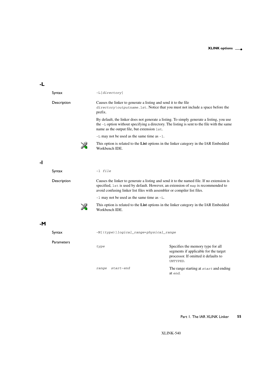## <span id="page-54-0"></span>**-L**



## <span id="page-54-1"></span>**-l**

| Syntax      |   | $-1$ file                                                                                                                                                                                                                                                  |  |  |
|-------------|---|------------------------------------------------------------------------------------------------------------------------------------------------------------------------------------------------------------------------------------------------------------|--|--|
| Description |   | Causes the linker to generate a listing and send it to the named file. If no extension is<br>specified, 1st is used by default. However, an extension of map is recommended to<br>avoid confusing linker list files with assembler or compiler list files. |  |  |
|             |   | $-1$ may not be used as the same time as $-L$ .                                                                                                                                                                                                            |  |  |
|             | X | This option is related to the <b>List</b> options in the linker category in the IAR Embedded<br>Workbench IDE.                                                                                                                                             |  |  |
|             |   |                                                                                                                                                                                                                                                            |  |  |
|             |   |                                                                                                                                                                                                                                                            |  |  |

## **-M**

Parameters

Syntax -M[(*type*)]*logical\_range*=*physical\_range* 

*type* Specifies the memory type for all segments if applicable for the target processor. If omitted it defaults to UNTYPED. *range start*-*end* The range starting at *start* and ending at *end*.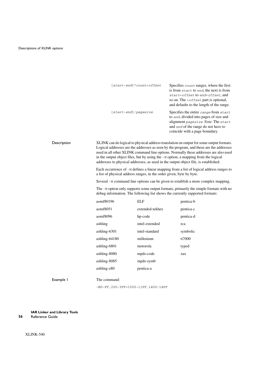|             |                                                                                                                                                                                                                                                                                                                                                                                                                                                         | [start-end]*count+offset |  | Specifies count ranges, where the first<br>is from start to end, the next is from<br>start+offset to end+offset, and<br>so on. The +offset part is optional,<br>and defaults to the length of the range. |  |
|-------------|---------------------------------------------------------------------------------------------------------------------------------------------------------------------------------------------------------------------------------------------------------------------------------------------------------------------------------------------------------------------------------------------------------------------------------------------------------|--------------------------|--|----------------------------------------------------------------------------------------------------------------------------------------------------------------------------------------------------------|--|
|             | [start-end]/pagesize                                                                                                                                                                                                                                                                                                                                                                                                                                    |                          |  | Specifies the entire range from start<br>to end, divided into pages of size and<br>alignment pagesize. Note: The start<br>and end of the range do not have to<br>coincide with a page boundary.          |  |
| Description | XLINK can do logical to physical address translation on output for some output formats.<br>Logical addresses are the addresses as seen by the program, and these are the addresses<br>used in all other XLINK command line options. Normally these addresses are also used<br>in the output object files, but by using the -M option, a mapping from the logical<br>addresses to physical addresses, as used in the output object file, is established. |                          |  |                                                                                                                                                                                                          |  |
|             | Each occurrence of -M defines a linear mapping from a list of logical address ranges to<br>a list of physical address ranges, in the order given, byte by byte.                                                                                                                                                                                                                                                                                         |                          |  |                                                                                                                                                                                                          |  |
|             | Several -M command line options can be given to establish a more complex mapping.                                                                                                                                                                                                                                                                                                                                                                       |                          |  |                                                                                                                                                                                                          |  |
|             | The -M option only supports some output formats, primarily the simple formats with no<br>debug information. The following list shows the currently supported formats:                                                                                                                                                                                                                                                                                   |                          |  |                                                                                                                                                                                                          |  |
|             | aomf80196                                                                                                                                                                                                                                                                                                                                                                                                                                               | ELF                      |  | pentica-b                                                                                                                                                                                                |  |
|             | aomf8051                                                                                                                                                                                                                                                                                                                                                                                                                                                | extended-tekhex          |  | pentica-c                                                                                                                                                                                                |  |
|             | aomf8096                                                                                                                                                                                                                                                                                                                                                                                                                                                | hp-code                  |  | pentica-d                                                                                                                                                                                                |  |
|             | ashling                                                                                                                                                                                                                                                                                                                                                                                                                                                 | intel-extended           |  | rca                                                                                                                                                                                                      |  |
|             | ashling-6301                                                                                                                                                                                                                                                                                                                                                                                                                                            | intel-standard           |  | symbolic                                                                                                                                                                                                 |  |
|             | ashling- $64180$                                                                                                                                                                                                                                                                                                                                                                                                                                        | millenium                |  | ti7000                                                                                                                                                                                                   |  |
|             | ashling-6801                                                                                                                                                                                                                                                                                                                                                                                                                                            | motorola                 |  | typed                                                                                                                                                                                                    |  |
|             | ashling-8080                                                                                                                                                                                                                                                                                                                                                                                                                                            | mpds-code                |  | zax                                                                                                                                                                                                      |  |
|             | ashling-8085                                                                                                                                                                                                                                                                                                                                                                                                                                            | mpds-symb                |  |                                                                                                                                                                                                          |  |
|             | ashling-z80                                                                                                                                                                                                                                                                                                                                                                                                                                             | pentica-a                |  |                                                                                                                                                                                                          |  |
| Example 1   | The command:                                                                                                                                                                                                                                                                                                                                                                                                                                            |                          |  |                                                                                                                                                                                                          |  |

-M0-FF,200-3FF=1000-11FF,1400-14FF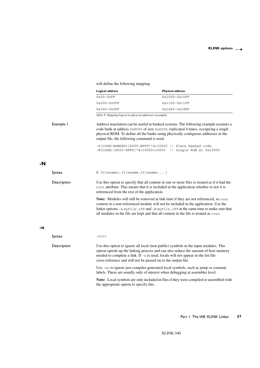### will define the following mapping:

| Logical address             | <b>Physical address</b> |
|-----------------------------|-------------------------|
| $0 \times 00 - 0 \times FF$ | $0x1000 - 0x10FF$       |
| $0x200-0x2FF$               | $0x1100 - 0x11FF$       |
| $0x300-0x3FF$               | $0x1400 - 0x14FF$       |

*Table 9: Mapping logical to physical addresses (example)*

Example 1 Address translation can be useful in banked systems. The following example assumes a code bank at address 0x8000 of size 0x4000, replicated 4 times, occupying a single physical ROM. To define all the banks using physically contiguous addresses in the output file, the following command is used:

> -P(CODE)BANKED=[8000-BFFF]\*4+10000 // Place banked code -M(CODE)[8000-BFFF]\*4+10000=10000 // Single ROM at 0x10000

**-N**

**-n** 

| Syntax      | N filename[, filename, filename, ]                                                                                                                                                                                                                                                                                                                               |  |  |
|-------------|------------------------------------------------------------------------------------------------------------------------------------------------------------------------------------------------------------------------------------------------------------------------------------------------------------------------------------------------------------------|--|--|
| Description | Use this option to specify that all content in one or more files is treated as if it had the<br>root attribute. This means that it is included in the application whether or not it is<br>referenced from the rest of the application.                                                                                                                           |  |  |
|             | <b>Note:</b> Modules will still be removed at link time if they are not referenced, so root<br>content in a non-referenced module will not be included in the application. Use the<br>linker options -A myFile.r99 and -N myFile.r99 at the same time to make sure that<br>all modules in the file are kept and that all content in the file is treated as root. |  |  |
| Syntax      | $-n[c]$                                                                                                                                                                                                                                                                                                                                                          |  |  |
| Description | Use this option to ignore all local (non-public) symbols in the input modules. This<br>option speeds up the linking process and can also reduce the amount of host memory<br>needed to complete a link. If -n is used, locals will not appear in the list file<br>cross-reference and will not be passed on to the output file.                                  |  |  |
|             | Use -nc to ignore just compiler-generated local symbols, such as jump or constant<br>labels. These are usually only of interest when debugging at assembler level.                                                                                                                                                                                               |  |  |
|             | Note: Local symbols are only included in files if they were compiled or assembled with<br>the appropriate option to specify this.                                                                                                                                                                                                                                |  |  |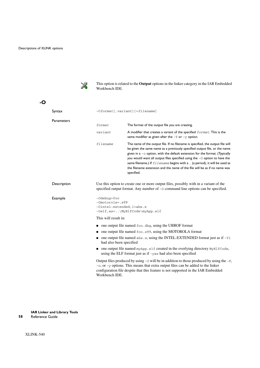

This option is related to the **Output** options in the linker category in the IAR Embedded Workbench IDE.

| . .<br>۰.<br>٠<br>۰,<br>×<br>. .<br>. . |
|-----------------------------------------|
|-----------------------------------------|

| Syntax            | -Oformat[, variant][=filename]                                                                                                                                            |                                                                                                                                                                                                                                                                                                                                                                                                                                                                                                            |  |  |
|-------------------|---------------------------------------------------------------------------------------------------------------------------------------------------------------------------|------------------------------------------------------------------------------------------------------------------------------------------------------------------------------------------------------------------------------------------------------------------------------------------------------------------------------------------------------------------------------------------------------------------------------------------------------------------------------------------------------------|--|--|
| <b>Parameters</b> |                                                                                                                                                                           |                                                                                                                                                                                                                                                                                                                                                                                                                                                                                                            |  |  |
|                   | format                                                                                                                                                                    | The format of the output file you are creating.                                                                                                                                                                                                                                                                                                                                                                                                                                                            |  |  |
|                   | variant                                                                                                                                                                   | A modifier that creates a variant of the specified <i>format</i> . This is the<br>same modifier as given after the $-Y$ or $-Y$ option.                                                                                                                                                                                                                                                                                                                                                                    |  |  |
|                   | filename                                                                                                                                                                  | The name of the output file. If no filename is specified, the output file will<br>be given the same name as a previously specified output file, or the name<br>given in a $-\circ$ option, with the default extension for the format. (Typically<br>you would want all output files specified using the $-0$ option to have the<br>same filename.) If $filename$ begins with a . (a period), it will be used as<br>the filename extension and the name of the file will be as if no name was<br>specified. |  |  |
| Description       | Use this option to create one or more output files, possibly with in a variant of the<br>specified output format. Any number of -0 command line options can be specified. |                                                                                                                                                                                                                                                                                                                                                                                                                                                                                                            |  |  |
| Example           | -Odebug=foo<br>$-Omotorola = .s99$<br>-Ointel-extended, 1=abs.x<br>-Oelf, as=\MyElfCode\myApp.elf                                                                         |                                                                                                                                                                                                                                                                                                                                                                                                                                                                                                            |  |  |
|                   | This will result in:                                                                                                                                                      |                                                                                                                                                                                                                                                                                                                                                                                                                                                                                                            |  |  |
|                   | $\bullet$ one output file named $f \circ \circ d$ abg, using the UBROF format                                                                                             |                                                                                                                                                                                                                                                                                                                                                                                                                                                                                                            |  |  |
|                   | one output file named foo.s99, using the MOTOROLA format                                                                                                                  |                                                                                                                                                                                                                                                                                                                                                                                                                                                                                                            |  |  |
|                   | one output file named abs.x, using the INTEL-EXTENDED format just as if -Y1<br>had also been specified                                                                    |                                                                                                                                                                                                                                                                                                                                                                                                                                                                                                            |  |  |
|                   | • one output file named myApp.elf created in the overlying directory MyElfCode,<br>using the ELF format just as if -yas had also been specified                           |                                                                                                                                                                                                                                                                                                                                                                                                                                                                                                            |  |  |
|                   | Workbench IDE.                                                                                                                                                            | Output files produced by using $-\circ$ will be in addition to those produced by using the $-F$ ,<br>$-\circ$ , or $-y$ options. This means that extra output files can be added to the linker<br>configuration file despite that this feature is not supported in the IAR Embedded                                                                                                                                                                                                                        |  |  |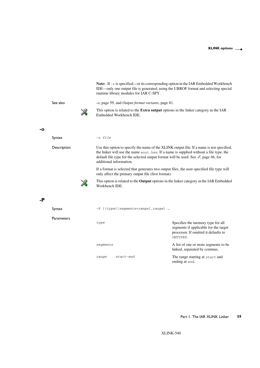<span id="page-58-0"></span>

|    |             |                | runtime library modules for IAR C-SPY.              | <b>Note:</b> If $-r$ is specified—or its corresponding option in the IAR Embedded Workbench<br>IDE—only one output file is generated, using the UBROF format and selecting special                                                                                             |
|----|-------------|----------------|-----------------------------------------------------|--------------------------------------------------------------------------------------------------------------------------------------------------------------------------------------------------------------------------------------------------------------------------------|
|    | See also    |                | -o, page 59, and Output format variants, page 81.   |                                                                                                                                                                                                                                                                                |
|    |             |                | Embedded Workbench IDE.                             | This option is related to the <b>Extra output</b> options in the linker category in the IAR                                                                                                                                                                                    |
| -0 |             |                |                                                     |                                                                                                                                                                                                                                                                                |
|    | Syntax      | $-o$ $file$    |                                                     |                                                                                                                                                                                                                                                                                |
|    | Description |                | additional information.                             | Use this option to specify the name of the XLINK output file. If a name is not specified,<br>the linker will use the name aout . hex. If a name is supplied without a file type, the<br>default file type for the selected output format will be used. See $-F$ , page 46, for |
|    |             |                | only affect the primary output file (first format). | If a format is selected that generates two output files, the user-specified file type will                                                                                                                                                                                     |
|    |             | Workbench IDE. |                                                     | This option is related to the <b>Output</b> options in the linker category in the IAR Embedded                                                                                                                                                                                 |
| -P |             |                |                                                     |                                                                                                                                                                                                                                                                                |
|    | Syntax      |                | -P [(type)]segments=range[,range]                   |                                                                                                                                                                                                                                                                                |
|    | Parameters  | type           |                                                     | Specifies the memory type for all<br>segments if applicable for the target<br>processor. If omitted it defaults to<br>UNTYPED.                                                                                                                                                 |
|    |             | segments       |                                                     | A list of one or more segments to be<br>linked, separated by commas.                                                                                                                                                                                                           |
|    |             | range          | start-end                                           | The range starting at start and                                                                                                                                                                                                                                                |

ending at *end*.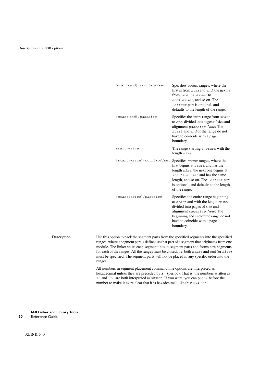|             | [start-end]*count+offset                                                                                                                                                                                                                                                                                                                                                                                                                                                        | Specifies count ranges, where the<br>first is from start to end, the next is<br>from start+offset to<br>$end+offset$ , and so on. The<br>+ of fset part is optional, and<br>defaults to the length of the range.                                                                            |
|-------------|---------------------------------------------------------------------------------------------------------------------------------------------------------------------------------------------------------------------------------------------------------------------------------------------------------------------------------------------------------------------------------------------------------------------------------------------------------------------------------|---------------------------------------------------------------------------------------------------------------------------------------------------------------------------------------------------------------------------------------------------------------------------------------------|
|             | [start-end]/pagesize                                                                                                                                                                                                                                                                                                                                                                                                                                                            | Specifies the entire range from start<br>to end, divided into pages of size and<br>alignment pagesize. Note: The<br>start and end of the range do not<br>have to coincide with a page<br>boundary.                                                                                          |
|             | $start: +size$                                                                                                                                                                                                                                                                                                                                                                                                                                                                  | The range starting at start with the<br>length $size$ .                                                                                                                                                                                                                                     |
|             |                                                                                                                                                                                                                                                                                                                                                                                                                                                                                 | [start:+size]*count+offset Specifies count ranges, where the<br>first begins at start and has the<br>length size, the next one begins at<br>start+ offset and has the same<br>length, and so on. The $\rightarrow$ of fset part<br>is optional, and defaults to the length<br>of the range. |
|             | [start:+size]/pagesize                                                                                                                                                                                                                                                                                                                                                                                                                                                          | Specifies the entire range beginning<br>at start and with the length size,<br>divided into pages of size and<br>alignment pagesize. Note: The<br>beginning and end of the range do not<br>have to coincide with a page<br>boundary.                                                         |
| Description | Use this option to pack the segment parts from the specified segments into the specified<br>ranges, where a segment part is defined as that part of a segment that originates from one<br>module. The linker splits each segment into its segment parts and forms new segments<br>for each of the ranges. All the ranges must be closed; i.e. both start and end (or size)<br>must be specified. The segment parts will not be placed in any specific order into the<br>ranges. |                                                                                                                                                                                                                                                                                             |
|             | All numbers in segment placement command line options are interpreted as                                                                                                                                                                                                                                                                                                                                                                                                        |                                                                                                                                                                                                                                                                                             |

hexadecimal unless they are preceded by a . (period). That is, the numbers written as 10 and .16 are both interpreted as sixteen. If you want, you can put 0x before the number to make it extra clear that it is hexadecimal, like this: 0x4FFF.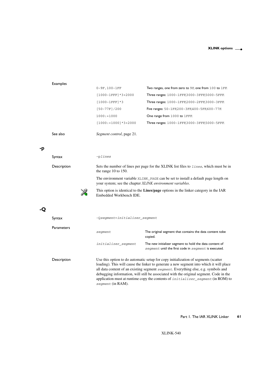| <b>Examples</b> |                           |                                                       |
|-----------------|---------------------------|-------------------------------------------------------|
|                 | $0-9F, 100-1FF$           | Two ranges, one from zero to 9F, one from 100 to 1FF. |
|                 | [1000-1FFF]*3+2000        | Three ranges: 1000-1FFF,3000-3FFF,5000-5FFF.          |
|                 | $[1000 - 1$ FFF $]$ *3    | Three ranges: 1000-1FFF, 2000-2FFF, 3000-3FFF.        |
|                 | [50-77F1/200              | Five ranges: 50-1FF,200-3FF,400-5FF,600-77F.          |
|                 | $1000: +1000$             | One range from 1000 to 1FFF.                          |
|                 | $[1000: +1000]$ *3+2000   | Three ranges: 1000-1FFF, 3000-3FFF, 5000-5FFF.        |
| See also        |                           |                                                       |
|                 | Segment control, page 21. |                                                       |

## **-p**

| Syntax      |   | -plines                                                                                                                                                |
|-------------|---|--------------------------------------------------------------------------------------------------------------------------------------------------------|
| Description |   | Sets the number of lines per page for the XLINK list files to <i>lines</i> , which must be in<br>the range $10$ to $150$ .                             |
|             |   | The environment variable XLINK PAGE can be set to install a default page length on<br>your system; see the chapter <i>XLINK</i> environment variables. |
|             | X | This option is identical to the Lines/page options in the linker category in the IAR<br>Embedded Workbench IDE.                                        |

# **-Q**

| Syntax            | -Osegment=initializer segment |                                                                                                                                                                                                                                                                                                                                                                                                                                                          |
|-------------------|-------------------------------|----------------------------------------------------------------------------------------------------------------------------------------------------------------------------------------------------------------------------------------------------------------------------------------------------------------------------------------------------------------------------------------------------------------------------------------------------------|
| <b>Parameters</b> | segment                       | The original segment that contains the data content tobe<br>copied.                                                                                                                                                                                                                                                                                                                                                                                      |
|                   | initializer segment           | The new initializer segment to hold the data content of<br>segment until the first code in segment is executed.                                                                                                                                                                                                                                                                                                                                          |
| Description       | $segment$ (in RAM).           | Use this option to do automatic setup for copy initialization of segments (scatter<br>loading). This will cause the linker to generate a new segment into which it will place<br>all data content of an existing segment segment. Everything else, e.g. symbols and<br>debugging information, will still be associated with the original segment. Code in the<br>application must at runtime copy the contents of <i>initializer_segment</i> (in ROM) to |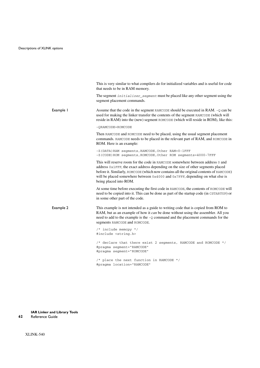|           | This is very similar to what compilers do for initialized variables and is useful for code<br>that needs to be in RAM memory.                                                                                                                                                                                                                                                               |
|-----------|---------------------------------------------------------------------------------------------------------------------------------------------------------------------------------------------------------------------------------------------------------------------------------------------------------------------------------------------------------------------------------------------|
|           | The segment <i>initializer_segment</i> must be placed like any other segment using the<br>segment placement commands.                                                                                                                                                                                                                                                                       |
| Example I | Assume that the code in the segment RAMCODE should be executed in RAM. -Q can be<br>used for making the linker transfer the contents of the segment RAMCODE (which will<br>reside in RAM) into the (new) segment ROMCODE (which will reside in ROM), like this:                                                                                                                             |
|           | -QRAMCODE=ROMCODE                                                                                                                                                                                                                                                                                                                                                                           |
|           | Then RAMCODE and ROMCODE need to be placed, using the usual segment placement<br>commands. RAMCODE needs to be placed in the relevant part of RAM, and ROMCODE in<br>ROM. Here is an example:                                                                                                                                                                                               |
|           | -Z (DATA) RAM segments, RAMCODE, Other RAM=0-1FFF<br>-Z (CODE) ROM segments, ROMCODE, Other ROM segments=4000-7FFF                                                                                                                                                                                                                                                                          |
|           | This will reserve room for the code in RAMCODE somewhere between address 0 and<br>address 0x1FFF, the exact address depending on the size of other segments placed<br>before it. Similarly, ROMCODE (which now contains all the original contents of RAMCODE)<br>will be placed somewhere between $0 \times 4000$ and $0 \times 7$ FFF, depending on what else is<br>being placed into ROM. |
|           | At some time before executing the first code in RAMCODE, the contents of ROMCODE will<br>need to be copied into it. This can be done as part of the startup code (in CSTARTUP) or<br>in some other part of the code.                                                                                                                                                                        |
| Example 2 | This example is not intended as a guide to writing code that is copied from ROM to<br>RAM, but as an example of how it <i>can</i> be done without using the assembler. All you<br>need to add to the example is the $-\Omega$ command and the placement commands for the<br>segments RAMCODE and ROMCODE.                                                                                   |
|           | $/*$ include memcpy $*/$<br>#include <string.h></string.h>                                                                                                                                                                                                                                                                                                                                  |
|           | /* declare that there exist 2 segments, RAMCODE and ROMCODE */<br>#pragma segment="RAMCODE"<br>#pragma segment="ROMCODE"                                                                                                                                                                                                                                                                    |
|           | /* place the next function in RAMCODE */<br>#pragma location="RAMCODE"                                                                                                                                                                                                                                                                                                                      |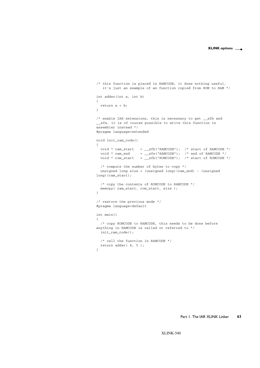```
/* this function is placed in RAMCODE, it does nothing useful,
    it's just an example of an function copied from ROM to RAM */
int adder(int a, int b)
{
  return a + b;
} 
/* enable IAR extensions, this is necessary to get __sfb and 
__sfe, it is of course possible to write this function in 
assembler instead */
#pragma language=extended
void init_ram_code()
{ 
  void * ram_start = _{-}sfb("RAMCODE"); /* start of RAMCODE */
  void * ram_end = __sfe("RAMCODE"); /* end of RAMCODE */
  void * rom_start = __sfb("ROMCODE"); /* start of ROMCODE */
   /* compute the number of bytes to copy */
   unsigned long size = (unsigned long)(ram_end) - (unsigned 
long)(ram start);
   /* copy the contents of ROMCODE to RAMCODE */
 memcpy( ram start, rom start, size );
}
/* restore the previous mode */
#pragma language=default
int main()
{
   /* copy ROMCODE to RAMCODE, this needs to be done before 
anything in RAMCODE is called or referred to */
   init_ram_code();
   /* call the function in RAMCODE */
  return adder( 4, 5 );
}
```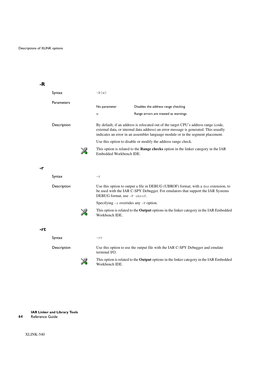## **-R**

|     | Syntax      | $-R[w]$                                    |                                                                                                                                                                                                                                                                |
|-----|-------------|--------------------------------------------|----------------------------------------------------------------------------------------------------------------------------------------------------------------------------------------------------------------------------------------------------------------|
|     | Parameters  | No parameter<br>W                          | Disables the address range checking<br>Range errors are treated as warnings                                                                                                                                                                                    |
|     | Description |                                            | By default, if an address is relocated out of the target CPU's address range (code,<br>external data, or internal data address) an error message is generated. This usually<br>indicates an error in an assembler language module or in the segment placement. |
|     |             |                                            | Use this option to disable or modify the address range check.                                                                                                                                                                                                  |
|     |             | Embedded Workbench IDE.                    | This option is related to the <b>Range checks</b> option in the linker category in the IAR                                                                                                                                                                     |
| -r  |             |                                            |                                                                                                                                                                                                                                                                |
|     | Syntax      | $-r$                                       |                                                                                                                                                                                                                                                                |
|     | Description | DEBUG format, use -F ubrof.                | Use this option to output a file in DEBUG (UBROF) format, with a dnn extension, to<br>be used with the IAR C-SPY Debugger. For emulators that support the IAR Systems                                                                                          |
|     |             | Specifying $-r$ overrides any $-F$ option. |                                                                                                                                                                                                                                                                |
|     |             | Workbench IDE.                             | This option is related to the <b>Output</b> options in the linker category in the IAR Embedded                                                                                                                                                                 |
| -rt |             |                                            |                                                                                                                                                                                                                                                                |
|     | Syntax      | $-rt$                                      |                                                                                                                                                                                                                                                                |
|     | Description | terminal I/O.                              | Use this option to use the output file with the IAR C-SPY Debugger and emulate                                                                                                                                                                                 |
|     |             | Workbench IDE.                             | This option is related to the <b>Output</b> options in the linker category in the IAR Embedded                                                                                                                                                                 |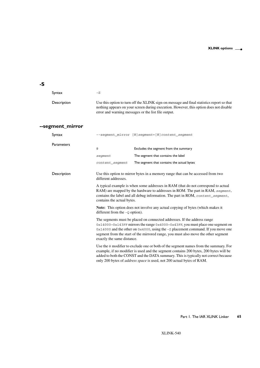# **-S**

| Syntax      | $-S$                                                                                                                                                                                                                                       |
|-------------|--------------------------------------------------------------------------------------------------------------------------------------------------------------------------------------------------------------------------------------------|
| Description | Use this option to turn off the XLINK sign-on message and final statistics report so that<br>nothing appears on your screen during execution. However, this option does not disable<br>error and warning messages or the list file output. |

# **--segment\_mirror**

| Syntax            |                                                                                                                                                                                                                                                                                                                                                                                                                        | --segment_mirror [@]segment=[@]content_segment                                                                                                                                                                                                                                                                                                                |  |
|-------------------|------------------------------------------------------------------------------------------------------------------------------------------------------------------------------------------------------------------------------------------------------------------------------------------------------------------------------------------------------------------------------------------------------------------------|---------------------------------------------------------------------------------------------------------------------------------------------------------------------------------------------------------------------------------------------------------------------------------------------------------------------------------------------------------------|--|
| <b>Parameters</b> |                                                                                                                                                                                                                                                                                                                                                                                                                        |                                                                                                                                                                                                                                                                                                                                                               |  |
|                   | a                                                                                                                                                                                                                                                                                                                                                                                                                      | Excludes the segment from the summary                                                                                                                                                                                                                                                                                                                         |  |
|                   | segment                                                                                                                                                                                                                                                                                                                                                                                                                | The segment that contains the label                                                                                                                                                                                                                                                                                                                           |  |
|                   | content_segment                                                                                                                                                                                                                                                                                                                                                                                                        | The segment that contains the actual bytes                                                                                                                                                                                                                                                                                                                    |  |
| Description       | Use this option to mirror bytes in a memory range that can be accessed from two<br>different addresses.                                                                                                                                                                                                                                                                                                                |                                                                                                                                                                                                                                                                                                                                                               |  |
|                   | A typical example is when some addresses in RAM (that do not correspond to actual<br>RAM) are mapped by the hardware to addresses in ROM. The part in RAM, segment,<br>contains the label and all debug information. The part in ROM, content_segment,<br>contains the actual bytes.<br><b>Note:</b> This option does not involve any actual copying of bytes (which makes it<br>different from the $-\Omega$ option). |                                                                                                                                                                                                                                                                                                                                                               |  |
|                   |                                                                                                                                                                                                                                                                                                                                                                                                                        |                                                                                                                                                                                                                                                                                                                                                               |  |
|                   | The segments must be placed on connected addresses. If the address range<br>0x14000-0x143FF mirrors the range 0x4000-0x43FF, you must place one segment on<br>$0 \times 14000$ and the other on $0 \times 4000$ , using the -z placement command. If you move one<br>segment from the start of the mirrored range, you must also move the other segment<br>exactly the same distance.                                  |                                                                                                                                                                                                                                                                                                                                                               |  |
|                   |                                                                                                                                                                                                                                                                                                                                                                                                                        | Use the $\epsilon$ modifier to exclude one or both of the segment names from the summary. For<br>example, if no modifier is used and the segment contains 200 bytes, 200 bytes will be<br>added to both the CONST and the DATA summary. This is typically not correct because<br>only 200 bytes of <i>address space</i> is used, not 200 actual bytes of RAM. |  |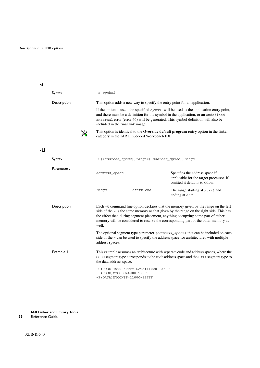| -s |             |                                                                                                                                                                                                                                                                                                          |
|----|-------------|----------------------------------------------------------------------------------------------------------------------------------------------------------------------------------------------------------------------------------------------------------------------------------------------------------|
|    | Syntax      | -s symbol                                                                                                                                                                                                                                                                                                |
|    | Description | This option adds a new way to specify the entry point for an application.                                                                                                                                                                                                                                |
|    |             | If the option is used, the specified $symbo1$ will be used as the application entry point,<br>and there must be a definition for the symbol in the application, or an Undefined<br>External error (error 46) will be generated. This symbol definition will also be<br>included in the final link image. |
|    |             | This option is identical to the <b>Override default program entry</b> option in the linker<br>category in the IAR Embedded Workbench IDE.                                                                                                                                                                |
|    |             |                                                                                                                                                                                                                                                                                                          |

| Syntax            | -U[(address_space)]range=[(address_space)]range                                                                                                                                                                                                                                                                                                                      |                                           |                                                                                                                                                                               |
|-------------------|----------------------------------------------------------------------------------------------------------------------------------------------------------------------------------------------------------------------------------------------------------------------------------------------------------------------------------------------------------------------|-------------------------------------------|-------------------------------------------------------------------------------------------------------------------------------------------------------------------------------|
| <b>Parameters</b> | address_space                                                                                                                                                                                                                                                                                                                                                        |                                           | Specifies the address space if<br>applicable for the target processor. If<br>omitted it defaults to CODE.                                                                     |
|                   | range                                                                                                                                                                                                                                                                                                                                                                | start-end                                 | The range starting at start and<br>ending at end.                                                                                                                             |
| Description       | Each -u command line option declares that the memory given by the range on the left<br>side of the $=$ is the same memory as that given by the range on the right side. This has<br>the effect that, during segment placement, anything occupying some part of either<br>memory will be considered to reserve the corresponding part of the other memory as<br>well. |                                           |                                                                                                                                                                               |
|                   | address spaces.                                                                                                                                                                                                                                                                                                                                                      |                                           | The optional segment type parameter (address_space) that can be included on each<br>side of the = can be used to specify the address space for architectures with multiple    |
| Example 1         | the data address space.                                                                                                                                                                                                                                                                                                                                              |                                           | This example assumes an architecture with separate code and address spaces, where the<br>CODE segment type corresponds to the code address space and the DATA segment type to |
|                   | -P (CODE) MYCODE=4000-5FFF<br>-P(DATA) MYCONST=11000-12FFF                                                                                                                                                                                                                                                                                                           | $-U$ (CODE) 4000-5FFF= (DATA) 11000-12FFF |                                                                                                                                                                               |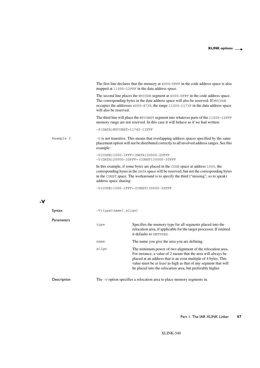|           | The first line declares that the memory at 4000–5FFF in the code address space is also<br>mapped at 11000–12FFF in the data address space.                                                                                                                                                   |
|-----------|----------------------------------------------------------------------------------------------------------------------------------------------------------------------------------------------------------------------------------------------------------------------------------------------|
|           | The second line places the MYCODE segment at 4000–5FFF in the code address space.<br>The corresponding bytes in the data address space will also be reserved. If MYCODE<br>occupies the addresses $4000-473F$ , the range $11000-1173F$ in the data address space<br>will also be reserved.  |
|           | The third line will place the MYCONST segment into whatever parts of the 11000–12FFF<br>memory range are not reserved. In this case it will behave as if we had written:                                                                                                                     |
|           | $-P(DATA) MYCONST = 11740 - 12FFF$                                                                                                                                                                                                                                                           |
| Example 2 | - <i>v</i> is not transitive. This means that overlapping address spaces specified by the same<br>placement option will not be distributed correctly to all involved address ranges. See this<br>example:                                                                                    |
|           | -U (CODE) 1000-1FFF= (DATA) 20000-20FFF<br>-U (DATA) 20000-20FFF= (CONST) 30000-30FFF                                                                                                                                                                                                        |
|           | In this example, if some bytes are placed in the CODE space at address 1000, the<br>corresponding bytes in the DATA space will be reserved, but not the corresponding bytes<br>in the CONST space. The workaround is to specify the third ("missing", so to speak)<br>address space sharing: |
|           | -U (CODE) 1000-1FFF= (CONST) 30000-30FFF                                                                                                                                                                                                                                                     |

**-V**

| Syntax            | $-V(type)$ name [, align] |                                                                                                                                                                                                                                                                                                                                       |
|-------------------|---------------------------|---------------------------------------------------------------------------------------------------------------------------------------------------------------------------------------------------------------------------------------------------------------------------------------------------------------------------------------|
| <b>Parameters</b> | type                      | Specifies the memory type for all segments placed into the<br>relocation area, if applicable for the target processor. If omitted<br>it defaults to UNTYPED.                                                                                                                                                                          |
|                   | name                      | The name you give the area you are defining.                                                                                                                                                                                                                                                                                          |
|                   | align                     | The minimum power of two alignment of the relocation area.<br>For instance, a value of 2 means that the area will always be<br>placed at an address that is an even multiple of 4 bytes. This<br>value must be <i>at least</i> as high as that of any segment that will<br>be placed into the relocation area, but preferably higher. |
| Description       |                           | The -v option specifies a relocation area to place memory segments in.                                                                                                                                                                                                                                                                |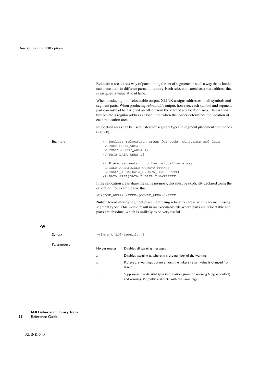Relocation areas are a way of partitioning the set of segments in such a way that a loader can place them in different parts of memory. Each relocation area has a start address that is assigned a value at load time.

When producing non-relocatable output, XLINK assigns addresses to all symbols and segment parts. When producing *relocatable* output, however, each symbol and segment part can instead be assigned an offset from the start of a relocation area. This is then turned into a regular address at load time, when the loader determines the location of each relocation area.

Relocation areas can be used instead of segment types in segment placement commands  $(-Z, -P)$ .

Example  $\frac{1}{2}$  // Declare relocation areas for code, constants and data. -V(CODE)CODE\_AREA, 12 -V(CONST)CONST\_AREA, 12 -V(DATA)DATA\_AREA,12 // Place segments into the relocation areas -Z(CODE\_AREA)RCODE, CODE=0-FFFFFF -Z(CONST\_AREA)DATA\_C,DATA\_ID=0-FFFFFF -Z(DATA\_AREA)DATA\_Z,DATA\_I=0-FFFFFF

> If the relocation areas share the same memory, this must be explicitly declared using the -U option, for example like this:

-U(CODE\_AREA)0-FFFF=(CONST\_AREA)0-FFFF

**Note:** Avoid mixing segment placement using relocation areas with placement using segment types. This would result in an executable file where parts are relocatable and parts are absolute, which is unlikely to be very useful.

**-w** 

Syntax  $-w[n] s | t | ID[=severity]$ 

#### Parameters

| No parameter | Disables all warning messages.                                                                                                       |
|--------------|--------------------------------------------------------------------------------------------------------------------------------------|
| n            | Disables warning $n$ , where $n$ is the number of the warning.                                                                       |
| s            | If there are warnings but no errors, the linker's return value is changed from<br>$0$ to $1$ .                                       |
| t            | Suppresses the detailed type information given for warning 6 (type conflict)<br>and warning 35 (multiple structs with the same tag). |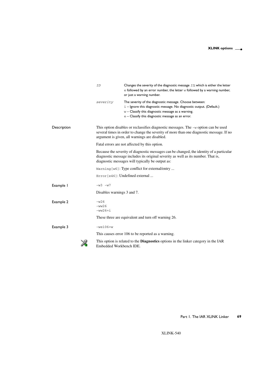|                                             | ID                         | Changes the severity of the diagnostic message $ID$ , which is either the letter<br>$e$ followed by an error number, the letter $w$ followed by a warning number,<br>or just a warning number.                                                 |  |  |  |
|---------------------------------------------|----------------------------|------------------------------------------------------------------------------------------------------------------------------------------------------------------------------------------------------------------------------------------------|--|--|--|
|                                             | severity                   | The severity of the diagnostic message. Choose between:<br>i - Ignore this diagnostic message. No diagnostic output. (Default.)<br>$w$ – Classify this diagnostic message as a warning.<br>$e$ – Classify this diagnostic message as an error. |  |  |  |
| Description                                 |                            | This option disables or reclassifies diagnostic messages. The $-w$ option can be used<br>several times in order to change the severity of more than one diagnostic message. If no<br>argument is given, all warnings are disabled.             |  |  |  |
|                                             |                            | Fatal errors are not affected by this option.                                                                                                                                                                                                  |  |  |  |
|                                             |                            | Because the severity of diagnostic messages can be changed, the identity of a particular<br>diagnostic message includes its original severity as well as its number. That is,<br>diagnostic messages will typically be output as:              |  |  |  |
|                                             |                            | Warning [w6]: Type conflict for external/entry                                                                                                                                                                                                 |  |  |  |
|                                             |                            | Error [e46]: Undefined external                                                                                                                                                                                                                |  |  |  |
| Example I                                   | $-w3 - w7$                 |                                                                                                                                                                                                                                                |  |  |  |
|                                             | Disables warnings 3 and 7. |                                                                                                                                                                                                                                                |  |  |  |
| Example 2<br>$-w26$<br>$-ww26$<br>$-ww26=i$ |                            |                                                                                                                                                                                                                                                |  |  |  |
|                                             |                            | These three are equivalent and turn off warning 26.                                                                                                                                                                                            |  |  |  |
| Example 3                                   | $-$ we $106$ =w            |                                                                                                                                                                                                                                                |  |  |  |
|                                             |                            | This causes error 106 to be reported as a warning.                                                                                                                                                                                             |  |  |  |
|                                             | Embedded Workbench IDE.    | This option is related to the <b>Diagnostics</b> options in the linker category in the IAR                                                                                                                                                     |  |  |  |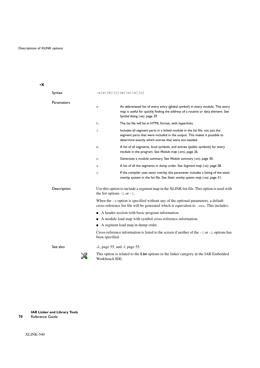#### **-x**

| Syntax      |                 | -x[e][h][i][m][n][s][o]                                                                                                                                                                                            |  |  |
|-------------|-----------------|--------------------------------------------------------------------------------------------------------------------------------------------------------------------------------------------------------------------|--|--|
| Parameters  | e               | An abbreviated list of every entry (global symbol) in every module. This entry<br>map is useful for quickly finding the address of a routine or data element. See<br>Symbol listing (-xe), page 29.                |  |  |
|             | ħ               | The list file will be in HTML format, with hyperlinks.                                                                                                                                                             |  |  |
|             | i               | Includes all segment parts in a linked module in the list file, not just the<br>segment parts that were included in the output. This makes it possible to<br>determine exactly which entries that were not needed. |  |  |
|             | m               | A list of all segments, local symbols, and entries (public symbols) for every<br>module in the program. See Module map (-xm), page 26.                                                                             |  |  |
|             | n               | Generates a module summary. See Module summary (-xn), page 30.                                                                                                                                                     |  |  |
|             | S               | A list of all the segments in dump order. See Segment map (-xs), page 28.                                                                                                                                          |  |  |
|             | $\circ$         | If the compiler uses static overlay, this parameter includes a listing of the static<br>overlay system in the list file. See Static overlay system map (-xo), page 31.                                             |  |  |
| Description |                 | Use this option to include a segment map in the XLINK list file. This option is used with<br>the list options $-L$ or $-1$ .                                                                                       |  |  |
|             |                 | When the $-x$ option is specified without any of the optional parameters, a default<br>cross-reference list file will be generated which is equivalent to -xms. This includes:                                     |  |  |
|             |                 | • A header section with basic program information.                                                                                                                                                                 |  |  |
|             |                 | • A module load map with symbol cross-reference information.                                                                                                                                                       |  |  |
|             |                 | A segment load map in dump order.                                                                                                                                                                                  |  |  |
|             | been specified. | Cross-reference information is listed to the screen if neither of the $-1$ or $-L$ options has                                                                                                                     |  |  |
| See also    |                 | $-L$ , page 55, and $-l$ , page 55.                                                                                                                                                                                |  |  |
|             | Warkhangh IDE   | This option is related to the List options in the linker category in the IAR Embedded                                                                                                                              |  |  |

Workbench IDE.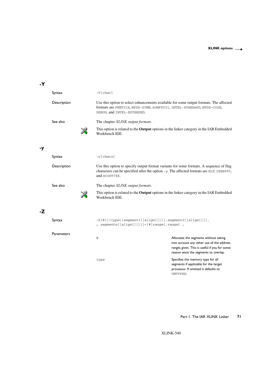# **-Y**

| Syntax      | $-Y[char]$                                                                                                                                                                                            |
|-------------|-------------------------------------------------------------------------------------------------------------------------------------------------------------------------------------------------------|
| Description | Use this option to select enhancements available for some output formats. The affected<br>formats are PENTICA, MPDS-SYMB, AOMF8051, INTEL-STANDARD, MPDS-CODE,<br>DEBUG, and INTEL-EXTENDED.          |
| See also    | The chapter <i>XLINK output formats</i> .                                                                                                                                                             |
|             | This option is related to the <b>Output</b> options in the linker category in the IAR Embedded<br>Workbench IDE.                                                                                      |
| Syntax      | $-y[chars]$                                                                                                                                                                                           |
| Description | Use this option to specify output format variants for some formats. A sequence of flag<br>characters can be specified after the option $-y$ . The affected formats are ELF, IEEE695,<br>and XCOFF78K. |
| See also    | The chapter XLINK output formats.                                                                                                                                                                     |
|             | This option is related to the <b>Output</b> options in the linker category in the IAR Embedded<br>Workbench IDE.                                                                                      |

## **-Z**

**-y** 

| Syntax            |      | $-Z[0]$ [(type)]segment1[ align[ ]][,segment2[ align[ ]],<br>$segmentn[ align[ ]][= !] \nmapsto [range], range]$                                                           |  |
|-------------------|------|----------------------------------------------------------------------------------------------------------------------------------------------------------------------------|--|
| <b>Parameters</b> | e    | Allocates the segments without taking<br>into account any other use of the address<br>ranges given. This is useful if you for some<br>reason want the segments to overlap. |  |
|                   | type | Specifies the memory type for all<br>segments if applicable for the target<br>processor. If omitted it defaults to<br>UNTYPED.                                             |  |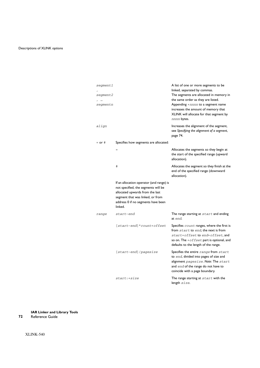| segmentl<br>segment2<br>,<br>segmentn |                                                                                                                                                                                                         | A list of one or more segments to be<br>linked, separated by commas.<br>The segments are allocated in memory in<br>the same order as they are listed.<br>Appending +nnnn to a segment name<br>increases the amount of memory that<br>XLINK will allocate for that segment by<br>nnnn bytes. |
|---------------------------------------|---------------------------------------------------------------------------------------------------------------------------------------------------------------------------------------------------------|---------------------------------------------------------------------------------------------------------------------------------------------------------------------------------------------------------------------------------------------------------------------------------------------|
| align                                 |                                                                                                                                                                                                         | Increases the alignment of the segment,<br>see Specifying the alignment of a segment,<br>page 74.                                                                                                                                                                                           |
| $=$ or $\#$                           | Specifies how segments are allocated:                                                                                                                                                                   |                                                                                                                                                                                                                                                                                             |
|                                       | $\equiv$                                                                                                                                                                                                | Allocates the segments so they begin at<br>the start of the specified range (upward<br>allocation).                                                                                                                                                                                         |
|                                       | $\#$                                                                                                                                                                                                    | Allocates the segment so they finish at the<br>end of the specified range (downward<br>allocation).                                                                                                                                                                                         |
|                                       | If an allocation operator (and range) is<br>not specified, the segments will be<br>allocated upwards from the last<br>segment that was linked, or from<br>address 0 if no segments have been<br>linked. |                                                                                                                                                                                                                                                                                             |
| range                                 | start-end                                                                                                                                                                                               | The range starting at $start$ and ending<br>at end.                                                                                                                                                                                                                                         |
|                                       | [start-end]*count+offset                                                                                                                                                                                | Specifies <i>count</i> ranges, where the first is<br>from start to end, the next is from<br>start+offset to end+offset, and<br>so on. The +offset part is optional, and<br>defaults to the length of the range.                                                                             |
|                                       | [start-end]/pagesize                                                                                                                                                                                    | Specifies the entire range from start<br>to end, divided into pages of size and<br>alignment pagesize. Note: The start<br>and end of the range do not have to<br>coincide with a page boundary.                                                                                             |
|                                       | start:+size                                                                                                                                                                                             | The range starting at $start$ with the<br>length $size$ .                                                                                                                                                                                                                                   |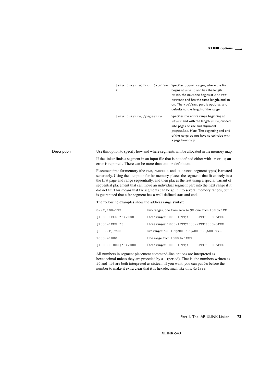| [start:+size]*count+offse<br>t | Specifies count ranges, where the first<br>begins at $start$ and has the length<br>$size$ , the next one begins at $start+$<br>$offset$ and has the same length, and so<br>on. The $+offset$ part is optional, and<br>defaults to the length of the range. |
|--------------------------------|------------------------------------------------------------------------------------------------------------------------------------------------------------------------------------------------------------------------------------------------------------|
| $[start; + size]/pagesize$     | Specifies the entire range beginning at<br>$start$ and with the length $size$ , divided<br>into pages of size and alignment<br>$pagesize$ . Note: The beginning and end<br>of the range do not have to coincide with<br>a page boundary.                   |

Description Use this option to specify how and where segments will be allocated in the memory map. If the linker finds a segment in an input file that is not defined either with  $-z$  or  $-p$ , an error is reported. There can be more than one -Z definition. Placement into far memory (the FAR, FARCODE, and FARCONST segment types) is treated separately. Using the  $-z$  option for far memory, places the segments that fit entirely into the first page and range sequentially, and then places the rest using a special variant of sequential placement that can move an individual segment part into the next range if it did not fit. This means that far segments can be split into several memory ranges, but it is guaranteed that a far segment has a well-defined start and end.

The following examples show the address range syntax:

| $0-9F, 100-1FF$         | Two ranges, one from zero to 9F, one from 100 to 1FF. |
|-------------------------|-------------------------------------------------------|
| $[1000-1$ FFF] *3+2000  | Three ranges: 1000-1FFF, 3000-3FFF, 5000-5FFF.        |
| $[1000-1$ FFF] *3       | Three ranges: 1000-1FFF,2000-2FFF,3000-3FFF.          |
| $[50-77F]/200$          | Five ranges: 50-1FF,200-3FF,400-5FF,600-77F.          |
| $1000: +1000$           | One range from 1000 to 1FFF.                          |
| $[1000: +1000]$ *3+2000 | Three ranges: 1000-1FFF, 3000-3FFF, 5000-5FFF.        |

All numbers in segment placement command-line options are interpreted as hexadecimal unless they are preceded by a . (period). That is, the numbers written as 10 and .16 are both interpreted as sixteen. If you want, you can put 0x before the number to make it extra clear that it is hexadecimal, like this:  $0 \times 4$ FFF.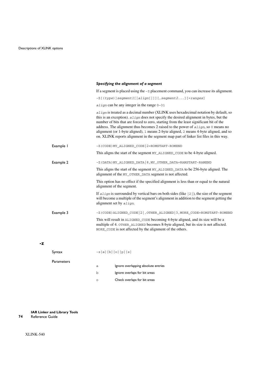|           | Specifying the alignment of a segment                                                                                                                                                                                                                                                                                                                                                                                                                                                                                                                  |
|-----------|--------------------------------------------------------------------------------------------------------------------------------------------------------------------------------------------------------------------------------------------------------------------------------------------------------------------------------------------------------------------------------------------------------------------------------------------------------------------------------------------------------------------------------------------------------|
|           | If a segment is placed using the $-z$ placement command, you can increase its alignment.                                                                                                                                                                                                                                                                                                                                                                                                                                                               |
|           | -Z[(type)]segment1[ align[ ]][,segment2][=ranges]                                                                                                                                                                                                                                                                                                                                                                                                                                                                                                      |
|           | align can be any integer in the range $0-31$                                                                                                                                                                                                                                                                                                                                                                                                                                                                                                           |
|           | $a$ 1 i gn is treated as a decimal number (XLINK uses hexadecimal notation by default, so<br>this is an exception). align does not specify the desired alignment in bytes, but the<br>number of bits that are forced to zero, starting from the least significant bit of the<br>address. The alignment thus becomes 2 raised to the power of $align$ , so 0 means no<br>alignment (or 1-byte aligned), 1 means 2-byte aligned, 2 means 4-byte aligned, and so<br>on. XLINK reports alignment in the segment map part of linker list files in this way. |
| Example 1 | -Z (CODE) MY_ALIGNED_CODE   2=ROMSTART-ROMEND                                                                                                                                                                                                                                                                                                                                                                                                                                                                                                          |
|           | This aligns the start of the segment MY_ALIGNED_CODE to be 4-byte aligned.                                                                                                                                                                                                                                                                                                                                                                                                                                                                             |
| Example 2 | -Z (DATA) MY_ALIGNED_DATA   8, MY_OTHER_DATA=RAMSTART-RAMEND                                                                                                                                                                                                                                                                                                                                                                                                                                                                                           |
|           | This aligns the start of the segment MY_ALIGNED_DATA to be 256-byte aligned. The<br>alignment of the MY_OTHER_DATA segment is not affected.                                                                                                                                                                                                                                                                                                                                                                                                            |
|           | This option has no effect if the specified alignment is less than or equal to the natural<br>alignment of the segment.                                                                                                                                                                                                                                                                                                                                                                                                                                 |
|           | If all ign is surrounded by vertical bars on both sides (like $ 2 $ ), the size of the segment<br>will become a multiple of the segment's alignment in addition to the segment getting the<br>alignment set by align.                                                                                                                                                                                                                                                                                                                                  |
| Example 3 | -Z (CODE) ALIGNED_CODE   2   , OTHER_ALIGNED   3 , MORE_CODE=ROMSTART-ROMEND                                                                                                                                                                                                                                                                                                                                                                                                                                                                           |
|           | This will result in ALIGNED_CODE becoming 4-byte aligned, and its size will be a<br>multiple of 4. OTHER_ALIGNED becomes 8-byte aligned, but its size is not affected.<br>MORE_CODE is not affected by the alignment of the others.                                                                                                                                                                                                                                                                                                                    |
|           |                                                                                                                                                                                                                                                                                                                                                                                                                                                                                                                                                        |

| Syntax     |         | $-z[a][b][o][p][s]$                 |  |
|------------|---------|-------------------------------------|--|
| Parameters | a       | Ignore overlapping absolute entries |  |
|            | b       | Ignore overlaps for bit areas       |  |
|            | $\circ$ | Check overlaps for bit areas        |  |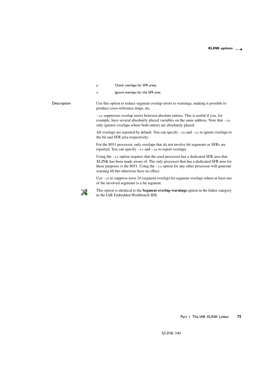|             | Check overlaps for SFR areas<br>p                                                                                                                                                                                                                                                                                   |
|-------------|---------------------------------------------------------------------------------------------------------------------------------------------------------------------------------------------------------------------------------------------------------------------------------------------------------------------|
|             | Ignore overlaps for the SFR area<br>S                                                                                                                                                                                                                                                                               |
| Description | Use this option to reduce segment overlap errors to warnings, making it possible to<br>produce cross-reference maps, etc.                                                                                                                                                                                           |
|             | -za suppresses overlap errors between absolute entries. This is useful if you, for<br>example, have several absolutely placed variables on the same address. Note that -za<br>only ignores overlaps where both entries are absolutely placed.                                                                       |
|             | All overlaps are reported by default. You can specify $-zb$ and $-zs$ to ignore overlaps to<br>the bit and SFR area respectively.                                                                                                                                                                                   |
|             | For the 8051 processor, only overlaps that do not involve bit segments or SFRs are<br>reported. You can specify $-z_0$ and $-z_p$ to report overlaps.                                                                                                                                                               |
|             | Using the $-zs$ option requires that the used processor has a dedicated SFR area that<br>XLINK has been made aware of. The only processor that has a dedicated SFR area for<br>these purposes is the 8051. Using the $-zs$ option for any other processor will generate<br>warning 68 but otherwise have no effect. |
|             | Use $-zb$ to suppress error 24 (segment overlap) for segment overlaps where at least one<br>of the involved segments is a bit segment.                                                                                                                                                                              |
| ╲╔⋻         | This option is identical to the <b>Segment overlan warnings</b> option in the linker category                                                                                                                                                                                                                       |



This option is identical to the **Segment overlap warnings** option in the linker category in the IAR Embedded Workbench IDE.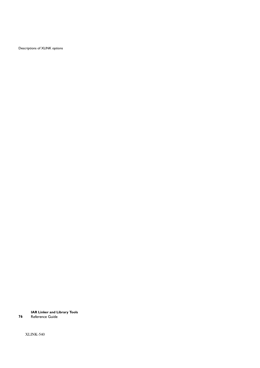Descriptions of XLINK options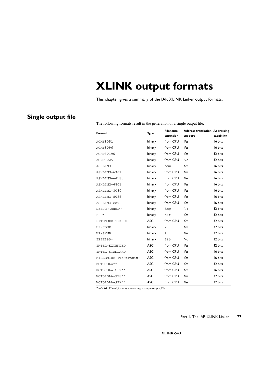# <span id="page-76-0"></span>**XLINK output formats**

This chapter gives a summary of the IAR XLINK Linker output formats.

# **Single output file**

The following formats result in the generation of a single output file:

| Format                | <b>Type</b>  | <b>Filename</b><br>extension | <b>Address translation Addressing</b><br>support | capability |
|-----------------------|--------------|------------------------------|--------------------------------------------------|------------|
| AOMF8051              | binary       | from CPU                     | Yes                                              | 16 bits    |
| AOMF8096              | binary       | from CPU                     | Yes                                              | 16 bits    |
| AOMF80196             | binary       | from CPU                     | Yes                                              | 32 bits    |
| AOMF80251             | binary       | from CPU                     | No                                               | 32 bits    |
| ASHLING               | binary       | none                         | Yes                                              | 16 bits    |
| ASHLING-6301          | binary       | from CPU                     | Yes                                              | 16 bits    |
| ASHLING-64180         | binary       | from CPU                     | Yes                                              | 16 bits    |
| ASHLING-6801          | binary       | from CPU                     | Yes                                              | 16 bits    |
| ASHLING-8080          | binary       | from CPU                     | Yes                                              | 16 bits    |
| ASHLING-8085          | binary       | from CPU                     | Yes                                              | 16 bits    |
| ASHLING-Z80           | binary       | from CPU                     | Yes                                              | 16 bits    |
| DEBUG (UBROF)         | binary       | dbg                          | No                                               | 32 bits    |
| ELF*                  | binary       | e1f                          | Yes                                              | 32 bits    |
| EXTENDED-TEKHEX       | <b>ASCII</b> | from CPU                     | Yes                                              | 32 bits    |
| HP-CODE               | binary       | $\mathbf{x}$                 | Yes                                              | 32 bits    |
| HP-SYMB               | binary       | 1.                           | Yes                                              | 32 bits    |
| IEEE695*              | binary       | 695                          | Nο                                               | 32 bits    |
| INTEL-EXTENDED        | <b>ASCII</b> | from CPU                     | Yes                                              | 32 bits    |
| INTEL-STANDARD        | <b>ASCII</b> | from CPU                     | Yes                                              | 16 bits    |
| MILLENIUM (Tektronix) | <b>ASCII</b> | from CPU                     | Yes                                              | 16 bits    |
| MOTOROLA **           | <b>ASCII</b> | from CPU                     | Yes                                              | 32 bits    |
| MOTOROLA-S19 **       | <b>ASCII</b> | from CPU                     | Yes                                              | 16 bits    |
| MOTOROLA-S28 **       | <b>ASCII</b> | from CPU                     | Yes                                              | 32 bits    |
| MOTOROLA-S37**        | <b>ASCII</b> | from CPU                     | Yes                                              | 32 bits    |

*Table 10: XLINK formats generating a single output file*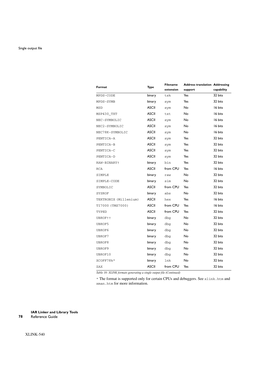| Format                | Type         | <b>Filename</b> | <b>Address translation Addressing</b> |            |
|-----------------------|--------------|-----------------|---------------------------------------|------------|
|                       |              | extension       | support                               | capability |
| MPDS-CODE             | binary       | tsk             | Yes                                   | 32 bits    |
| MPDS-SYMB             | binary       | sym             | Yes                                   | 32 bits    |
| MSD                   | <b>ASCII</b> | sym             | No                                    | 16 bits    |
| MSP430_TXT            | <b>ASCII</b> | txt             | No                                    | 16 bits    |
| NEC-SYMBOLIC          | <b>ASCII</b> | sym             | No                                    | 16 bits    |
| NEC2-SYMBOLIC         | ASCII        | sym             | No                                    | 16 bits    |
| NEC78K-SYMBOLIC       | ASCII        | sym             | No                                    | 16 bits    |
| PENTICA-A             | <b>ASCII</b> | sym             | Yes                                   | 32 bits    |
| PENTICA-B             | <b>ASCII</b> | sym             | Yes                                   | 32 bits    |
| PENTICA-C             | <b>ASCII</b> | sym             | Yes                                   | 32 bits    |
| PENTICA-D             | <b>ASCII</b> | sym             | Yes                                   | 32 bits    |
| RAW-BINARY+           | binary       | bin             | Yes                                   | 32 bits    |
| <b>RCA</b>            | <b>ASCII</b> | from CPU        | Yes                                   | 16 bits    |
| SIMPLE                | binary       | raw             | No                                    | 32 bits    |
| SIMPLE-CODE           | binary       | sim             | No                                    | 32 bits    |
| SYMBOLIC              | <b>ASCII</b> | from CPU        | Yes                                   | 32 bits    |
| SYSROF                | binary       | abs             | No                                    | 32 bits    |
| TEKTRONIX (Millenium) | <b>ASCII</b> | hex             | Yes                                   | 16 bits    |
| TI7000 (TMS7000)      | <b>ASCII</b> | from CPU        | Yes                                   | 16 bits    |
| TYPED                 | <b>ASCII</b> | from CPU        | Yes                                   | 32 bits    |
| UBROF † †             | binary       | dba             | No                                    | 32 bits    |
| UBROF5                | binary       | dba             | No                                    | 32 bits    |
| UBROF6                | binary       | dbg             | No                                    | 32 bits    |
| UBROF7                | binary       | dbg             | No                                    | 32 bits    |
| UBROF8                | binary       | dba             | No                                    | 32 bits    |
| UBROF9                | binary       | dbg             | No                                    | 32 bits    |
| UBROF10               | binary       | dbg             | No                                    | 32 bits    |
| XCOFF78k*             | binary       | lnk             | No                                    | 32 bits    |
| ZAX                   | <b>ASCII</b> | from CPU        | Yes                                   | 32 bits    |

*Table 10: XLINK formats generating a single output file (Continued)*

\* The format is supported only for certain CPUs and debuggers. See xlink.htm and xman.htm for more information.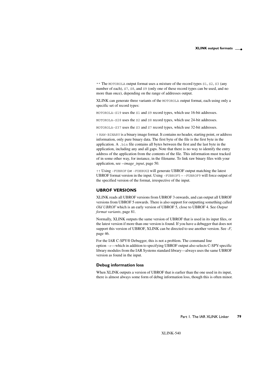\*\* The MOTOROLA output format uses a mixture of the record types S1, S2, S3 (any number of each),  $57$ ,  $58$ , and  $59$  (only one of these record types can be used, and no more than once), depending on the range of addresses output.

XLINK can generate three variants of the MOTOROLA output format, each using only a specific set of record types:

MOTOROLA-S19 uses the S1 and S9 record types, which use 16-bit addresses.

MOTOROLA-S28 uses the S2 and S8 record types, which use 24-bit addresses.

MOTOROLA-S37 uses the S3 and S7 record types, which use 32-bit addresses.

† RAW-BINARY is a binary image format. It contains no header, starting point, or address information, only pure binary data. The first byte of the file is the first byte in the application. A .bin file contains all bytes between the first and the last byte in the application, including any and all gaps. Note that there is no way to identify the entry address of the application from the contents of the file. This information must tracked of in some other way, for instance, in the filename. To link raw binary files with your application, see *[--image\\_input](#page-49-0)*, page 50.

†† Using -FUBROF (or -FDEBUG) will generate UBROF output matching the latest UBROF format version in the input. Using -FUBROF5 – -FUBROF9 will force output of the specified version of the format, irrespective of the input.

#### **UBROF VERSIONS**

XLINK reads all UBROF versions from UBROF 3 onwards, and can output all UBROF versions from UBROF 5 onwards. There is also support for outputting something called *Old UBROF* which is an early version of UBROF 5, close to UBROF 4. See *[Output](#page-80-0)  [format variants](#page-80-0)*, page 81.

Normally, XLINK outputs the same version of UBROF that is used in its input files, or the latest version if more than one version is found. If you have a debugger that does not support this version of UBROF, XLINK can be directed to use another version. See *[-F](#page-45-0)*, [page 46.](#page-45-0)

For the IAR C-SPY® Debugger, this is not a problem. The command line option -r—which in addition to specifying UBROF output also selects C-SPY-specific library modules from the IAR Systems standard library—always uses the same UBROF version as found in the input.

## **Debug information loss**

When XLINK outputs a version of UBROF that is earlier than the one used in its input, there is almost always some form of debug information loss, though this is often minor.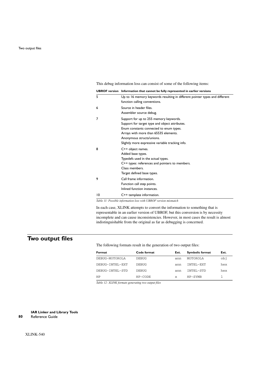|    | UBROF version Information that cannot be fully represented in earlier versions                                                                                                                                                                                |
|----|---------------------------------------------------------------------------------------------------------------------------------------------------------------------------------------------------------------------------------------------------------------|
| 5. | Up to 16 memory keywords resulting in different pointer types and different<br>function calling conventions.                                                                                                                                                  |
| 6  | Source in header files.<br>Assembler source debug.                                                                                                                                                                                                            |
| 7  | Support for up to 255 memory keywords.<br>Support for target type and object attributes.<br>Enum constants connected to enum types.<br>Arrays with more than 65535 elements.<br>Anonymous structs/unions.<br>Slightly more expressive variable tracking info. |
| 8  | C++ object names.<br>Added base types.<br>Typedefs used in the actual types.<br>C++ types: references and pointers to members.<br>Class members.<br>Target defined base types.                                                                                |
| 9  | Call frame information.<br>Function call step points.<br>Inlined function instances.                                                                                                                                                                          |
| 10 | C++ template information.                                                                                                                                                                                                                                     |

This debug information loss can consist of some of the following items:

*Table 11: Possible information loss with UBROF version mismatch*

In each case, XLINK attempts to convert the information to something that is representable in an earlier version of UBROF, but this conversion is by necessity incomplete and can cause inconsistencies. However, in most cases the result is almost indistinguishable from the original as far as debugging is concerned.

# **Two output files**

The following formats result in the generation of two output files:

| Format          | Code format  | Ext. | <b>Symbolic format</b> | Ext. |
|-----------------|--------------|------|------------------------|------|
| DEBUG-MOTOROLA  | <b>DEBUG</b> | ann  | MOTOROLA               | obj  |
| DEBUG-INTEL-EXT | <b>DEBUG</b> | ann  | TNTEL-EXT              | hex  |
| DEBUG-INTEL-STD | <b>DEBUG</b> | ann  | INTEL-STD              | hex  |
| ΗP              | HP-CODE      | X    | HP-SYMB                |      |

*Table 12: XLINK formats generating two output files*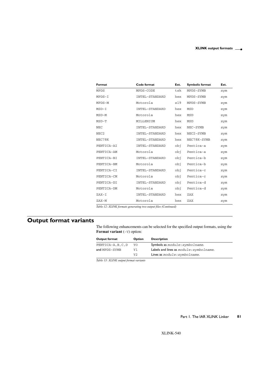٠

÷

| Format           | Code format    | Ext. | Symbolic format | Ext. |
|------------------|----------------|------|-----------------|------|
| MPDS             | MPDS-CODE      | tsk  | MPDS-SYMB       | sym  |
| $MPDS-I$         | INTEL-STANDARD | hex  | MPDS-SYMB       | sym  |
| MPDS-M           | Motorola       | s19  | MPDS-SYMB       | sym  |
| $MSD-I$          | INTEL-STANDARD | hex  | MSD             | sym  |
| MSD-M            | Motorola       | hex  | MSD             | sym  |
| $MSD-T$          | MILLENIUM      | hex  | MSD             | sym  |
| NEC              | INTEL-STANDARD | hex  | NEC-SYMB        | sym  |
| NEC <sub>2</sub> | INTEL-STANDARD | hex  | NEC2-SYMB       | sym  |
| NEC78K           | INTEL-STANDARD | hex  | NEC78K-SYMB     | sym  |
| PENTICA-AI       | INTEL-STANDARD | rdo  | Pentica-a       | sym  |
| PENTICA-AM       | Motorola       | cbi  | Pentica-a       | sym  |
| PENTICA-BI       | INTEL-STANDARD | rdo  | Pentica-b       | sym  |
| PENTICA-BM       | Motorola       | rdo  | Pentica-b       | sym  |
| PENTICA-CI       | INTEL-STANDARD | rdo  | Pentica-c       | sym  |
| PENTICA-CM       | Motorola       | ido  | Pentica-c       | sym  |
| PENTICA-DI       | INTEL-STANDARD | rdo  | Pentica-d       | sym  |
| PENTICA-DM       | Motorola       | rdo  | Pentica-d       | sym  |
| ZAX-I            | INTEL-STANDARD | hex  | ZAX             | sym  |
| $ZAX-M$          | Motorola       | hex  | ZAX             | sym  |

*Table 12: XLINK formats generating two output files (Continued)*

# <span id="page-80-0"></span>**Output format variants**

The following enhancements can be selected for the specified output formats, using the **Format variant** (-Y) option:

| <b>Output format</b> | <b>Option</b> | <b>Description</b>                         |
|----------------------|---------------|--------------------------------------------|
| PENTICA-A, B, C, D   | YO            | Symbols as module: symbolname.             |
| and MPDS-SYMB        | Y1            | Labels and lines as $module: symbolname$ . |
|                      | Y2            | Lines as module: symbolname.               |

*Table 13: XLINK output format variants*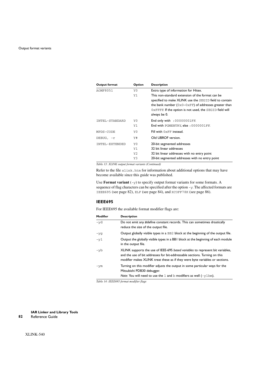| Output format  | Option | <b>Description</b>                                                                                                                                                                                                                              |
|----------------|--------|-------------------------------------------------------------------------------------------------------------------------------------------------------------------------------------------------------------------------------------------------|
| AOMF8051       | Y0     | Extra type of information for Hitex.                                                                                                                                                                                                            |
|                | Y1     | This non-standard extension of the format can be<br>specified to make XLINK use the SEGID field to contain<br>the bank number $(0x0-0xFF)$ of addresses greater than<br>OXFFFF. If the option is not used, the SEGID field will<br>always be 0. |
| INTEL-STANDARD | Y0     | End only with $:00000001$ FF.                                                                                                                                                                                                                   |
|                | Y1     | End with PGMENTRY, else: 0000001FF.                                                                                                                                                                                                             |
| MPDS-CODE      | Y0     | Fill with $0 \times FF$ instead.                                                                                                                                                                                                                |
| DEBUG, $-r$    | Y#     | Old UBROF version.                                                                                                                                                                                                                              |
| INTEL-EXTENDED | Y0     | 20-bit segmented addresses                                                                                                                                                                                                                      |
|                | Y1     | 32 bit linear addresses                                                                                                                                                                                                                         |
|                | Y2.    | 32 bit linear addresses with no entry point                                                                                                                                                                                                     |
|                | Y3     | 20-bit segmented addresses with no entry point                                                                                                                                                                                                  |

*Table 13: XLINK output format variants (Continued)*

Refer to the file xlink.htm for information about additional options that may have become available since this guide was published.

Use **Format variant** (-y) to specify output format variants for some formats. A sequence of flag characters can be specified after the option -y. The affected formats are IEEE695 (see [page 82](#page-81-0)), ELF (see [page 84](#page-83-0)), and XCOFF78K (see [page 86\)](#page-85-0).

# <span id="page-81-0"></span>**IEEE695**

For IEEE695 the available format modifier flags are:

| Modifier | <b>Description</b>                                                                                                                                                                                                                           |
|----------|----------------------------------------------------------------------------------------------------------------------------------------------------------------------------------------------------------------------------------------------|
| -yd      | Do not emit any #define constant records. This can sometimes drastically<br>reduce the size of the output file.                                                                                                                              |
| -yg      | Output globally visible types in a BB2 block at the beginning of the output file.                                                                                                                                                            |
| $-y1$    | Output the globally visible types in a BBI block at the beginning of each module<br>in the output file.                                                                                                                                      |
| $-yb$    | XLINK supports the use of IEEE-695 based variables to represent bit variables,<br>and the use of bit addresses for bit-addressable sections. Turning on this<br>modifier makes XLINK treat these as if they were byte variables or sections. |
| $-ym$    | Turning on this modifier adjusts the output in some particular ways for the<br>Mitsubishi PDB30 debugger.<br>Note: You will need to use the 1 and b modifiers as well $(-y1bm)$ .                                                            |

*Table 14: IEEE695 format modifier flags*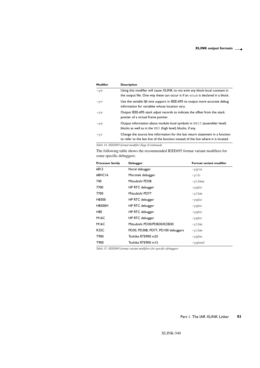$\bullet$ 

| Modifier | <b>Description</b>                                                                                                                                                   |
|----------|----------------------------------------------------------------------------------------------------------------------------------------------------------------------|
| $-ye$    | Using this modifier will cause XLINK to not emit any block-local constant in<br>the output file. One way these can occur is if an enum is declared in a block.       |
| $-vv$    | Use the variable life time support in IEEE-695 to output more accurate debug<br>information for variables whose location vary.                                       |
| $-VS$    | Output IEEE-695 stack adjust records to indicate the offset from the stack<br>pointer of a virtual frame pointer.                                                    |
| -ya      | Output information about module local symbols in BB10 (assembler level)<br>blocks as well as in the BB3 (high level) blocks, if any.                                 |
| $-yr$    | Change the source line information for the last return statement in a function<br>to refer to the last line of the function instead of the line where it is located. |

*Table 14: IEEE695 format modifier flags (Continued)*

The following table shows the recommended IEEE695 format variant modifiers for some specific debuggers:

| <b>Processor family</b> | <b>Debugger</b>                    | Format variant modifier |
|-------------------------|------------------------------------|-------------------------|
| 6812                    | Noral debugger                     | -ygvs                   |
| 68HC16                  | Microtek debugger                  | -ylb                    |
| 740                     | Mitsubishi PD38                    | -ylbma                  |
| 7700                    | HP RTC debugger                    | -ygbr                   |
| 7700                    | Mitsubishi PD77                    | $-y1$ bm                |
| H8300                   | HP RTC debugger                    | -ygbr                   |
| H8300H                  | HP RTC debugger                    | -ygbr                   |
| H8S                     | HP RTC debugger                    | -ygbr                   |
| MI6C                    | HP RTC debugger                    | -ygbr                   |
| MI6C                    | Mitsubishi PD30/PDB30/KDB30        | $-v1$ bm                |
| R32C                    | PD30, PD308, PD77, PD100 debuggers | $-y1$ bm                |
| T900                    | Toshiba RTE900 m25                 | -ygbe                   |
| T900                    | Toshiba RTE900 m15                 | -ygbed                  |
|                         |                                    |                         |

*Table 15: IEEE695 format variant modifiers for specific debuggers*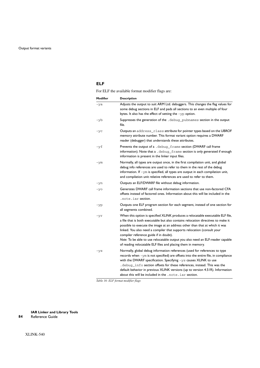# <span id="page-83-0"></span>**ELF**

For ELF the available format modifier flags are:

| Modifier | <b>Description</b>                                                                                                                                                                                                                                                                                                                                                                                                                                                                                                         |
|----------|----------------------------------------------------------------------------------------------------------------------------------------------------------------------------------------------------------------------------------------------------------------------------------------------------------------------------------------------------------------------------------------------------------------------------------------------------------------------------------------------------------------------------|
| -ya      | Adjusts the output to suit ARM Ltd. debuggers. This changes the flag values for<br>some debug sections in ELF and pads all sections to an even multiple of four<br>bytes. It also has the effect of setting the $-y$ option.                                                                                                                                                                                                                                                                                               |
| -yb      | Suppresses the generation of the . debug_pubnames section in the output<br>file.                                                                                                                                                                                                                                                                                                                                                                                                                                           |
| $-yc$    | Outputs an address_class attribute for pointer types based on the UBROF<br>memory attribute number. This format variant option requires a DWARF<br>reader (debugger) that understands these attributes.                                                                                                                                                                                                                                                                                                                    |
| -yf      | Prevents the output of a . debug_frame section (DWARF call frame<br>information). Note that a .debug_frame section is only generated if enough<br>information is present in the linker input files.                                                                                                                                                                                                                                                                                                                        |
| -ym      | Normally, all types are output once, in the first compilation unit, and global<br>debug info references are used to refer to them in the rest of the debug<br>information. If $-\gamma m$ is specified, all types are output in each compilation unit,<br>and compilation unit relative references are used to refer to them.                                                                                                                                                                                              |
| -yn      | Outputs an ELF/DWARF file without debug information.                                                                                                                                                                                                                                                                                                                                                                                                                                                                       |
| $-yo$    | Generates DWARF call frame information sections that use non-factored CFA<br>offsets instead of factored ones. Information about this will be included in the<br>.note.iar section.                                                                                                                                                                                                                                                                                                                                        |
| $-YP$    | Outputs one ELF program section for each segment, instead of one section for<br>all segments combined.                                                                                                                                                                                                                                                                                                                                                                                                                     |
| -yr      | When this option is specified XLINK produces a relocatable executable ELF file,<br>a file that is both executable but also contains relocation directives to make it<br>possible to execute the image at an address other than that at which it was<br>linked. You also need a compiler that supports relocation (consult your<br>compiler reference guide if in doubt).<br>Note: To be able to use relocatable output you also need an ELF-reader capable<br>of reading relocatable ELF files and placing them in memory. |
| -ys      | Normally, global debug information references (used for references to type<br>records when $-\gamma m$ is not specified) are offsets into the entire file, in compliance<br>with the DWARF specification. Specifying $-ys$ causes XLINK to use<br>. debug_info section offsets for these references, instead. This was the<br>default behavior in previous XLINK versions (up to version 4.51R). Information<br>about this will be included in the .note.iar section.                                                      |

*Table 16: ELF format modifier flags*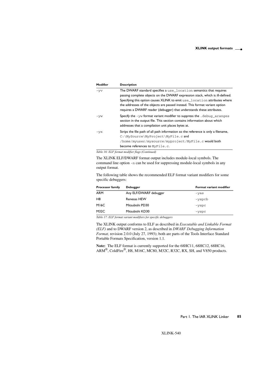| Modifier | <b>Description</b>                                                                                                                                                                                                                                                                                                                                                                        |
|----------|-------------------------------------------------------------------------------------------------------------------------------------------------------------------------------------------------------------------------------------------------------------------------------------------------------------------------------------------------------------------------------------------|
| $-vv$    | The DWARF standard specifies a use_location semantics that requires<br>passing complete objects on the DWARF expression stack, which is ill-defined.<br>Specifying this option causes XLINK to emit use_location attributes where<br>the addresses of the objects are passed instead. This format variant option<br>requires a DWARF reader (debugger) that understands these attributes. |
| $-yw$    | Specify the -yw format variant modifier to suppress the . debug_aranges<br>section in the output file. This section contains information about which<br>addresses that a compilation unit places bytes at.                                                                                                                                                                                |
| $-yx$    | Strips the file path of all path information so the reference is only a filename,<br>C:\MySource\MyProject\MyFile.cand<br>/home/myuser/mysource/myproject/MyFile.cwouldboth<br>become references to MyFile.c.                                                                                                                                                                             |

*Table 16: ELF format modifier flags (Continued)*

The XLINK ELF/DWARF format output includes module-local symbols. The command line option -n can be used for suppressing module-local symbols in any output format.

The following table shows the recommended ELF format variant modifiers for some specific debuggers:

| <b>Processor family</b> | <b>Debugger</b>        | <b>Format variant modifier</b> |
|-------------------------|------------------------|--------------------------------|
| ARM                     | Any ELF/DWARF debugger | -yas                           |
| H <sub>8</sub>          | <b>Renesas HEW</b>     | -yspcb                         |
| MI6C                    | Mitsubishi PD30        | $-V$ spc                       |
| <b>M32C</b>             | Mitsubishi KD30        | $-V$ spc                       |

*Table 17: ELF format variant modifiers for specific debuggers*

The XLINK output conforms to ELF as described in *Executable and Linkable Format (ELF)* and to DWARF version 2, as described in *DWARF Debugging Information Format,* revision 2.0.0 (July 27, 1993); both are parts of the Tools Interface Standard Portable Formats Specification, version 1.1.

**Note:** The ELF format is currently supported for the 68HC11, 68HC12, 68HC16, ARM®, ColdFire®, H8, M16C, MC80, M32C, R32C, RX, SH, and V850 products.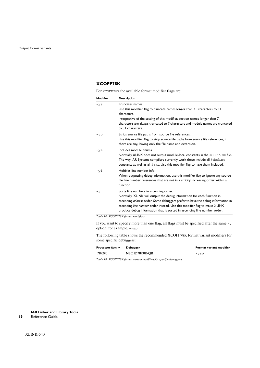# <span id="page-85-0"></span>**XCOFF78K**

For XCOFF78K the available format modifier flags are:

| Modifier | <b>Description</b>                                                                                                                                                                                                                                                                                                                                           |
|----------|--------------------------------------------------------------------------------------------------------------------------------------------------------------------------------------------------------------------------------------------------------------------------------------------------------------------------------------------------------------|
| $-ys$    | Truncates names.<br>Use this modifier flag to truncate names longer than 31 characters to 31<br>characters.<br>Irrespective of the setting of this modifier, section names longer than 7<br>characters are always truncated to 7 characters and module names are truncated<br>to 31 characters.                                                              |
| $-yp$    | Strips source file paths from source file references.<br>Use this modifier flag to strip source file paths from source file references, if<br>there are any, leaving only the file name and extension.                                                                                                                                                       |
| -ye      | Includes module enums.<br>Normally XLINK does not output module-local constants in the XCOFF78K file.<br>The way IAR Systems compilers currently work these include all #define<br>constants as well as all SFRs. Use this modifier flag to have them included.                                                                                              |
| $-y1$    | Hobbles line number info.<br>When outputting debug information, use this modifier flag to ignore any source<br>file line number references that are not in a strictly increasing order within a<br>function.                                                                                                                                                 |
| -yn      | Sorts line numbers in ascending order.<br>Normally, XLINK will output the debug information for each function in<br>ascending address order. Some debuggers prefer to have the debug information in<br>ascending line number order instead. Use this modifier flag to make XLINK<br>produce debug information that is sorted in ascending line number order. |

*Table 18: XCOFF78K format modifiers*

If you want to specify more than one flag, all flags must be specified after the same -y option; for example, -ysp.

The following table shows the recommended XCOFF78K format variant modifiers for some specific debuggers:

| <b>Processor family</b> | Debugger       | Format variant modifier |
|-------------------------|----------------|-------------------------|
| 78K0R                   | NEC ID78K0R-OB | -ysp                    |

*Table 19: XCOFF78K format variant modifiers for specific debuggers*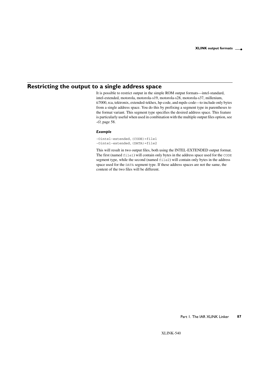# <span id="page-86-0"></span>**Restricting the output to a single address space**

It is possible to restrict output in the simple ROM output formats—intel-standard, intel-extended, motorola, motorola-s19, motorola-s28, motorola-s37, millenium, ti7000, rca, tektronix, extended-tekhex, hp-code, and mpds-code—to include only bytes from a single address space. You do this by prefixing a segment type in parentheses to the format variant. This segment type specifies the desired address space. This feature is particularly useful when used in combination with the multiple output files option, see *-O*[, page 58.](#page-57-0)

#### *Example*

-Ointel-extended,(CODE)=file1 -Ointel-extended,(DATA)=file2

This will result in two output files, both using the INTEL-EXTENDED output format. The first (named file1) will contain only bytes in the address space used for the CODE segment type, while the second (named file2) will contain only bytes in the address space used for the DATA segment type. If these address spaces are not the same, the content of the two files will be different.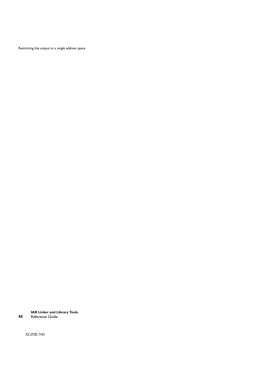Restricting the output to a single address space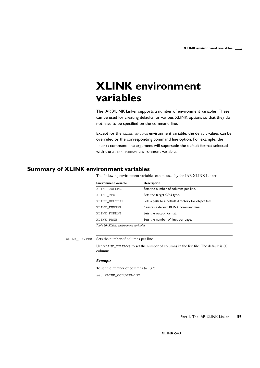# **XLINK environment variables**

The IAR XLINK Linker supports a number of environment variables. These can be used for creating defaults for various XLINK options so that they do not have to be specified on the command line.

Except for the XLINK\_ENVPAR environment variable, the default values can be overruled by the corresponding command line option. For example, the -FMPDS command line argument will supersede the default format selected with the XLINK\_FORMAT environment variable.

# **Summary of XLINK environment variables**

The following environment variables can be used by the IAR XLINK Linker:

| <b>Environment variable</b> | <b>Description</b>                                   |
|-----------------------------|------------------------------------------------------|
| XLINK COLUMNS               | Sets the number of columns per line.                 |
| XLINK CPU                   | Sets the target CPU type.                            |
| XLINK DFLTDIR               | Sets a path to a default directory for object files. |
| XLINK ENVPAR                | Creates a default XLINK command line.                |
| XLINK FORMAT                | Sets the output format.                              |
| XLINK PAGE                  | Sets the number of lines per page.                   |

*Table 20: XLINK environment variables*

XLINK\_COLUMNS Sets the number of columns per line.

Use XLINK\_COLUMNS to set the number of columns in the list file. The default is 80 columns.

#### *Example*

To set the number of columns to 132:

set XLINK\_COLUMNS=132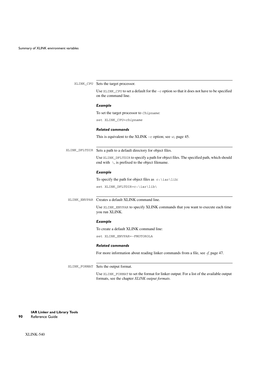|               | XLINK_CPU Sets the target processor.                                                                                                               |
|---------------|----------------------------------------------------------------------------------------------------------------------------------------------------|
|               | Use XLINK CPU to set a default for the $-c$ option so that it does not have to be specified<br>on the command line.                                |
|               | <b>Example</b>                                                                                                                                     |
|               | To set the target processor to <i>Chipname</i> :                                                                                                   |
|               | set XLINK_CPU=chipname                                                                                                                             |
|               | <b>Related commands</b>                                                                                                                            |
|               | This is equivalent to the XLINK $-c$ option; see $-c$ , page 45.                                                                                   |
| XLINK_DFLTDIR | Sets a path to a default directory for object files.                                                                                               |
|               | Use XLINK_DFLTDIR to specify a path for object files. The specified path, which should<br>end with $\lambda$ , is prefixed to the object filename. |
|               | <b>Example</b>                                                                                                                                     |
|               | To specify the path for object files as $c:\iota x\iota b$ :                                                                                       |
|               | set XLINK_DFLTDIR=c:\iar\lib\                                                                                                                      |
|               | XLINK_ENVPAR Creates a default XLINK command line.                                                                                                 |
|               | Use XLINK_ENVPAR to specify XLINK commands that you want to execute each time<br>you run XLINK.                                                    |
|               | <b>Example</b>                                                                                                                                     |
|               | To create a default XLINK command line:                                                                                                            |
|               | set XLINK_ENVPAR=-FMOTOROLA                                                                                                                        |
|               | <b>Related commands</b>                                                                                                                            |
|               | For more information about reading linker commands from a file, see -f, page 47.                                                                   |
| XLINK_FORMAT  | Sets the output format.                                                                                                                            |
|               |                                                                                                                                                    |

Use XLINK\_FORMAT to set the format for linker output. For a list of the available output formats, see the chapter *[XLINK output formats](#page-76-0)*.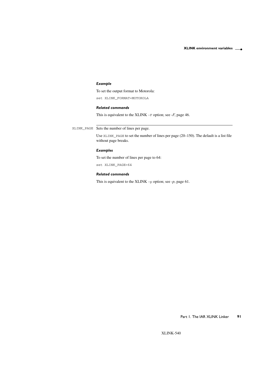#### *Example*

To set the output format to Motorola:

set XLINK\_FORMAT=MOTOROLA

#### *Related commands*

This is equivalent to the XLINK -F option; see *-F*[, page 46.](#page-45-0)

XLINK\_PAGE Sets the number of lines per page.

Use XLINK\_PAGE to set the number of lines per page (20–150). The default is a list file without page breaks.

### *Examples*

To set the number of lines per page to 64:

set XLINK\_PAGE=64

## *Related commands*

This is equivalent to the XLINK -p option; see *-p*[, page 61](#page-60-0).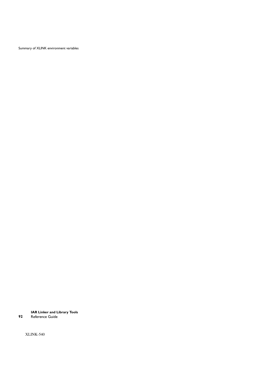Summary of XLINK environment variables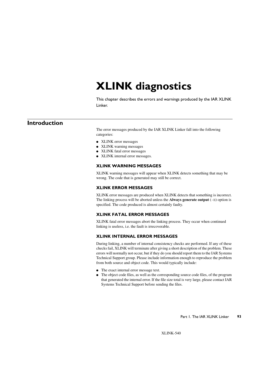# **XLINK diagnostics**

This chapter describes the errors and warnings produced by the IAR XLINK Linker.

# **Introduction**

The error messages produced by the IAR XLINK Linker fall into the following categories:

- XLINK error messages
- XLINK warning messages
- XLINK fatal error messages
- XLINK internal error messages.

# **XLINK WARNING MESSAGES**

XLINK warning messages will appear when XLINK detects something that may be wrong. The code that is generated may still be correct.

# **XLINK ERROR MESSAGES**

XLINK error messages are produced when XLINK detects that something is incorrect. The linking process will be aborted unless the **Always generate output**  $(-B)$  option is specified. The code produced is almost certainly faulty.

# **XLINK FATAL ERROR MESSAGES**

XLINK fatal error messages abort the linking process. They occur when continued linking is useless, i.e. the fault is irrecoverable.

# **XLINK INTERNAL ERROR MESSAGES**

During linking, a number of internal consistency checks are performed. If any of these checks fail, XLINK will terminate after giving a short description of the problem. These errors will normally not occur, but if they do you should report them to the IAR Systems Technical Support group. Please include information enough to reproduce the problem from both source and object code. This would typically include:

- The exact internal error message text.
- The object code files, as well as the corresponding source code files, of the program that generated the internal error. If the file size total is very large, please contact IAR Systems Technical Support before sending the files.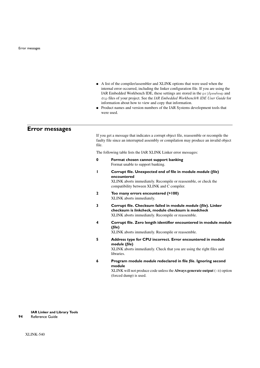- A list of the compiler/assembler and XLINK options that were used when the internal error occurred, including the linker configuration file. If you are using the IAR Embedded Workbench IDE, these settings are stored in the prj/pew/ewp and dtp files of your project. See the *IAR Embedded Workbench® IDE User Guide* for information about how to view and copy that information.
- Product names and version numbers of the IAR Systems development tools that were used.

# **Error messages**

If you get a message that indicates a corrupt object file, reassemble or recompile the faulty file since an interrupted assembly or compilation may produce an invalid object file.

The following table lists the IAR XLINK Linker error messages:

| $\mathbf 0$  | Format chosen cannot support banking<br>Format unable to support banking.                                                                                                                     |
|--------------|-----------------------------------------------------------------------------------------------------------------------------------------------------------------------------------------------|
| ı            | Corrupt file. Unexpected end of file in module module (file)<br>encountered<br>XLINK aborts immediately. Recompile or reassemble, or check the<br>compatibility between XLINK and C compiler. |
| $\mathbf{2}$ | Too many errors encountered (>100)<br>XLINK aborts immediately.                                                                                                                               |
| 3            | Corrupt file. Checksum failed in module module (file). Linker<br>checksum is linkcheck, module checksum is modcheck<br>XLINK aborts immediately. Recompile or reassemble.                     |
| 4            | Corrupt file. Zero length identifier encountered in module module<br>(file)<br>XLINK aborts immediately. Recompile or reassemble.                                                             |
| 5            | Address type for CPU incorrect. Error encountered in module<br>module (file)<br>XLINK aborts immediately. Check that you are using the right files and<br>libraries.                          |
| 6            | Program module module redeclared in file file. Ignoring second<br>module<br>XLINK will not produce code unless the <b>Always generate output</b> $(-B)$ option<br>(forced dump) is used.      |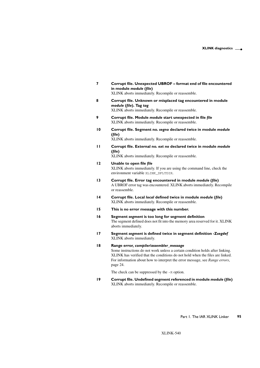- **7 Corrupt file. Unexpected UBROF format end of file encountered in module** *module* **(***file***)** XLINK aborts immediately. Recompile or reassemble.
- **8 Corrupt file. Unknown or misplaced tag encountered in module**  *module* **(***file***). Tag** *tag* XLINK aborts immediately. Recompile or reassemble.
- **9 Corrupt file. Module** *module* **start unexpected in file** *file* XLINK aborts immediately. Recompile or reassemble.
- **10 Corrupt file. Segment no.** *segno* **declared twice in module** *module* **(***file***)** XLINK aborts immediately. Recompile or reassemble.
- **11 Corrupt file. External no.** *ext no* **declared twice in module** *module* **(***file***)** XLINK aborts immediately. Recompile or reassemble.

# **12 Unable to open file** *file*

XLINK aborts immediately. If you are using the command line, check the environment variable XLINK\_DFLTDIR.

- **13 Corrupt file. Error tag encountered in module** *module* **(***file***)** A UBROF error tag was encountered. XLINK aborts immediately. Recompile or reassemble.
- **14 Corrupt file. Local** *local* **defined twice in module** *module* **(***file***)** XLINK aborts immediately. Recompile or reassemble.
- **15 This is no error message with this number.**
- **16 Segment** *segment* **is too long for segment definition** The segment defined does not fit into the memory area reserved for it. XLINK aborts immediately.
- **17 Segment** *segment* **is defined twice in segment definition -Z***segdef* XLINK aborts immediately.

## **18 Range error,** *compiler/assembler\_message*

Some instructions do not work unless a certain condition holds after linking. XLINK has verified that the conditions do not hold when the files are linked. For information about how to interpret the error message, see *[Range errors](#page-23-0)*, [page 24.](#page-23-0)

The check can be suppressed by the -R option.

**19 Corrupt file. Undefined segment referenced in module** *module* **(***file***)** XLINK aborts immediately. Recompile or reassemble.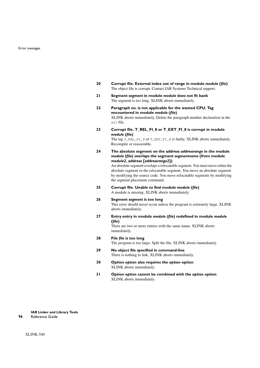- **20 Corrupt file. External index out of range in module** *module* **(***file***)** The object file is corrupt. Contact IAR Systems Technical support.
- **21 Segment** *segment* **in module** *module* **does not fit bank** The segment is too long. XLINK aborts immediately.
- **22 Paragraph no. is not applicable for the wanted CPU. Tag encountered in module** *module* **(***file***)** XLINK aborts immediately. Delete the paragraph number declaration in the xcl file.
- **23 Corrupt file. T\_REL\_FI\_8 or T\_EXT\_FI\_8 is corrupt in module**  *module* **(***file***)** The tag T\_REL\_FI\_8 or T\_EXT\_FI\_8 is faulty. XLINK aborts immediately. Recompile or reassemble.

**24 The absolute segment on the address** *addressrange* **in the module**  *module* **(***file***) overlaps the segment** *segmentname* **(from module**  *module2***, address [***addressrange2***])**

> An absolute segment overlaps a relocatable segment. You must move either the absolute segment or the relocatable segment. You move an absolute segment by modifying the source code. You move relocatable segments by modifying the segment placement command.

**25 Corrupt file. Unable to find module** *module* **(***file***)**

A module is missing. XLINK aborts immediately.

#### **26 Segment** *segment* **is too long**

This error should never occur unless the program is extremely large. XLINK aborts immediately.

## **27 Entry entry in module** *module* **(***file***) redefined in module** *module* **(***file***)**

There are two or more entries with the same name. XLINK aborts immediately.

- **28 File** *file* **is too long** The program is too large. Split the file. XLINK aborts immediately.
- **29 No object file specified in command-line** There is nothing to link. XLINK aborts immediately.
- **30 Option** *option* **also requires the** *option* **option** XLINK aborts immediately.
- **31 Option** *option* **cannot be combined with the** *option* **option** XLINK aborts immediately.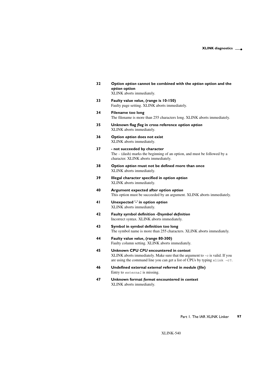| 32 | Option option cannot be combined with the option option and the<br>option option<br>XLINK aborts immediately.                                                                                                      |
|----|--------------------------------------------------------------------------------------------------------------------------------------------------------------------------------------------------------------------|
| 33 | Faulty value value, (range is 10-150)<br>Faulty page setting. XLINK aborts immediately.                                                                                                                            |
| 34 | Filename too long<br>The filename is more than 255 characters long. XLINK aborts immediately.                                                                                                                      |
| 35 | Unknown flag flag in cross reference option option<br>XLINK aborts immediately.                                                                                                                                    |
| 36 | Option option does not exist<br>XLINK aborts immediately.                                                                                                                                                          |
| 37 | - not succeeded by character<br>The - (dash) marks the beginning of an option, and must be followed by a<br>character. XLINK aborts immediately.                                                                   |
| 38 | Option option must not be defined more than once<br>XLINK aborts immediately.                                                                                                                                      |
| 39 | Illegal character specified in option option<br>XLINK aborts immediately.                                                                                                                                          |
| 40 | Argument expected after option option<br>This option must be succeeded by an argument. XLINK aborts immediately.                                                                                                   |
| 41 | Unexpected '-' in option option<br>XLINK aborts immediately.                                                                                                                                                       |
| 42 | Faulty symbol definition -Dsymbol definition<br>Incorrect syntax. XLINK aborts immediately.                                                                                                                        |
| 43 | Symbol in symbol definition too long<br>The symbol name is more than 255 characters. XLINK aborts immediately.                                                                                                     |
| 44 | Faulty value value, (range 80-300)<br>Faulty column setting. XLINK aborts immediately.                                                                                                                             |
| 45 | Unknown CPU CPU encountered in context<br>XLINK aborts immediately. Make sure that the argument to $-c$ is valid. If you<br>are using the command line you can get a list of CPUs by typing $x \text{link} - c$ ?. |
| 46 | Undefined external external referred in module (file)<br>Entry to external is missing.                                                                                                                             |
| 47 | Unknown format format encountered in context<br>XLINK aborts immediately.                                                                                                                                          |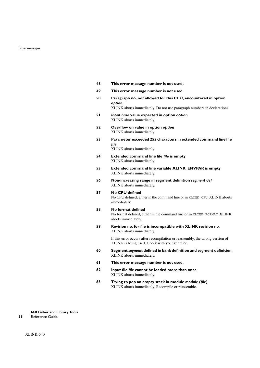| 48 | This error message number is not used.                                                                                                             |
|----|----------------------------------------------------------------------------------------------------------------------------------------------------|
| 49 | This error message number is not used.                                                                                                             |
| 50 | Paragraph no. not allowed for this CPU, encountered in option<br>option<br>XLINK aborts immediately. Do not use paragraph numbers in declarations. |
| 51 | Input base value expected in option option<br>XLINK aborts immediately.                                                                            |
| 52 | Overflow on value in option option<br>XLINK aborts immediately.                                                                                    |
| 53 | Parameter exceeded 255 characters in extended command line file<br>file<br>XLINK aborts immediately.                                               |
| 54 | Extended command line file file is empty<br>XLINK aborts immediately.                                                                              |
| 55 | Extended command line variable XLINK_ENVPAR is empty<br>XLINK aborts immediately.                                                                  |
| 56 | Non-increasing range in segment definition segment def<br>XLINK aborts immediately.                                                                |
| 57 | No CPU defined<br>No CPU defined, either in the command line or in XLINK CPU. XLINK aborts<br>immediately.                                         |
| 58 | No format defined<br>No format defined, either in the command line or in XLINK_FORMAT. XLINK<br>aborts immediately.                                |
| 59 | Revision no. for file is incompatible with XLINK revision no.<br>XLINK aborts immediately.                                                         |
|    | If this error occurs after recompilation or reassembly, the wrong version of<br>XLINK is being used. Check with your supplier.                     |
| 60 | Segment segment defined in bank definition and segment definition.<br>XLINK aborts immediately.                                                    |
| 61 | This error message number is not used.                                                                                                             |
| 62 | Input file file cannot be loaded more than once<br>XLINK aborts immediately.                                                                       |
| 63 | Trying to pop an empty stack in module module (file)<br>XLINK aborts immediately. Recompile or reassemble.                                         |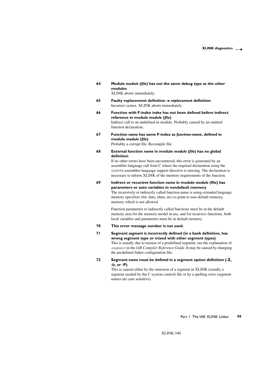**64 Module** *module* **(***file***) has not the same debug type as the other modules** XLINK aborts immediately.

**65 Faulty replacement definition -e** *replacement* **definition**

Incorrect syntax. XLINK aborts immediately.

- **66 Function with F-index** *index* **has not been defined before indirect reference in module** *module* **(***file***)** Indirect call to an undefined in module. Probably caused by an omitted function declaration.
- **67 Function** *name* **has same F-index as** *function***-***name***, defined in module** *module* **(***file***)**

Probably a corrupt file. Recompile file.

**68 External function** *name* **in module** *module* **(***file***) has no global definition** 

> If no other errors have been encountered, this error is generated by an assembler-language call from C where the required declaration using the \$DEFFN assembler-language support directive is missing. The declaration is necessary to inform XLINK of the memory requirements of the function.

**69 Indirect or recursive function** *name* **in module** *module* **(file) has parameters or auto variables in nondefault memory**

> The recursively or indirectly called function name is using extended language memory specifiers (bit, data, idata, etc) to point to non-default memory, memory which is not allowed.

> Function parameters to indirectly called functions must be in the default memory area for the memory model in use, and for recursive functions, both local variables and parameters must be in default memory.

- **70 This error message number is not used.**
- **71 Segment** *segment* **is incorrectly defined (in a bank definition, has wrong segment type or mixed with other segment types)**

This is usually due to misuse of a predefined segment; see the explanation of *segment* in the *IAR Compiler Reference Guide*. It may be caused by changing the predefined linker configuration file.

**72 Segment** *name* **must be defined in a segment option definition (-Z, -b, or -P)**

> This is caused either by the omission of a segment in XLINK (usually a segment needed by the C system control) file or by a spelling error (segment names are case sensitive).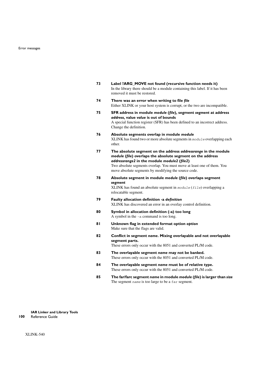| 73 | Label ?ARG_MOVE not found (recursive function needs it)<br>In the library there should be a module containing this label. If it has been<br>removed it must be restored.                                                                                                                                      |
|----|---------------------------------------------------------------------------------------------------------------------------------------------------------------------------------------------------------------------------------------------------------------------------------------------------------------|
| 74 | There was an error when writing to file file<br>Either XLINK or your host system is corrupt, or the two are incompatible.                                                                                                                                                                                     |
| 75 | SFR address in module module (file), segment segment at address<br>address, value value is out of bounds<br>A special function register (SFR) has been defined to an incorrect address.<br>Change the definition.                                                                                             |
| 76 | Absolute segments overlap in module module<br>XLINK has found two or more absolute segments in module overlapping each<br>other.                                                                                                                                                                              |
| 77 | The absolute segment on the address addressrange in the module<br>module (file) overlaps the absolute segment on the address<br>addressrange2 in the module module2 (file2)<br>Two absolute segments overlap. You must move at least one of them. You<br>move absolute segments by modifying the source code. |
| 78 | Absolute segment in module module (file) overlaps segment<br>segment<br>XLINK has found an absolute segment in module (file) overlapping a<br>relocatable segment.                                                                                                                                            |
| 79 | Faulty allocation definition -a definition<br>XLINK has discovered an error in an overlay control definition.                                                                                                                                                                                                 |
| 80 | Symbol in allocation definition (-a) too long<br>A symbol in the $-a$ command is too long.                                                                                                                                                                                                                    |
| 81 | Unknown flag in extended format option option<br>Make sure that the flags are valid.                                                                                                                                                                                                                          |
| 82 | Conflict in segment name. Mixing overlayable and not overlayable<br>segment parts.<br>These errors only occur with the 8051 and converted PL/M code.                                                                                                                                                          |
| 83 | The overlayable segment name may not be banked.<br>These errors only occur with the 8051 and converted PL/M code.                                                                                                                                                                                             |
| 84 | The overlayable segment name must be of relative type.<br>These errors only occur with the 8051 and converted PL/M code.                                                                                                                                                                                      |
| 85 | The far/farc segment name in module module (file) is larger than size<br>The segment name is too large to be a far segment.                                                                                                                                                                                   |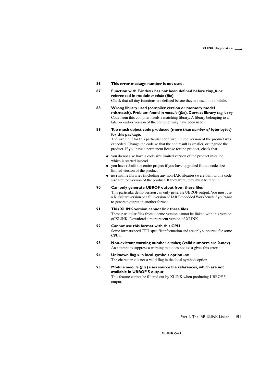- **86 This error message number is not used.**
- **87 Function with F-index** *i* **has not been defined before tiny\_func referenced in module** *module* **(***file***)** Check that all tiny functions are defined before they are used in a module.
- **88 Wrong library used (compiler version or memory model mismatch). Problem found in** *module* **(***file***). Correct library tag is** *tag* Code from this compiler needs a matching library. A library belonging to a later or earlier version of the compiler may have been used.
- **89 Too much object code produced (more than** *number of bytes* **bytes) for this package.**

The size limit for this particular code size limited version of the product was exceeded. Change the code so that the end result is smaller, or upgrade the product. If you have a permanent license for the product, check that:

- you do not also have a code size limited version of the product installed, which is started instead
- you have rebuilt the entire project if you have upgraded from a code size limited version of the product
- no runtime libraries (including any non-IAR libraries) were built with a code size limited version of the product. If they were, they must be rebuilt.

# **90 Can only generate UBROF output from these files**

This particular demo version can only generate UBROF output. You must use a KickStart version or a full version of IAR Embedded Workbench if you want to generate output in another format.

#### **91 This XLINK version cannot link these files** These particular files from a demo version cannot be linked with this version

of XLINK. Download a more recent version of XLINK.

# **92 Cannot use this format with this CPU**

Some formats need CPU-specific information and are only supported for some CPUs.

**93 Non-existant warning number** *number***, (valid numbers are 0-***max***)** An attempt to suppress a warning that does not exist gives this error.

## **94 Unknown flag** *x* **in local symbols option -n***x* The character *x* is not a valid flag in the local symbols option.

**95 Module** *module* **(***file***) uses source file references, which are not available in UBROF 5 output**

> This feature cannot be filtered out by XLINK when producing UBROF 5 output.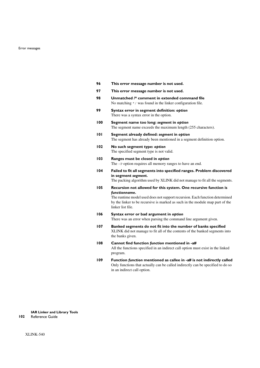| 96  | This error message number is not used.                                                                                                                                                                                                                                 |
|-----|------------------------------------------------------------------------------------------------------------------------------------------------------------------------------------------------------------------------------------------------------------------------|
| 97  | This error message number is not used.                                                                                                                                                                                                                                 |
| 98  | Unmatched /* comment in extended command file<br>No matching $\star$ / was found in the linker configuration file.                                                                                                                                                     |
| 99  | Syntax error in segment definition: option<br>There was a syntax error in the option.                                                                                                                                                                                  |
| 100 | Segment name too long: segment in option<br>The segment name exceeds the maximum length (255 characters).                                                                                                                                                              |
| 101 | Segment already defined: segment in option<br>The segment has already been mentioned in a segment definition option.                                                                                                                                                   |
| 102 | No such segment type: option<br>The specified segment type is not valid.                                                                                                                                                                                               |
| 103 | Ranges must be closed in option<br>The -P option requires all memory ranges to have an end.                                                                                                                                                                            |
| 104 | Failed to fit all segments into specified ranges. Problem discovered<br>in segment segment.<br>The packing algorithm used by XLINK did not manage to fit all the segments.                                                                                             |
| 105 | Recursion not allowed for this system. One recursive function is<br>functionname.<br>The runtime model used does not support recursion. Each function determined<br>by the linker to be recursive is marked as such in the module map part of the<br>linker list file. |
| 106 | Syntax error or bad argument in option<br>There was an error when parsing the command line argument given.                                                                                                                                                             |
| 107 | Banked segments do not fit into the number of banks specified<br>XLINK did not manage to fit all of the contents of the banked segments into<br>the banks given.                                                                                                       |
| 108 | Cannot find function function mentioned in -a#<br>All the functions specified in an indirect call option must exist in the linked<br>program.                                                                                                                          |
| 109 | Function function mentioned as callee in -a# is not indirectly called<br>Only functions that actually can be called indirectly can be specified to do so<br>in an indirect call option.                                                                                |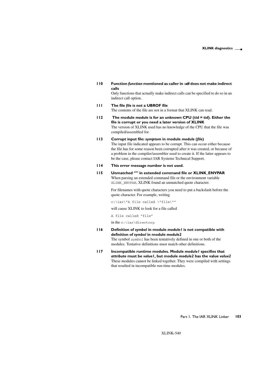**110 Function** *function* **mentioned as caller in -a# does not make indirect calls**

Only functions that actually make indirect calls can be specified to do so in an indirect call option.

**111 The file** *file* **is not a UBROF file**

The contents of the file are not in a format that XLINK can read.

**112 The module** *module* **is for an unknown CPU (tid =** *tid***). Either the file is corrupt or you need a later version of XLINK**  The version of XLINK used has no knowledge of the CPU that the file was compiled/assembled for.

#### **113 Corrupt input file:** *symptom* **in module** *module* **(***file***)**

The input file indicated appears to be corrupt. This can occur either because the file has for some reason been corrupted after it was created, or because of a problem in the compiler/assembler used to create it. If the latter appears to be the case, please contact IAR Systems Technical Support.

## **114 This error message number is not used.**

**115 Unmatched '"' in extended command file or XLINK\_ENVPAR** When parsing an extended command file or the environment variable

XLINK\_ENVPAR, XLINK found an unmatched quote character.

For filenames with quote characters you need to put a backslash before the quote character. For example, writing

c:\iar\"A file called \"file\""

will cause XLINK to look for a file called

A file called "file"

in the c:\iar\directory.

**116 Definition of** *symbol* **in module** *module1* **is not compatible with definition of** *symbol* **in module** *module2*

The symbol *symbol* has been tentatively defined in one or both of the modules. Tentative definitions must match other definitions.

**117 Incompatible runtime modules. Module** *module1* **specifies that**  *attribute* **must be** *value1***, but module** *module2* **has the value** *value2* These modules cannot be linked together. They were compiled with settings that resulted in incompatible run-time modules.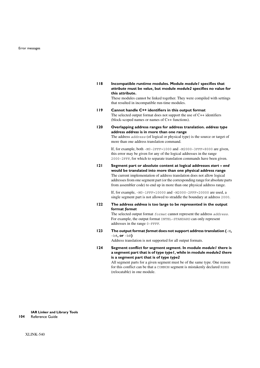**118 Incompatible runtime modules. Module** *module1* **specifies that**  *attribute* **must be** *value***, but module** *module2* **specifies no value for this attribute.**

> These modules cannot be linked together. They were compiled with settings that resulted in incompatible run-time modules.

- **119 Cannot handle C++ identifiers in this output format** The selected output format does not support the use of  $C_{++}$  identifiers (block-scoped names or names of C++ functions).
- **120 Overlapping address ranges for address translation.** *address type* **address** *address* **is in more than one range** The address *address* (of logical or physical type) is the source or target of more than one address translation command.

If, for example, both -M0-2FFF=1000 and -M2000-3FFF=8000 are given, this error may be given for any of the logical addresses in the range 2000-2FFF, for which to separate translation commands have been given.

**121 Segment part or absolute content at logical addresses** *start – end* **would be translated into more than one physical address range** The current implementation of address translation does not allow logical addresses from one segment part (or the corresponding range for absolute parts from assembler code) to end up in more than one physical address range.

> If, for example,  $-M0-1$ FFF=10000 and  $-M2000-2$ FFF=20000 are used, a single segment part is not allowed to straddle the boundary at address 2000.

## **122 The address** *address* **is too large to be represented in the output format** *format*

The selected output format *format* cannot represent the address *address*. For example, the output format INTEL-STANDARD can only represent addresses in the range 0-FFFF.

**123 The output format** *format* **does not support address translation (**-M**,**  -b#**, or** -b@**)**

Address translation is not supported for all output formats.

**124 Segment conflict for segment** *segment***. In module** *module1* **there is a segment part that is of type** *type1***, while in module** *module2* **there is a segment part that is of type** *type2*

> All segment parts for a given segment must be of the same type. One reason for this conflict can be that a COMMON segment is mistakenly declared RSEG (relocatable) in one module.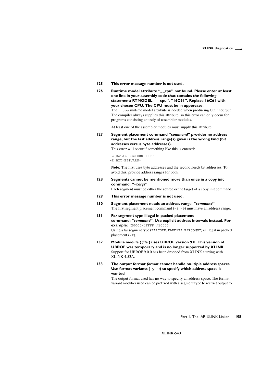- **125 This error message number is not used.**
- **126 Runtime model attribute "\_\_cpu" not found. Please enter at least one line in your assembly code that contains the following statement: RTMODEL "\_\_cpu", "16C61". Replace 16C61 with your chosen CPU. The CPU must be in uppercase.** The \_\_cpu runtime model attribute is needed when producing COFF output. The compiler always supplies this attribute, so this error can only occur for programs consisting entirely of assembler modules.

At least one of the assembler modules must supply this attribute.

**127 Segment placement command "***command***" provides no address range, but the last address range(s) given is the wrong kind (bit addresses versus byte addresses).**

This error will occur if something like this is entered:

 $-Z(DATA)$ SEG=1000-1FFF  $-Z$ (BIT)BITVARS=

**Note:** The first uses byte addresses and the second needs bit addresses. To avoid this, provide address ranges for both.

- **128 Segments cannot be mentioned more than once in a copy init command: "**-Q*args***"** Each segment must be either the source or the target of a copy init command.
- **129 This error message number is not used.**
- **130 Segment placement needs an address range:** *"command"* The first segment placement command  $(-z, -P)$  must have an address range.
- **131 Far segment type illegal in packed placement command:** *"command"***. Use explicit address intervals instead. For example:** [20000-4FFFF]/10000 Using a far segment type (FARCODE, FARDATA, FARCONST) is illegal in packed placement (-P).
- **132 Module** *module* **(** *file* **) uses UBROF version 9.0. This version of UBROF was temporary and is no longer supported by XLINK** Support for UBROF 9.0.0 has been dropped from XLINK starting with XLINK 4.53A.
- **133 The output format** *format* **cannot handle multiple address spaces. Use format variants (**-y -O**) to specify which address space is wanted**

The output format used has no way to specify an address space. The format variant modifier used can be prefixed with a segment type to restrict output to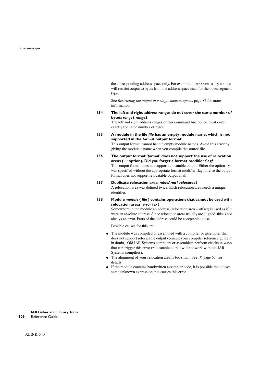the corresponding address space only. For example,  $-Fmotorola -y(CODE)$ will restrict output to bytes from the address space used for the CODE segment type.

See *[Restricting the output to a single address space](#page-86-0)*, page 87 for more information.

**134 The left and right address ranges do not cover the same number of bytes:** *range1 range2*

> The left and right address ranges of this command line option must cover exactly the same number of bytes.

**135 A module in the file** *file* **has an empty module name, which is not supported in the** *format* **output format.**

> This output format cannot handle empty module names. Avoid this error by giving the module a name when you compile the source file.

**136 The output format '***format***' does not support the use of relocation areas (**-V **option). Did you forget a format modifier flag?** This output format does not support relocatable output. Either the option  $-y$ was specified without the appropriate format modifier flag, or else the output format does not support relocatable output at all.

## **137 Duplicate relocation area:** *relocArea1 relocarea2*

A relocation area was defined twice. Each relocation area needs a unique identifier.

## **138 Module** *module* **(** *file* **) contains operations that cannot be used with relocation areas:** *error text*

Somewhere in the module an address (relocation area + offset) is used as if it were an absolute address. Since relocation areas usually are aligned, this is not always an error. Parts of the address could be acceptable to use.

Possible causes for this are:

- The module was compiled or assembled with a compiler or assembler that does not support relocatable output (consult your compiler reference guide if in doubt). Old IAR Systems compilers or assemblers perform checks in ways that can trigger this error (relocatable output will not work with old IAR Systems compilers).
- The alignment of your relocation area is too small. See *-V*[, page 67](#page-66-0), for details.
- If the module contains handwritten assembler code, it is possible that it uses some unknown expression that causes this error.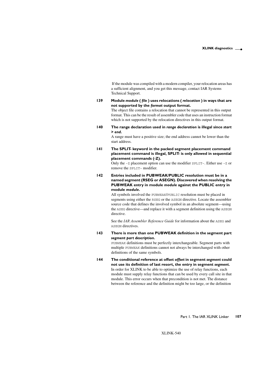If the module was compiled with a modern compiler, your relocation areas has a sufficient alignment, and you get this message, contact IAR Systems Technical Support.

## **139 Module** *module* **(** *file* **) uses relocations (** *relocation* **) in ways that are not supported by the** *format* **output format.**

The object file contains a relocation that cannot be represented in this output format. This can be the result of assembler code that uses an instruction format which is not supported by the relocation directives in this output format.

## **140 The range declaration used in** *range declaration* **is illegal since** *start* **>** *end***.**

A range must have a positive size; the end address cannot be lower than the start address.

**141 The SPLIT- keyword in the packed segment placement command placement command is illegal, SPLIT- is only allowed in sequential placement commands (-Z).**

> Only the -Z placement option can use the modifier SPLIT-. Either use -Z or remove the SPLIT- modifier.

## **142 Entries included in PUBWEAK/PUBLIC resolution must be in a named segment (RSEG or ASEGN). Discovered when resolving the PUBWEAK entry in module** *module* **against the PUBLIC entry in module** *module***.**

All symbols involved the PUBWEAK/PUBLIC resolution must be placed in segments using either the RSEG or the ASEGN directive. Locate the assembler source code that defines the involved symbol in an absolute segment—using the ASEG directive—and replace it with a segment definition using the ASEGN directive.

See the *IAR Assembler Reference Guide* for information about the ASEG and ASEGN directives.

## **143 There is more than one PUBWEAK definition in the segment part**  *segment part description***.**

PUBWEAK definitions must be perfectly interchangeable. Segment parts with multiple PUBWEAK definitions cannot not always be interchanged with other definitions of the same symbols.

**144 The conditional reference at offset** *offset* **in segment** *segment* **could not use its definition of last resort, the entry in segment** *segment***.** In order for XLINK to be able to optimize the use of relay functions, each module must supply relay functions that can be used by every call site in that module. This error occurs when that precondition is not met. The distance between the reference and the definition might be too large, or the definition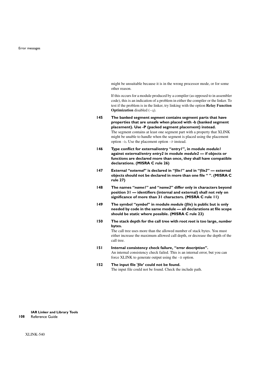might be unsuitable because it is in the wrong processor mode, or for some other reason.

If this occurs for a module produced by a compiler (as opposed to in assembler code), this is an indication of a problem in either the compiler or the linker. To test if the problem is in the linker, try linking with the option **Relay Function Optimization** disabled  $(-q)$ .

- **145 The banked segment** *segment* **contains segment parts that have properties that are unsafe when placed with -b (banked segment placement). Use -P (packed segment placement) instead.** The segment contains at least one segment part with a property that XLINK might be unable to handle when the segment is placed using the placement option -b. Use the placement option -P instead.
- **146 Type conflict for external/entry "***entry1***", in module** *module1* **against external/entry** *entry2* **in module** *module2* **— if objects or functions are declared more than once, they shall have compatible declarations. (MISRA C rule 26)**
- **147 External "***external***" is declared in "***file1***" and in "***file2***" external objects should not be declared in more than one file " ". (MISRA C rule 27)**
- **148 The names "***name1***" and "***name2***" differ only in characters beyond position 31 — identifiers (internal and external) shall not rely on significance of more than 31 characters. (MISRA C rule 11)**
- **149 The symbol "***symbol***" in module** *module* **(***file***) is public but is only needed by code in the same module — all declarations at file scope should be static where possible. (MISRA C rule 23)**
- **150 The stack depth for the call tree with root** *root* **is too large,** *number* **bytes.**

The call tree uses more than the allowed number of stack bytes. You must either increase the maximum allowed call depth, or decrease the depth of the call tree.

## **151 Internal consistency check failure, "***error description***".** An internal consistency check failed. This is an internal error, but you can force XLINK to generate output using the  $-B$  option.

# **152 The input file '***file***' could not be found.**

The input file could not be found. Check the include path.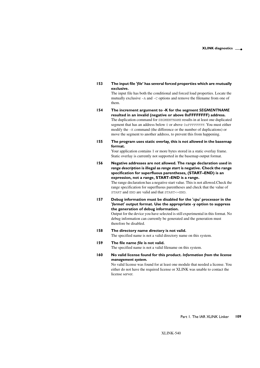**153 The input file '***file***' has several forced properties which are mutually exclusive.**

> The input file has both the conditional and forced load properties. Locate the mutually exclusive -A and -C options and remove the filename from one of them.

**154 The increment argument to -K for the segment** *SEGMENTNAME* **resulted in an invalid (negative or above 0xFFFFFFFF) address.** The duplication command for SEGMENTNAME results in at least one duplicated segment that has an address below 0 or above 0xFFFFFFFF. You must either modify the -K command (the difference or the number of duplications) or move the segment to another address, to prevent this from happening.

### **155 The program uses static overlay, this is not allowed in the basemap format.**

Your application contains 1 or more bytes stored in a static overlay frame. Static overlay is currently not supported in the basemap output format.

**156 Negative addresses are not allowed. The range declaration used in**  *range description* **is illegal as** *range start* **is negative. Check the range specification for superfluous parentheses, (START–END) is an expression, not a range, START–END is a range.**

The range declaration has a negative start value. This is not allowed.Check the range specification for superfluous parentheses and check that the value of START and END are valid and that START<=END.

**157 Debug information must be disabled for the '***cpu***' processor in the '***format***' output format. Use the appropriate -y option to suppress the generation of debug information.**

Output for the device you have selected is still experimental in this format. No debug information can currently be generated and the generation must therefore be disabled.

- **158 The directory name** *directory* **is not valid.** The specified name is not a valid directory name on this system.
	-
- **159 The file name** *file* **is not valid.** The specified name is not a valid filename on this system.
- **160 No valid license found for this product.** *Information from the license management system.*

No valid license was found for at least one module that needed a license. You either do not have the required license or XLINK was unable to contact the license server.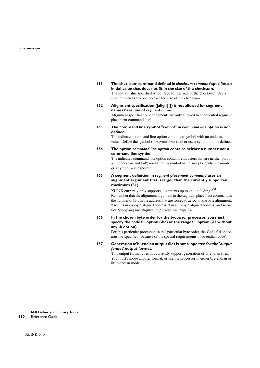**161 The checksum command defined in** *checksum command* **specifies an initial value that does not fit in the size of the checksum.** The initial value specified is too large for the size of the checksum. Use a smaller initial value or increase the size of the checksum.

### **162 Alignment specification (|align[|]) is not allowed for segment names here:** *use of segment name*

Alignment specification on segments are only allowed in a sequential segment placement command (-Z).

### **163 The command line symbol "***symbol***" in** *command line option* **is not defined.**

The indicated command line option contains a symbol with an undefined value. Define the symbol (-Dsymbol=value) or use a symbol that is defined.

### **164 The option** *command line option* **contains neither a number nor a command line symbol.**

The indicated command line option contains characters that are neither part of a number (0–9 and A–F) nor valid in a symbol name, in a place where a number or a symbol was expected.

## **165 A segment definition in** *segment placement command* **uses an alignment argument that is larger than the currently supported maximum (31).**

XLINK currently only supports alignments up to and including  $2^{31}$ . Remember that the alignment argument in the segment placement command is the number of bits in the address that are forced to zero, not the byte alignment. 2 results in a 4-byte aligned address, 3 in an 8-byte aligned address, and so on. See *[Specifying the alignment of a segment](#page-73-0)*, page 74.

### **166 In the chosen byte order for the** *processor* **processor, you must specify the code fill option (-hc) or the range fill option (-H without any -h option).**

For this particular processor, in this particular byte order, the **Code fill** option must be specified (because of the special requirements of bi-endian code).

### **167 Generation of bi-endian output files is not supported for the '***output format***' output format.**

This output format does not currently support generation of bi-endian files. You must choose another format, or use the processor in either big-endian or little-endian mode.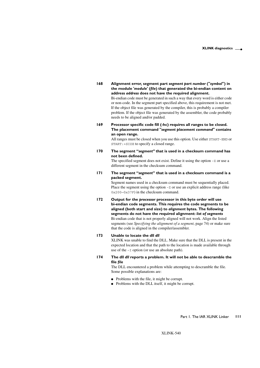**168 Alignment error, segment part** *segment part number* **("***symbol***") in the module '***module***' (***file***) that generated the bi-endian content on address** *address* **does not have the required alignment.** Bi-endian code must be generated in such a way that every word is either code

or non-code. In the segment part specified above, this requirement is not met. If the object file was generated by the compiler, this is probably a compiler problem. If the object file was generated by the assembler, the code probably needs to be aligned and/or padded.

**169 Processor specific code fill (-hc) requires all ranges to be closed. The placement command "***segment placement command***" contains an open range.**

All ranges must be closed when you use this option. Use either START-END or START:+SIZE to specify a closed range.

**170 The segment "***segment"* **that is used in a checksum command has not been defined.**

> The specified segment does not exist. Define it using the option  $-z$  or use a different segment in the checksum command.

**171 The segment "***segment***" that is used in a checksum command is a packed segment.**

Segment names used in a checksum command must be sequentially placed. Place the segment using the option  $-z$  or use an explicit address range (like 0x200–0x37F) in the checksum command.

**172 Output for the** *processor* **processor in this byte order will use bi-endian code segments. This requires the code segments to be aligned (both start and size) to** *alignment* **bytes. The following segments do not have the required alignment:** *list of segments* Bi-endian code that is not properly aligned will not work. Align the listed segments (see *[Specifying the alignment of a segment](#page-73-0)*, page 74) or make sure that the code is aligned in the compiler/assembler.

### **173 Unable to locate the dll** *dll*

XLINK was unable to find the DLL. Make sure that the DLL is present in the expected location and that the path to the location is made available through use of the  $-I$  option (or use an absolute path).

### **174 The dll** *dll* **reports a problem. It will not be able to descramble the file** *file*

The DLL encountered a problem while attempting to descramble the file. Some possible explanations are:

- Problems with the file, it might be corrupt.
- Problems with the DLL itself, it might be corrupt.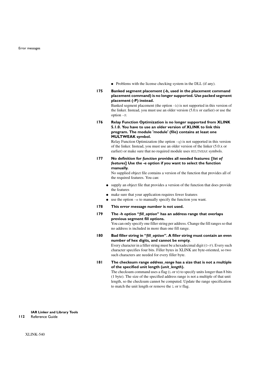- Problems with the license checking system in the DLL (if any).
- **175 Banked segment placement (-b, used in the placement command placement command) is no longer supported. Use packed segment placement (-P) instead.**

Banked segment placement (the option -b) is not supported in this version of the linker. Instead, you must use an older version (5.0.x or earlier) or use the option -P.

**176 Relay Function Optimization is no longer supported from XLINK 5.1.0. You have to use an older version of XLINK to link this program. The module 'module' (file) contains at least one MULTWEAK symbol.**

> Relay Function Optimization (the option  $-q$ ) is not supported in this version of the linker. Instead, you must use an older version of the linker (5.0.x or earlier) or make sure that no required module uses MULTWEAK symbols.

### **177 No definition for** *function* **provides all needed features: [***list of features***] Use the -e option if you want to select the function manually.**

No supplied object file contains a version of the function that provides all of the required features. You can:

- supply an object file that provides a version of the function that does provide the features
- make sure that your application requires fewer features
- use the option –e to manually specify the function you want.
- **178 This error message number is not used.**
- **179 The -h option "***fill\_option***" has an address range that overlaps previous segment fill options.**

You can only specify one filler string per address. Change the fill ranges so that no address is included in more than one fill range.

**180 Bad filler string in "***fill\_option***". A filler string must contain an even number of hex digits, and cannot be empty.**

> Every character in a filler string must be a hexadecimal digit  $(0-F)$ . Every such character specifies four bits. Filler bytes in XLINK are byte-oriented, so two such characters are needed for every filler byte.

**181 The checksum range** *address\_range* **has a size that is not a multiple of the specified unit length (***unit\_length***).** The checksum command uses a flag  $(L \text{ or } W)$  to specify units longer than 8 bits (1 byte). The size of the specified address range is not a multiple of that unit length, so the checksum cannot be computed. Update the range specification to match the unit length or remove the  $\mathbb L$  or  $\mathbb W$  flag.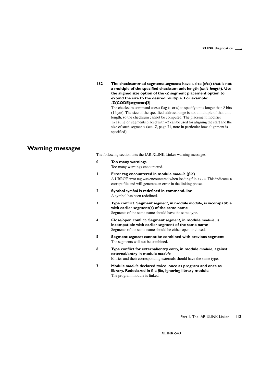**182 The checksummed segments** *segments* **have a size (***size***) that is not a multiple of the specified checksum unit length (***unit\_length***). Use the aligned size option of the -Z segment placement option to extend the size to the desired multiple. For example: -Z(CODE)***segments***|2|**

The checksum command uses a flag  $(L$  or  $W)$  to specify units longer than 8 bits (1 byte). The size of the specified address range is not a multiple of that unit length, so the checksum cannot be computed. The placement modifier  $|$ align $|$  on segments placed with  $-z$  can be used for aligning the start and the size of such segments (see *-Z*[, page 71](#page-70-0), note in particular how alignment is specified).

# **Warning messages**

The following section lists the IAR XLINK Linker warning messages:

| 0            | Too many warnings<br>Too many warnings encountered.                                                                                                                                          |  |
|--------------|----------------------------------------------------------------------------------------------------------------------------------------------------------------------------------------------|--|
| ı            | Error tag encountered in module module (file)<br>A UBROF error tag was encountered when loading file file. This indicates a<br>corrupt file and will generate an error in the linking phase. |  |
| $\mathbf{z}$ | Symbol symbol is redefined in command-line<br>A symbol has been redefined.                                                                                                                   |  |
| 3            | Type conflict. Segment segment, in module module, is incompatible<br>with earlier segment(s) of the same name<br>Segments of the same name should have the same type.                        |  |
| 4            | Close/open conflict. Segment segment, in module module, is<br>incompatible with earlier segment of the same name<br>Segments of the same name should be either open or closed.               |  |
| 5            | Segment segment cannot be combined with previous segment<br>The segments will not be combined.                                                                                               |  |
| 6            | Type conflict for external/entry entry, in module module, against<br>external/entry in module module<br>Entries and their corresponding externals should have the same type.                 |  |
| 7            | Module module declared twice, once as program and once as<br>library. Redeclared in file file, ignoring library module<br>The program module is linked.                                      |  |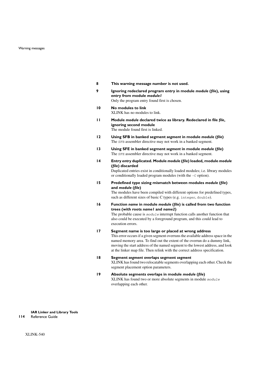| 8               | This warning message number is not used.                                                                                                                                                                                                                                                                                                                                              |
|-----------------|---------------------------------------------------------------------------------------------------------------------------------------------------------------------------------------------------------------------------------------------------------------------------------------------------------------------------------------------------------------------------------------|
| 9               | Ignoring redeclared program entry in module module (file), using<br>entry from module module I<br>Only the program entry found first is chosen.                                                                                                                                                                                                                                       |
| 10              | No modules to link<br>XLINK has no modules to link.                                                                                                                                                                                                                                                                                                                                   |
| п               | Module module declared twice as library. Redeclared in file file,<br>ignoring second module<br>The module found first is linked.                                                                                                                                                                                                                                                      |
| 12              | Using SFB in banked segment segment in module module (file)<br>The SFB assembler directive may not work in a banked segment.                                                                                                                                                                                                                                                          |
| 13              | Using SFE in banked segment segment in module module (file)<br>The SFE assembler directive may not work in a banked segment.                                                                                                                                                                                                                                                          |
| $\overline{14}$ | Entry entry duplicated. Module module (file) loaded, module module<br>(file) discarded<br>Duplicated entries exist in conditionally loaded modules; i.e. library modules<br>or conditionally loaded program modules (with the $-c$ option).                                                                                                                                           |
| 15              | Predefined type sizing mismatch between modules module (file)<br>and module (file)<br>The modules have been compiled with different options for predefined types,<br>such as different sizes of basic C types (e.g. integer, double).                                                                                                                                                 |
| 16              | Function name in module module (file) is called from two function<br>trees (with roots name l and name2)<br>The probable cause is module interrupt function calls another function that<br>also could be executed by a foreground program, and this could lead to<br>execution errors.                                                                                                |
| 17              | Segment name is too large or placed at wrong address<br>This error occurs if a given segment overruns the available address space in the<br>named memory area. To find out the extent of the overrun do a dummy link,<br>moving the start address of the named segment to the lowest address, and look<br>at the linker map file. Then relink with the correct address specification. |
| 18              | Segment segment overlaps segment segment<br>XLINK has found two relocatable segments overlapping each other. Check the<br>segment placement option parameters.                                                                                                                                                                                                                        |
| 19              | Absolute segments overlaps in module module (file)<br>XLINK has found two or more absolute segments in module module<br>overlapping each other.                                                                                                                                                                                                                                       |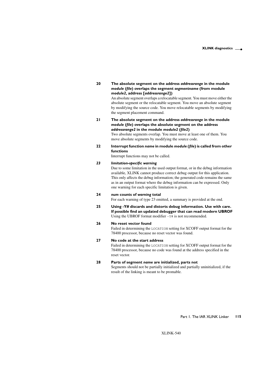**20 The absolute segment on the address** *addressrange* **in the module**  *module* **(***file***) overlaps the segment** *segmentname* **(from module**  *module2***, address [***addressrange2***])**

An absolute segment overlaps a relocatable segment. You must move either the absolute segment or the relocatable segment. You move an absolute segment by modifying the source code. You move relocatable segments by modifying the segment placement command.

**21 The absolute segment on the address** *addressrange* **in the module**  *module* **(***file***) overlaps the absolute segment on the address**  *addressrange2* **in the module** *module2* **(***file2***)** Two absolute segments overlap. You must move at least one of them. You

move absolute segments by modifying the source code.

## **22 Interrupt function** *name* **in module** *module* **(***file***) is called from other functions**

Interrupt functions may not be called.

### *23 limitation-specific warning*

Due to some limitation in the used output format, or in the debug information available, XLINK cannot produce correct debug output for this application. This only affects the debug information; the generated code remains the same as in an output format where the debug information can be expressed. Only one warning for each specific limitation is given.

### **24** *num* **counts of** *warning* **total**

For each warning of type 23 emitted, a summary is provided at the end.

**25 Using -Y# discards and distorts debug information. Use with care. If possible find an updated debugger that can read modern UBROF** Using the UBROF format modifier  $-\bar{Y}$ # is not recommended.

### **26 No reset vector found**

Failed in determining the LOCATION setting for XCOFF output format for the 78400 processor, because no reset vector was found.

### **27 No code at the start address**

Failed in determining the LOCATION setting for XCOFF output format for the 78400 processor, because no code was found at the address specified in the reset vector.

### **28 Parts of segment** *name* **are initialized, parts not**

Segments should not be partially initialized and partially uninitialized, if the result of the linking is meant to be promable.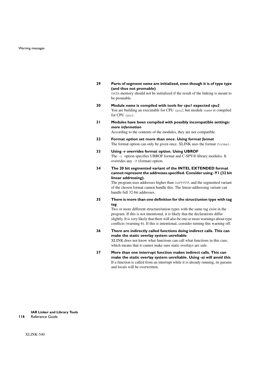**29 Parts of segment** *name* **are initialized, even though it is of type** *type*  **(and thus not promable)**

DATA memory should not be initialized if the result of the linking is meant to be promable.

- **30 Module** *name* **is compiled with tools for** *cpu1* **expected** *cpu2* You are building an executable for CPU *cpu2*, but module *name* is compiled for CPU *cpu1*.
- **31 Modules have been compiled with possibly incompatible settings:**  *more information*

According to the contents of the modules, they are not compatible.

**32 Format option set more than once. Using format** *format* The format option can only be given once. XLINK uses the format *format*.

### **33 Using -r overrides format option. Using UBROF** The  $-r$  option specifies UBROF format and C-SPY® library modules. It overrides any  $-F$  (format) option.

**34 The 20 bit segmented variant of the INTEL EXTENDED format cannot represent the addresses specified. Consider using -Y1 (32 bit linear addressing).**

> The program uses addresses higher than 0xFFFFF, and the segmented variant of the chosen format cannot handle this. The linear-addressing variant can handle full 32-bit addresses.

## **35 There is more than one definition for the struct/union type with tag**  *tag*

Two or more different structure/union types with the same tag exist in the program. If this is not intentional, it is likely that the declarations differ slightly. It is very likely that there will also be one or more warnings about type conflicts (warning 6). If this is intentional, consider turning this warning off.

- **36 There are indirectly called functions doing indirect calls. This can make the static overlay system unreliable** XLINK does not know what functions can call what functions in this case, which means that it cannot make sure static overlays are safe.
- **37 More than one interrupt function makes indirect calls. This can make the static overlay system unreliable. Using -ai will avoid this** If a function is called from an interrupt while it is already running, its params and locals will be overwritten.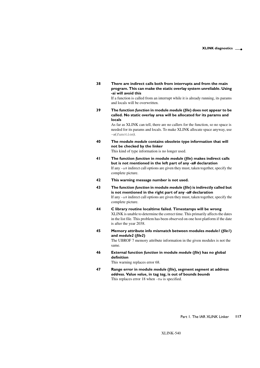**38 There are indirect calls both from interrupts and from the main program. This can make the static overlay system unreliable. Using -ai will avoid this**

> If a function is called from an interrupt while it is already running, its params and locals will be overwritten.

**39 The function** *function* **in module** *module* **(***file***) does not appear to be called. No static overlay area will be allocated for its params and locals** 

> As far as XLINK can tell, there are no callers for the function, so no space is needed for its params and locals. To make XLINK allocate space anyway, use -a(*function*).

**40 The module** *module* **contains obsolete type information that will not be checked by the linker**  This kind of type information is no longer used.

- **41 The function** *function* **in module** *module* **(***file***) makes indirect calls but is not mentioned in the left part of any -a# declaration**  If any -a# indirect call options are given they must, taken together, specify the complete picture.
- **42 This warning message number is not used.**
- **43 The function** *function* **in module** *module* **(***file***) is indirectly called but is not mentioned in the right part of any -a# declaration**  If any -a# indirect call options are given they must, taken together, specify the complete picture.
- **44 C library routine localtime failed. Timestamps will be wrong**  XLINK is unable to determine the correct time. This primarily affects the dates in the list file. This problem has been observed on one host platform if the date is after the year 2038.
- **45 Memory attribute info mismatch between modules** *module1* **(***file1***) and** *module2* **(***file2***)**

The UBROF 7 memory attribute information in the given modules is not the same.

**46 External function** *function* **in module** *module* **(***file***) has no global definition**

This warning replaces error 68.

**47 Range error in module** *module* **(***file***), segment** *segment* **at address**  *address***. Value** *value***, in tag** *tag***, is out of bounds** *bounds* This replaces error 18 when -Rw is specified.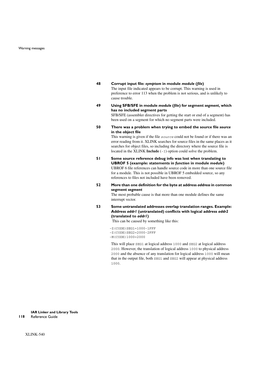### **48 Corrupt input file:** *symptom* **in module** *module* **(***file***)**

The input file indicated appears to be corrupt. This warning is used in preference to error 113 when the problem is not serious, and is unlikely to cause trouble.

# **49 Using SFB/SFE in module** *module* **(***file***) for segment** *segment***, which has no included segment parts**

SFB/SFE (assembler directives for getting the start or end of a segment) has been used on a segment for which no segment parts were included.

### **50 There was a problem when trying to embed the source file** *source* **in the object file**

This warning is given if the file *source* could not be found or if there was an error reading from it. XLINK searches for source files in the same places as it searches for object files, so including the directory where the source file is located in the XLINK **Include** ( $-\text{I}$ ) option could solve the problem.

**51 Some source reference debug info was lost when translating to UBROF 5 (example: statements in** *function* **in module** *module***)** UBROF 6 file references can handle source code in more than one source file for a module. This is not possible in UBROF 5 embedded source, so any references to files not included have been removed.

## **52 More than one definition for the byte at address** *address* **in common segment** *segment*

The most probable cause is that more than one module defines the same interrupt vector.

# **53 Some untranslated addresses overlap translation ranges. Example: Address** *addr1* **(untranslated) conflicts with logical address** *addr2* **(translated to** *addr1***)**

This can be caused by something like this:

 $-Z$ (CODE) SEG $1=1000-1$ FFF  $-Z$ (CODE)SEG $2=2000-2$ FFF -M(CODE)1000=2000

This will place SEG1 at logical address 1000 and SEG2 at logical address 2000. However, the translation of logical address 1000 to physical address 2000 and the absence of any translation for logical address 1000 will mean that in the output file, both SEG1 and SEG2 will appear at physical address 1000.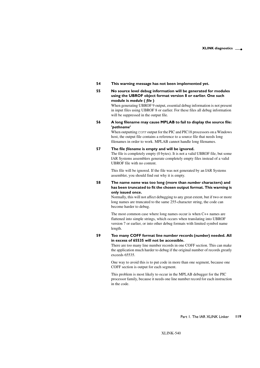- **54 This warning message has not been implemented yet.**
- **55 No source level debug information will be generated for modules using the UBROF object format version 8 or earlier. One such module is** *module* **(** *file* **)**

When generating UBROF 9 output, essential debug information is not present in input files using UBROF 8 or earlier. For these files all debug information will be suppressed in the output file.

### **56 A long filename may cause MPLAB to fail to display the source file: '***pathname***'**

When outputting COFF output for the PIC and PIC18 processors on a Windows host, the output file contains a reference to a source file that needs long filenames in order to work. MPLAB cannot handle long filenames.

### **57 The file** *filename* **is empty and will be ignored.**

The file is completely empty (0 bytes). It is not a valid UBROF file, but some IAR Systems assemblers generate completely empty files instead of a valid UBROF file with no content.

This file will be ignored. If the file was not generated by an IAR Systems assembler, you should find out why it is empty.

### **58 The name** *name* **was too long (more than** *number* **characters) and has been truncated to fit the chosen output format. This warning is only issued once.**

Normally, this will not affect debugging to any great extent, but if two or more long names are truncated to the same 255-character string, the code can become harder to debug.

The most common case where long names occur is when C++ names are flattened into simple strings, which occurs when translating into UBROF version 7 or earlier, or into other debug formats with limited symbol name length.

### **59 Too many COFF format line number records (***number***) needed. All in excess of 65535 will not be accessible.**

There are too many line number records in one COFF section. This can make the application much harder to debug if the original number of records greatly exceeds 65535.

One way to avoid this is to put code in more than one segment, because one COFF section is output for each segment.

This problem is most likely to occur in the MPLAB debugger for the PIC processor family, because it needs one line number record for each instruction in the code.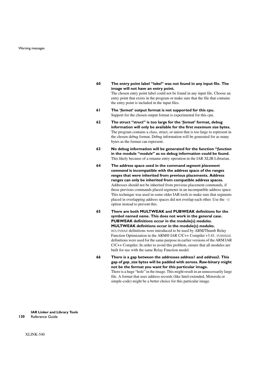- **60 The entry point label "***label***" was not found in any input file. The image will not have an entry point.** The chosen entry point label could not be found in any input file. Choose an entry point that exists in the program or make sure that the file that contains the entry point is included in the input files.
- **61 The '***format***' output format is not supported for this cpu.** Support for the chosen output format is experimental for this cpu.
- **62 The struct "***struct***" is too large for the '***format***' format, debug information will only be available for the first** *maximum size* **bytes.** The program contains a class, struct, or union that is too large to represent in the chosen debug format. Debug information will be generated for as many bytes as the format can represent.
- **63 No debug information will be generated for the function "***function* **in the module "***module***" as no debug information could be found.** This likely because of a rename entry operation in the IAR XLIB Librarian.
- **64 The address space used in the command** *segment placement command* **is incompatible with the address space of the ranges**  *ranges* **that were inherited from previous placements. Address ranges can only be inherited from compatible address spaces.** Addresses should not be inherited from previous placement commands, if those previous commands placed segments in an incompatible address space. This technique was used in some older IAR tools to make sure that segments placed in overlapping address spaces did not overlap each other. Use the -U option instead to prevent this.

**65 There are both MULTWEAK and PUBWEAK definitions for the symbol named** *name***. This does not work in the general case. PUBWEAK definitions occur in the module(s)** *modules***. MULTWEAK definitions occur in the module(s)** *modules***.** MULTWEAK definitions were introduced to be used by ARM/Thumb Relay Function Optimization in the ARM® IAR C/C++ Compiler v3.41. PUBWEAK definitions were used for the same purpose in earlier versions of the ARM IAR C/C++ Compiler. In order to avoid this problem, ensure that all modules are built for use with the same Relay Function model.

**66 There is a gap between the addresses** *address1* **and** *address2***. This gap of** *gap\_size* **bytes will be padded with zeroes. Raw-binary might not be the format you want for this particular image.** There is a huge "hole" in the image. This might result in an unnecessarily large file. A format that uses address records (like Intel-extended, Motorola or simple-code) might be a better choice for this particular image.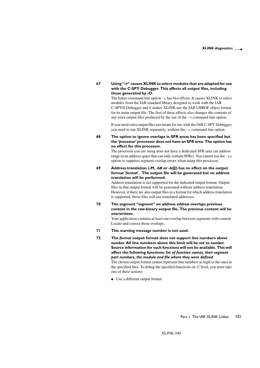**67 Using "-r" causes XLINK to select modules that are adapted for use with the C-SPY Debugger. This affects all output files, including those generated by -O.**

> The linker command line option  $-r$  has two effects. It causes XLINK to select modules from the IAR standard library designed to work with the IAR C-SPY® Debugger and it makes XLINK use the IAR UBROF object format for its main output file. The first of these effects also changes the contents of any extra output files produced by the use of the -O command line option.

> If you need extra output files not meant for use with the IAR C-SPY Debugger, you need to run XLINK separately, without the -r command line option.

**68 The option to ignore overlaps in SFR areas has been specified but the** *'processor'* **processor does not have an SFR area. The option has no effect for this processor.**

> The processor you are using does not have a dedicated SFR area (an address range in an address space that can only contain SFRs). You cannot use the -zs option to suppress segment overlap errors when using this processor.

## **69 Address translation (-M, -b# or -b@) has no effect on the output format '***format***'. The output file will be generated but no address translation will be performed.**

Address translation is not supported for the indicated output format. Output files in that output format will be generated without address translation. However, if there are also output files in a format for which address translation is supported, those files will use translated addresses.

### **70 The segment "***segment***" on address** *address* **overlaps previous content in the raw-binary output file. The previous content will be overwritten.**

Your application contains at least one overlap between segments with content. Locate and correct those overlaps.

- **71 This warning message number is not used.**
- **72 The** *format* **output format does not support line numbers above**  *number***. All line numbers above this limit will be set to** *number***. Source information for such functions will not be available. This will affect the following functions:** *list of function names***,** *their segment part numbers***,** *the module and file where they were defined* The chosen output format cannot represent line numbers as high as the ones in the specified files. To debug the specified functions on C level, you must take one of these actions:
	- Use a different output format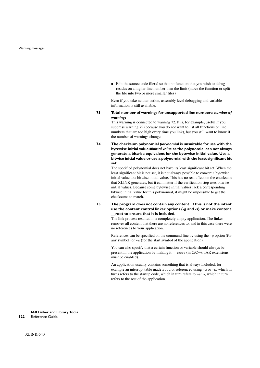$\bullet$  Edit the source code file(s) so that no function that you wish to debug resides on a higher line number than the limit (move the function or split the file into two or more smaller files)

Even if you take neither action, assembly level debugging and variable information is still available.

### **73 Total number of warnings for unsupported line numbers:** *number of warnings*

This warning is connected to warning 72. It is, for example, useful if you suppress warning 72 (because you do not want to list all functions on line numbers that are too high every time you link), but you still want to know if the number of warnings change.

**74 The checksum polynomial** *polynomial* **is unsuitable for use with the bytewise initial value** *#initial value* **as the polynomial can not always generate a bitwise equivalent for the bytewise initial value. Use a bitwise initial value or use a polynomial with the least significant bit set.**

> The specified polynomial does not have its least significant bit set. When the least significant bit is not set, it is not always possible to convert a bytewise initial value to a bitwise initial value. This has no real effect on the checksum that XLINK generates, but it can matter if the verification step uses bitwise initial values. Because some bytewise initial values lack a corresponding bitwise initial value for this polynomial, it might be impossible to get the checksums to match.

### **75 The program does not contain any content. If this is not the intent use the content control linker options (-g and -s) or make content \_\_root to ensure that it is included.**

The link process resulted in a completely empty application. The linker removes all content that there are no references to, and in this case there were no references to your application.

References can be specified on the command line by using the  $-\alpha$  option (for any symbol) or -s (for the start symbol of the application).

You can also specify that a certain function or variable should always be present in the application by making it  $\_\text{root}$  (in C/C++, IAR extensions must be enabled).

An application usually contains something that is always included, for example an interrupt table made root or referenced using -g or -s, which in turns refers to the startup code, which in turn refers to main, which in turn refers to the rest of the application.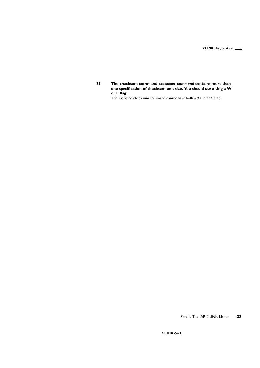**76 The checksum command** *checksum\_command* **contains more than one specification of checksum unit size. You should use a single W or L flag.**

The specified checksum command cannot have both a  $W$  and an  $L$  flag.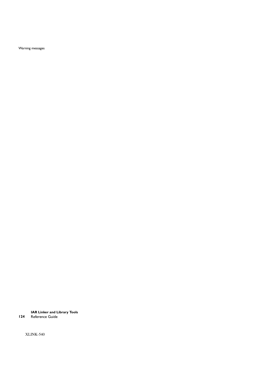Warning messages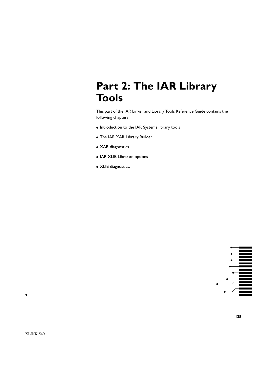# **Part 2: The IAR Library Tools**

This part of the IAR Linker and Library Tools Reference Guide contains the following chapters:

- [Introduction to the IAR Systems library tools](#page-126-0)
- [The IAR XAR Library Builder](#page-130-0)
- [XAR diagnostics](#page-132-0)
- [IAR XLIB Librarian options](#page-134-0)
- [XLIB diagnostics.](#page-150-0)

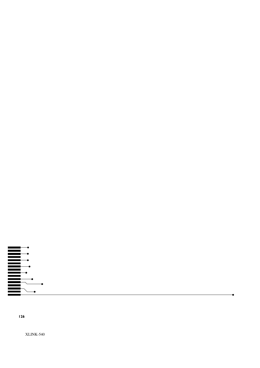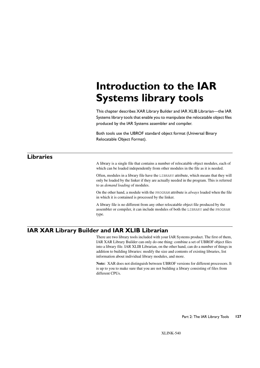# <span id="page-126-0"></span>**Introduction to the IAR Systems library tools**

This chapter describes XAR Library Builder and IAR XLIB Librarian—the IAR Systems library tools that enable you to manipulate the relocatable object files produced by the IAR Systems assembler and compiler.

Both tools use the UBROF standard object format (Universal Binary Relocatable Object Format).

# **Libraries**

A library is a single file that contains a number of relocatable object modules, each of which can be loaded independently from other modules in the file as it is needed.

Often, modules in a library file have the LIBRARY attribute, which means that they will only be loaded by the linker if they are actually needed in the program. This is referred to as *demand loading* of modules.

On the other hand, a module with the PROGRAM attribute is *always* loaded when the file in which it is contained is processed by the linker.

A library file is no different from any other relocatable object file produced by the assembler or compiler, it can include modules of both the LIBRARY and the PROGRAM type.

# **IAR XAR Library Builder and IAR XLIB Librarian**

There are two library tools included with your IAR Systems product. The first of them, IAR XAR Library Builder can only do one thing: combine a set of UBROF object files into a library file. IAR XLIB Librarian, on the other hand, can do a number of things in addition to building libraries: modify the size and contents of existing libraries, list information about individual library modules, and more.

**Note:** XAR does not distinguish between UBROF versions for different processors. It is up to you to make sure that you are not building a library consisting of files from different CPUs.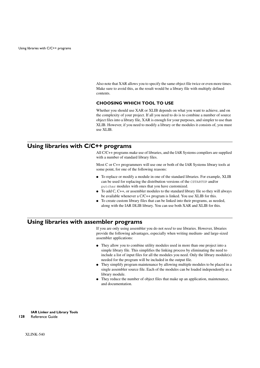Also note that XAR allows you to specify the same object file twice or even more times. Make sure to avoid this, as the result would be a library file with multiply defined contents.

# **CHOOSING WHICH TOOL TO USE**

Whether you should use XAR or XLIB depends on what you want to achieve, and on the complexity of your project. If all you need to do is to combine a number of source object files into a library file, XAR is enough for your purposes, and simpler to use than XLIB. However, if you need to modify a library or the modules it consists of, you must use XLIB.

# **Using libraries with C/C++ programs**

All C/C++ programs make use of libraries, and the IAR Systems compilers are supplied with a number of standard library files.

Most C or C++ programmers will use one or both of the IAR Systems library tools at some point, for one of the following reasons:

- To replace or modify a module in one of the standard libraries. For example, XLIB can be used for replacing the distribution versions of the CSTARTUP and/or putchar modules with ones that you have customized.
- $\bullet$  To add C, C++, or assembler modules to the standard library file so they will always be available whenever a C/C++ program is linked. You use XLIB for this.
- To create custom library files that can be linked into their programs, as needed, along with the IAR DLIB library. You can use both XAR and XLIB for this.

# **Using libraries with assembler programs**

If you are only using assembler you do not *need* to use libraries. However, libraries provide the following advantages, especially when writing medium- and large-sized assembler applications:

- They allow you to combine utility modules used in more than one project into a simple library file. This simplifies the linking process by eliminating the need to include a list of input files for all the modules you need. Only the library module(s) needed for the program will be included in the output file.
- They simplify program maintenance by allowing multiple modules to be placed in a single assembler source file. Each of the modules can be loaded independently as a library module.
- They reduce the number of object files that make up an application, maintenance, and documentation.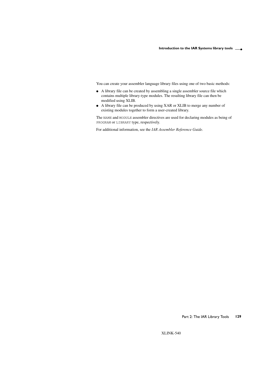You can create your assembler language library files using one of two basic methods:

- A library file can be created by assembling a single assembler source file which contains multiple library-type modules. The resulting library file can then be modified using XLIB.
- A library file can be produced by using XAR or XLIB to merge any number of existing modules together to form a user-created library.

The NAME and MODULE assembler directives are used for declaring modules as being of PROGRAM or LIBRARY type, respectively.

For additional information, see the *IAR Assembler Reference Guide*.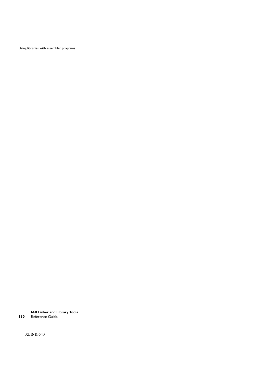Using libraries with assembler programs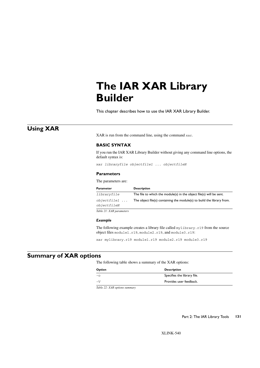# <span id="page-130-0"></span>**The IAR XAR Library Builder**

This chapter describes how to use the IAR XAR Library Builder.

# **Using XAR**

XAR is run from the command line, using the command xar.

### **BASIC SYNTAX**

If you run the IAR XAR Library Builder without giving any command line options, the default syntax is:

xar *libraryfile objectfile1 ... objectfileN*

### **Parameters**

The parameters are:

| Parameter                  | <b>Description</b>                                                     |
|----------------------------|------------------------------------------------------------------------|
| libraryfile                | The file to which the module(s) in the object file(s) will be sent.    |
| objectfile1<br>objectfileN | The object file(s) containing the module(s) to build the library from. |

*Table 21: XAR parameters*

### *Example*

The following example creates a library file called mylibrary.r19 from the source object files module1.r19, module2.r19, and module3.r19:

xar mylibrary.r19 module1.r19 module2.r19 module3.r19

# **Summary of XAR options**

The following table shows a summary of the XAR options:

| <b>Description</b>          |
|-----------------------------|
| Specifies the library file. |
| Provides user feedback.     |
|                             |

*Table 22: XAR options summary*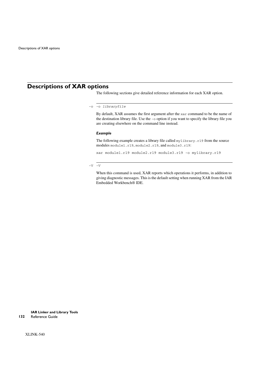# **Descriptions of XAR options**

The following sections give detailed reference information for each XAR option.

### -o -o *libraryfile*

By default, XAR assumes the first argument after the xar command to be the name of the destination library file. Use the -o option if you want to specify the library file you are creating elsewhere on the command line instead.

#### *Example*

The following example creates a library file called mylibrary.r19 from the source modules module1.r19, module2.r19, and module3.r19:

```
xar module1.r19 module2.r19 module3.r19 -o mylibrary.r19
```
 $V - V$ 

When this command is used, XAR reports which operations it performs, in addition to giving diagnostic messages. This is the default setting when running XAR from the IAR Embedded Workbench® IDE.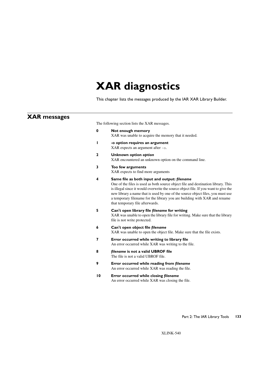# <span id="page-132-0"></span>**XAR diagnostics**

This chapter lists the messages produced by the IAR XAR Library Builder.

| <b>XAR</b> messages |                         |                                                                                                                                                                                                                                                                                                                                                                                                                             |
|---------------------|-------------------------|-----------------------------------------------------------------------------------------------------------------------------------------------------------------------------------------------------------------------------------------------------------------------------------------------------------------------------------------------------------------------------------------------------------------------------|
|                     |                         | The following section lists the XAR messages.                                                                                                                                                                                                                                                                                                                                                                               |
|                     | $\mathbf 0$             | Not enough memory<br>XAR was unable to acquire the memory that it needed.                                                                                                                                                                                                                                                                                                                                                   |
|                     | ш                       | -o option requires an argument<br>XAR expects an argument after -o.                                                                                                                                                                                                                                                                                                                                                         |
|                     | $\mathbf{2}$            | Unknown option option<br>XAR encountered an unknown option on the command line.                                                                                                                                                                                                                                                                                                                                             |
|                     | 3                       | Too few arguments<br>XAR expects to find more arguments                                                                                                                                                                                                                                                                                                                                                                     |
|                     | 4                       | Same file as both input and output: filename<br>One of the files is used as both source object file and destination library. This<br>is illegal since it would overwrite the source object file. If you want to give the<br>new library a name that is used by one of the source object files, you must use<br>a temporary filename for the library you are building with XAR and rename<br>that temporary file afterwards. |
|                     | 5                       | Can't open library file filename for writing<br>XAR was unable to open the library file for writing. Make sure that the library<br>file is not write protected.                                                                                                                                                                                                                                                             |
|                     | 6                       | Can't open object file filename<br>XAR was unable to open the object file. Make sure that the file exists.                                                                                                                                                                                                                                                                                                                  |
|                     | $\overline{\mathbf{z}}$ | Error occurred while writing to library file<br>An error occurred while XAR was writing to the file.                                                                                                                                                                                                                                                                                                                        |
|                     | 8                       | filename is not a valid UBROF file<br>The file is not a valid UBROF file.                                                                                                                                                                                                                                                                                                                                                   |
|                     | 9                       | Error occurred while reading from filename<br>An error occurred while XAR was reading the file.                                                                                                                                                                                                                                                                                                                             |
|                     | $\overline{10}$         | <b>Error occurred while closing filename</b><br>An error occurred while XAR was closing the file.                                                                                                                                                                                                                                                                                                                           |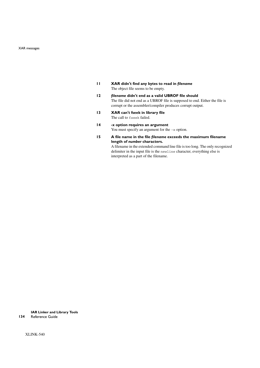| п  | XAR didn't find any bytes to read in filename<br>The object file seems to be empty.                                                                                                                                                                                                                   |
|----|-------------------------------------------------------------------------------------------------------------------------------------------------------------------------------------------------------------------------------------------------------------------------------------------------------|
| 12 | filename didn't end as a valid UBROF file should<br>The file did not end as a UBROF file is supposed to end. Either the file is<br>corrupt or the assembler/compiler produces corrupt output.                                                                                                         |
| 13 | <b>XAR</b> can't fseek in library file<br>The call to fseek failed.                                                                                                                                                                                                                                   |
| 14 | -x option requires an argument<br>You must specify an argument for the $-x$ option.                                                                                                                                                                                                                   |
| 15 | A file name in the file filename exceeds the maximum filename<br>length of number characters.<br>A filename in the extended command line file is too long. The only recognized<br>delimiter in the input file is the newl ine character, everything else is<br>interpreted as a part of the filename. |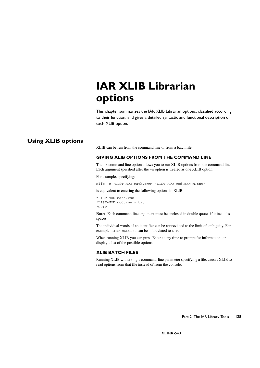# <span id="page-134-0"></span>**IAR XLIB Librarian options**

This chapter summarizes the IAR XLIB Librarian options, classified according to their function, and gives a detailed syntactic and functional description of each XLIB option.

# **Using XLIB options**

XLIB can be run from the command line or from a batch file.

### **GIVING XLIB OPTIONS FROM THE COMMAND LINE**

The -c command line option allows you to run XLIB options from the command line. Each argument specified after the -c option is treated as one XLIB option.

For example, specifying:

xlib -c "LIST-MOD math.r*nn*" "LIST-MOD mod.r*nn* m.txt"

is equivalent to entering the following options in XLIB:

```
*LIST-MOD math.rnn
*LIST-MOD mod.rnn m.txt
*QUIT
```
**Note:** Each command line argument must be enclosed in double quotes if it includes spaces.

The individual words of an identifier can be abbreviated to the limit of ambiguity. For example, LIST-MODULES can be abbreviated to L-M.

When running XLIB you can press Enter at any time to prompt for information, or display a list of the possible options.

### **XLIB BATCH FILES**

Running XLIB with a single command-line parameter specifying a file, causes XLIB to read options from that file instead of from the console.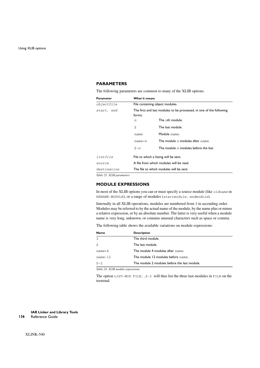# **PARAMETERS**

The following parameters are common to many of the XLIB options.

| <b>Parameter</b> | What it means                                                       |                                         |
|------------------|---------------------------------------------------------------------|-----------------------------------------|
| objectfile       | File containing object modules.                                     |                                         |
| start, end       | The first and last modules to be processed, in one of the following |                                         |
|                  | forms:                                                              |                                         |
|                  | n                                                                   | The nth module.                         |
|                  | \$                                                                  | The last module.                        |
|                  | name                                                                | Module name.                            |
|                  | name+n                                                              | The module $n$ modules after $name$ .   |
|                  | $S - n$                                                             | The module $n$ modules before the last. |
| listfile         | File to which a listing will be sent.                               |                                         |
| source           | A file from which modules will be read.                             |                                         |
| destination      | The file to which modules will be sent.                             |                                         |

*Table 23: XLIB parameters*

### **MODULE EXPRESSIONS**

In most of the XLIB options you can or must specify a source module (like *oldname* in RENAME-MODULE), or a range of modules (*startmodule, endmodule*).

Internally in all XLIB operations, modules are numbered from 1 in ascending order. Modules may be referred to by the actual name of the module, by the name plus or minus a relative expression, or by an absolute number. The latter is very useful when a module name is very long, unknown, or contains unusual characters such as space or comma.

The following table shows the available variations on module expressions:

| <b>Name</b> | <b>Description</b>                           |  |
|-------------|----------------------------------------------|--|
| 3           | The third module.                            |  |
| \$          | The last module.                             |  |
| $name+4$    | The module 4 modules after name.             |  |
| $name-12$   | The module 12 modules before name.           |  |
| $S - 2$     | The module 2 modules before the last module. |  |

*Table 24: XLIB module expressions*

The option LIST-MOD FILE,,  $\zeta$ -2 will thus list the three last modules in FILE on the terminal.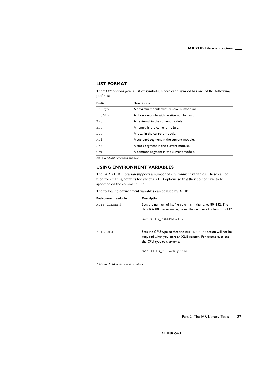٠

## <span id="page-136-0"></span>**LIST FORMAT**

The LIST options give a list of symbols, where each symbol has one of the following prefixes:

| Prefix          | <b>Description</b>                        |
|-----------------|-------------------------------------------|
| nn.Pqm          | A program module with relative number nn. |
| $nn$ . Lib      | A library module with relative number nn. |
| Ext             | An external in the current module.        |
| Ent             | An entry in the current module.           |
| Loc             | A local in the current module.            |
| Re <sub>1</sub> | A standard segment in the current module. |
| Stk             | A stack segment in the current module.    |
| Com             | A common segment in the current module.   |

*Table 25: XLIB list option symbols*

# **USING ENVIRONMENT VARIABLES**

The IAR XLIB Librarian supports a number of environment variables. These can be used for creating defaults for various XLIB options so that they do not have to be specified on the command line.

The following environment variables can be used by XLIB:

| <b>Environment variable</b> | <b>Description</b>                                                                                                                                       |
|-----------------------------|----------------------------------------------------------------------------------------------------------------------------------------------------------|
| XLIB COLUMNS                | Sets the number of list file columns in the range 80–132. The<br>default is 80. For example, to set the number of columns to 132:                        |
|                             | set XLIB COLUMNS=132                                                                                                                                     |
| XLIB CPU                    | Sets the CPU type so that the DEFINE-CPU option will not be<br>required when you start an XLIB session. For example, to set<br>the CPU type to chipname: |
|                             | set XLIB CPU=chipname                                                                                                                                    |

*Table 26: XLIB environment variables*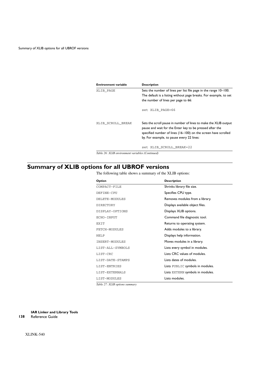| <b>Environment variable</b>                      | <b>Description</b>                                                                                                                                                                                                                          |
|--------------------------------------------------|---------------------------------------------------------------------------------------------------------------------------------------------------------------------------------------------------------------------------------------------|
| XLIB PAGE                                        | Sets the number of lines per list file page in the range 10–100.<br>The default is a listing without page breaks. For example, to set<br>the number of lines per page to 66:                                                                |
|                                                  | set XLIB PAGE=66                                                                                                                                                                                                                            |
| XLIB SCROLL BREAK                                | Sets the scroll pause in number of lines to make the XLIB output<br>pause and wait for the Enter key to be pressed after the<br>specified number of lines (16-100) on the screen have scrolled<br>by. For example, to pause every 22 lines: |
|                                                  | set XLIB SCROLL BREAK=22                                                                                                                                                                                                                    |
| Table 26: XLIB environment variables (Continued) |                                                                                                                                                                                                                                             |

# **Summary of XLIB options for all UBROF versions**

The following table shows a summary of the XLIB options:

| Option                          | <b>Description</b>               |
|---------------------------------|----------------------------------|
| COMPACT-FILE                    | Shrinks library file size.       |
| DEFINE-CPU                      | Specifies CPU type.              |
| DELETE-MODULES                  | Removes modules from a library.  |
| DIRECTORY                       | Displays available object files. |
| DISPLAY-OPTIONS                 | Displays XLIB options.           |
| ECHO-INPUT                      | Command file diagnostic tool.    |
| <b>EXTT</b>                     | Returns to operating system.     |
| FETCH-MODULES                   | Adds modules to a library.       |
| <b>HELP</b>                     | Displays help information.       |
| INSERT-MODULES                  | Moves modules in a library.      |
| LIST-ALL-SYMBOLS                | Lists every symbol in modules.   |
| LIST-CRC                        | Lists CRC values of modules.     |
| LIST-DATE-STAMPS                | Lists dates of modules.          |
| LIST-ENTRIES                    | Lists PUBLIC symbols in modules. |
| LIST-EXTERNALS                  | Lists EXTERN symbols in modules. |
| LIST-MODULES<br>$11.27$ $17.77$ | Lists modules.                   |

*Table 27: XLIB options summary*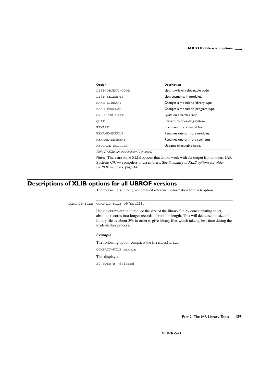| Option           | <b>Description</b>                |
|------------------|-----------------------------------|
| LIST-OBJECT-CODE | Lists low-level relocatable code. |
| LIST-SEGMENTS    | Lists segments in modules.        |
| MAKE-LIBRARY     | Changes a module to library type. |
| MAKE-PROGRAM     | Changes a module to program type. |
| ON-ERROR-EXIT    | Ouits on a batch error.           |
| OUIT             | Returns to operating system.      |
| REMARK           | Comment in command file.          |
| RENAME-MODULE    | Renames one or more modules.      |
| RENAME-SEGMENT   | Renames one or more segments.     |
| REPLACE-MODULES  | Updates executable code.          |

*Table 27: XLIB options summary (Continued)*

**Note:** There are some XLIB options that do not work with the output from modern IAR Systems C/C++ compilers or assemblers. See *[Summary of XLIB options for older](#page-147-0)  [UBROF versions](#page-147-0)*, page 148.

# **Descriptions of XLIB options for all UBROF versions**

The following section gives detailed reference information for each option.

### COMPACT-FILE COMPACT-FILE *objectfile*

Use COMPACT-FILE to reduce the size of the library file by concatenating short, absolute records into longer records of variable length. This will decrease the size of a library file by about 5%, in order to give library files which take up less time during the loader/linker process.

### *Example*

The following option compacts the file maxmin.r*nn*:

COMPACT-FILE maxmin

### This displays:

20 byte(s) deleted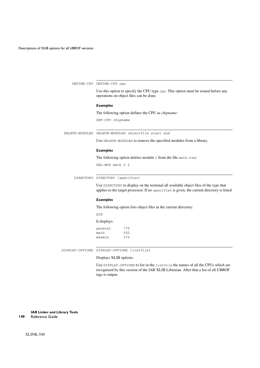DEFINE-CPU DEFINE-CPU *cpu* Use this option to specify the CPU type *cpu*. This option must be issued before any operations on object files can be done. *Examples* The following option defines the CPU as *chipname*: DEF-CPU *chipname* DELETE-MODULES DELETE-MODULES *objectfile start end* Use DELETE-MODULES to remove the specified modules from a library. *Examples* The following option deletes module 2 from the file math.rnn: DEL-MOD math 2 2 DIRECTORY DIRECTORY [*specifier*] Use DIRECTORY to display on the terminal all available object files of the type that applies to the target processor. If no *specifier* is given, the current directory is listed. *Examples* The following option lists object files in the current directory: DIR It displays: general 770 math 502 maxmin 375

DISPLAY-OPTIONS DISPLAY-OPTIONS [*listfile*]

Displays XLIB options.

Use DISPLAY-OPTIONS to list in the *listfile* the names of all the CPUs which are recognized by this version of the IAR XLIB Librarian. After that a list of all UBROF tags is output.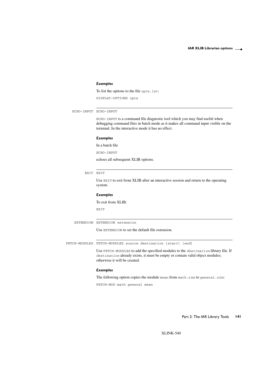#### *Examples*

To list the options to the file opts.lst:

DISPLAY-OPTIONS opts

ECHO-INPUT ECHO-INPUT

ECHO-INPUT is a command file diagnostic tool which you may find useful when debugging command files in batch mode as it makes all command input visible on the terminal. In the interactive mode it has no effect.

#### *Examples*

In a batch file ECHO-INPUT echoes all subsequent XLIB options.

EXIT EXIT

Use EXIT to exit from XLIB after an interactive session and return to the operating system.

#### *Examples*

To exit from XLIB:

EXIT

EXTENSION EXTENSION *extension*

Use EXTENSION to set the default file extension.

FETCH-MODULES FETCH-MODULES *source destination* [*start*] [*end*]

Use FETCH-MODULES to add the specified modules to the *destination* library file. If *destination* already exists, it must be empty or contain valid object modules; otherwise it will be created.

### *Examples*

The following option copies the module mean from math.r*nn* to general.r*nn*:

FETCH-MOD math general mean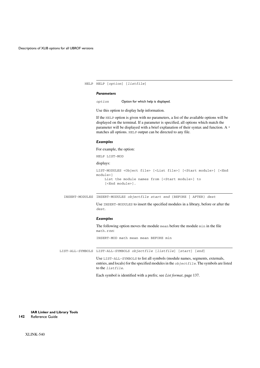HELP HELP [*option*] [*listfile*]

#### *Parameters*

*option* Option for which help is displayed.

Use this option to display help information.

If the HELP option is given with no parameters, a list of the available options will be displayed on the terminal. If a parameter is specified, all options which match the parameter will be displayed with a brief explanation of their syntax and function. A \* matches all options. HELP output can be directed to any file.

#### *Examples*

For example, the option:

HELP LIST-MOD

displays:

```
LIST-MODULES <Object file> [<List file>] [<Start module>] [<End 
module>]
     List the module names from [<Start module>] to 
    [<End module>].
```
INSERT-MODULES INSERT-MODULES *objectfile start end* {BEFORE | AFTER} *dest*

Use INSERT-MODULES to insert the specified modules in a library, before or after the *dest*.

#### *Examples*

The following option moves the module mean before the module min in the file math.r*nn*:

INSERT-MOD math mean mean BEFORE min

LIST-ALL-SYMBOLS LIST-ALL-SYMBOLS *objectfile* [*listfile*] [*start*] [*end*]

Use LIST-ALL-SYMBOLS to list all symbols (module names, segments, externals, entries, and locals) for the specified modules in the *objectfile*. The symbols are listed to the *listfile*.

Each symbol is identified with a prefix; see *[List format](#page-136-0)*, page 137.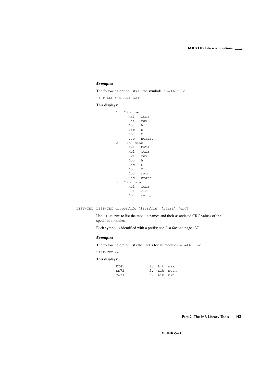### *Examples*

The following option lists all the symbols in math.rnn:

LIST-ALL-SYMBOLS math

This displays:

```
 1. Lib max
     Rel CODE
      Ent max
      Loc A
      Loc B
     Loc C
      Loc ncarry
 2. Lib mean
      Rel DATA
      Rel CODE
      Ext max
      Loc A
      Loc B
      Loc C
      Loc main
      Loc start
 3. Lib min
      Rel CODE
      Ent min
      Loc carry
```
LIST-CRC LIST-CRC *objectfile* [*listfile*] [*start*] [*end*]

Use LIST-CRC to list the module names and their associated CRC values of the specified modules.

Each symbol is identified with a prefix; see *[List format](#page-136-0)*, page 137.

#### *Examples*

The following option lists the CRCs for all modules in math.rnn:

LIST-CRC math

This displays:

| EC41 | 1. Lib max |             |
|------|------------|-------------|
| ED72 |            | 2. Lib mean |
| 9A73 | 3. Lib min |             |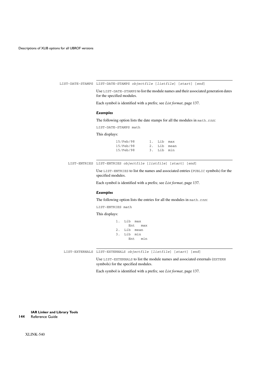LIST-DATE-STAMPS LIST-DATE-STAMPS *objectfile* [*listfile*] [*start*] [*end*]

Use LIST-DATE-STAMPS to list the module names and their associated generation dates for the specified modules.

Each symbol is identified with a prefix; see *[List format](#page-136-0)*, page 137.

#### *Examples*

The following option lists the date stamps for all the modules in math.rnn:

LIST-DATE-STAMPS math

This displays:

| 15/Feb/98    | 1. Lib max |             |
|--------------|------------|-------------|
| $15$ /Feb/98 |            | 2. Lib mean |
| 15/Feb/98    | 3. Lib min |             |

LIST-ENTRIES LIST-ENTRIES *objectfile* [*listfile*] [*start*] [*end*]

Use LIST-ENTRIES to list the names and associated entries (PUBLIC symbols) for the specified modules.

Each symbol is identified with a prefix; see *[List format](#page-136-0)*, page 137.

### *Examples*

The following option lists the entries for all the modules in math.rnn:

LIST-ENTRIES math

This displays:

```
 1. Lib max
     Ent max
 2. Lib mean
 3. Lib min
      Ent min
```
LIST-EXTERNALS LIST-EXTERNALS *objectfile* [*listfile*] [*start*] [*end*]

Use LIST-EXTERNALS to list the module names and associated externals (EXTERN symbols) for the specified modules.

Each symbol is identified with a prefix; see *[List format](#page-136-0)*, page 137.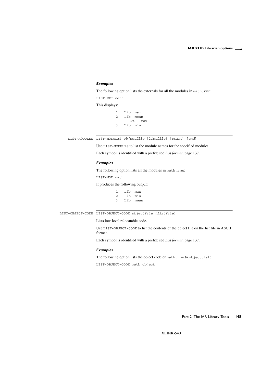#### *Examples*

The following option lists the externals for all the modules in math.rnn:

```
LIST-EXT math
```
This displays:

 1. Lib max 2. Lib mean Ext max 3. Lib min

LIST-MODULES LIST-MODULES *objectfile* [*listfile*] [*start*] [*end*]

<span id="page-144-1"></span>Use LIST-MODULES to list the module names for the specified modules.

Each symbol is identified with a prefix; see *[List format](#page-136-0)*, page 137.

#### *Examples*

The following option lists all the modules in math.rnn:

LIST-MOD math

It produces the following output:

 1. Lib max 2. Lib min 3. Lib mean

LIST-OBJECT-CODE LIST-OBJECT-CODE *objectfile* [*listfile*]

<span id="page-144-0"></span>Lists low-level relocatable code.

Use LIST-OBJECT-CODE to list the contents of the object file on the list file in ASCII format.

Each symbol is identified with a prefix; see *[List format](#page-136-0)*, page 137.

#### *Examples*

The following option lists the object code of math.r*nn* to object.lst:

LIST-OBJECT-CODE math object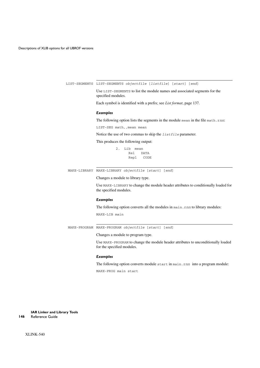LIST-SEGMENTS LIST-SEGMENTS *objectfile* [*listfile*] [*start*] [*end*]

<span id="page-145-1"></span>Use LIST-SEGMENTS to list the module names and associated segments for the specified modules.

Each symbol is identified with a prefix; see *[List format](#page-136-0)*, page 137.

#### *Examples*

The following option lists the segments in the module mean in the file math.r*nn*:

LIST-SEG math, mean mean

Notice the use of two commas to skip the *listfile* parameter.

This produces the following output:

 2. Lib mean Rel DATA Repl CODE

MAKE-LIBRARY MAKE-LIBRARY *objectfile* [*start*] [*end*]

<span id="page-145-0"></span>Changes a module to library type.

Use MAKE-LIBRARY to change the module header attributes to conditionally loaded for the specified modules.

#### *Examples*

The following option converts all the modules in main.rnn to library modules:

<span id="page-145-2"></span>MAKE-LIB main

MAKE-PROGRAM MAKE-PROGRAM *objectfile* [*start*] [*end*]

Changes a module to program type.

Use MAKE-PROGRAM to change the module header attributes to unconditionally loaded for the specified modules.

#### *Examples*

The following option converts module start in main.r*nn* into a program module:

MAKE-PROG main start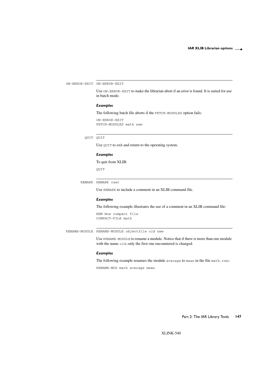ON-ERROR-EXIT ON-ERROR-EXIT

<span id="page-146-2"></span>Use ON-ERROR-EXIT to make the librarian abort if an error is found. It is suited for use in batch mode.

#### *Examples*

The following batch file aborts if the FETCH-MODULES option fails:

ON-ERROR-EXIT FETCH-MODULES math new

<span id="page-146-3"></span>QUIT QUIT

Use QUIT to exit and return to the operating system.

#### *Examples*

To quit from XLIB:

<span id="page-146-0"></span>QUIT

REMARK REMARK *text*

Use REMARK to include a comment in an XLIB command file.

#### *Examples*

The following example illustrates the use of a comment in an XLIB command file:

REM Now compact file COMPACT-FILE math

RENAME-MODULE RENAME-MODULE *objectfile old new*

<span id="page-146-1"></span>Use RENAME-MODULE to rename a module. Notice that if there is more than one module with the name *old*, only the first one encountered is changed.

#### *Examples*

The following example renames the module average to mean in the file math.r*nn*:

RENAME-MOD math average mean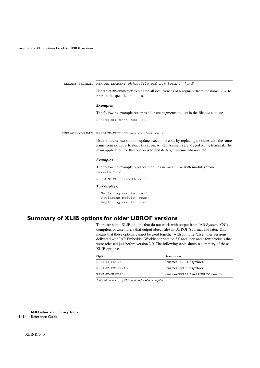<span id="page-147-1"></span>RENAME-SEGMENT RENAME-SEGMENT *objectfile old new* [*start*] [*end*] Use RENAME-SEGMENT to rename all occurrences of a segment from the name *old* to *new* in the specified modules. *Examples* The following example renames all CODE segments to ROM in the file math.r*nn*: RENAME-SEG math CODE ROM REPLACE-MODULES REPLACE-MODULES *source destination* Use REPLACE-MODULES to update executable code by replacing modules with the same name from *source* to *destination*. All replacements are logged on the terminal. The main application for this option is to update large runtime libraries etc. *Examples* The following example replaces modules in math.rnn with modules from newmath.r*nn*:

<span id="page-147-0"></span>REPLACE-MOD newmath math

This displays:

<span id="page-147-2"></span>Replacing module 'max' Replacing module 'mean' Replacing module 'min'

#### **Summary of XLIB options for older UBROF versions**

There are some XLIB options that do not work with output from IAR Systems C/C++ compilers or assemblers that output object files in UBROF 8 format and later. This means that these options cannot be used together with compiler/assembler versions delivered with IAR Embedded Workbench version 3.0 and later, and a few products that were released just before version 3.0. The following table shows a summary of these XLIB options:

| Option          | <b>Description</b>                 |
|-----------------|------------------------------------|
| RENAME-ENTRY    | Renames PUBLIC symbols.            |
| RENAME-EXTERNAL | Renames EXTERN symbols.            |
| RENAME-GLOBAL   | Renames EXTERN and PUBLIC symbols. |

*Table 28: Summary of XLIB options for older compilers*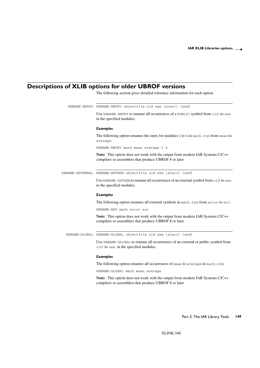#### **Descriptions of XLIB options for older UBROF versions**

<span id="page-148-2"></span>The following section gives detailed reference information for each option.

<span id="page-148-1"></span><span id="page-148-0"></span>RENAME-ENTRY RENAME-ENTRY *objectfile old new* [*start*] [*end*] Use RENAME-ENTRY to rename all occurrences of a PUBLIC symbol from *old* to *new*  in the specified modules. *Examples* The following option renames the entry for modules 2 to 4 in math.rnn from mean to average: RENAME-ENTRY math mean average 2 4 **Note:** This option does not work with the output from modern IAR Systems C/C++ compilers or assemblers that produce UBROF 8 or later. RENAME-EXTERNAL RENAME-EXTERN *objectfile old new* [*start*] [*end*] Use RENAME-EXTERN to rename all occurrences of an external symbol from *old* to *new*  in the specified modules. *Examples* The following option renames all external symbols in math.r*nn* from error to err: RENAME-EXT math error err **Note:** This option does not work with the output from modern IAR Systems C/C++ compilers or assemblers that produce UBROF 8 or later. RENAME-GLOBAL RENAME-GLOBAL *objectfile old new* [*start*] [*end*] Use RENAME-GLOBAL to rename all occurrences of an external or public symbol from *old* to *new* in the specified modules. *Examples* The following option renames all occurrences of mean to average in math.r*nn*: RENAME-GLOBAL math mean average **Note:** This option does not work with the output from modern IAR Systems C/C++ compilers or assemblers that produce UBROF 8 or later.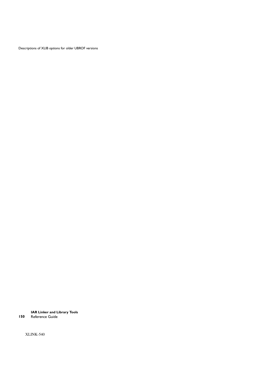Descriptions of XLIB options for older UBROF versions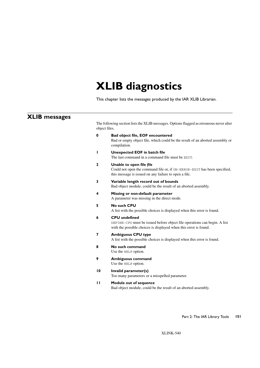## **XLIB diagnostics**

<span id="page-150-0"></span>This chapter lists the messages produced by the IAR XLIB Librarian.

#### **XLIB messages**

The following section lists the XLIB messages. Options flagged as erroneous never alter object files.

| 0            | <b>Bad object file, EOF encountered</b><br>Bad or empty object file, which could be the result of an aborted assembly or<br>compilation.                              |
|--------------|-----------------------------------------------------------------------------------------------------------------------------------------------------------------------|
| ı            | <b>Unexpected EOF in batch file</b><br>The last command in a command file must be EXIT.                                                                               |
| $\mathbf{2}$ | Unable to open file file<br>Could not open the command file or, if ON-ERROR-EXIT has been specified,<br>this message is issued on any failure to open a file.         |
| 3            | Variable length record out of bounds<br>Bad object module, could be the result of an aborted assembly.                                                                |
| 4            | Missing or non-default parameter<br>A parameter was missing in the direct mode.                                                                                       |
| 5            | <b>No such CPU</b><br>A list with the possible choices is displayed when this error is found.                                                                         |
| 6            | <b>CPU</b> undefined<br>DEFINE-CPU must be issued before object file operations can begin. A list<br>with the possible choices is displayed when this error is found. |
| 7            | <b>Ambiguous CPU type</b><br>A list with the possible choices is displayed when this error is found.                                                                  |
| 8            | No such command<br>Use the HELP option.                                                                                                                               |
| 9            | Ambiguous command<br>Use the HELP option.                                                                                                                             |
| 10           | Invalid parameter(s)<br>Too many parameters or a misspelled parameter.                                                                                                |
| п            | Module out of sequence<br>Bad object module, could be the result of an aborted assembly.                                                                              |
|              |                                                                                                                                                                       |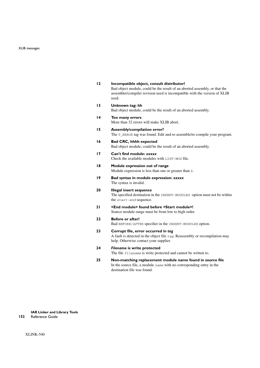| 12 | Incompatible object, consult distributor!<br>Bad object module, could be the result of an aborted assembly, or that the<br>assembler/compiler revision used is incompatible with the version of XLIB<br>used. |
|----|---------------------------------------------------------------------------------------------------------------------------------------------------------------------------------------------------------------|
| 13 | Unknown tag: hh<br>Bad object module, could be the result of an aborted assembly.                                                                                                                             |
| 14 | Too many errors<br>More than 32 errors will make XLIB abort.                                                                                                                                                  |
| 15 | Assembly/compilation error?<br>The T_ERROR tag was found. Edit and re-assemble/re-compile your program.                                                                                                       |
| 16 | <b>Bad CRC, hhhh expected</b><br>Bad object module; could be the result of an aborted assembly.                                                                                                               |
| 17 | Can't find module: xxxxx<br>Check the available modules with $LTST-MOD$ file.                                                                                                                                 |
| 18 | Module expression out of range<br>Module expression is less than one or greater than $\zeta$ .                                                                                                                |
| 19 | Bad syntax in module expression: xxxxx<br>The syntax is invalid.                                                                                                                                              |
| 20 | <b>Illegal insert sequence</b><br>The specified destination in the INSERT-MODULES option must not be within<br>the start-end sequence.                                                                        |
| 21 | <end module=""> found before <start module="">!<br/>Source module range must be from low to high order.</start></end>                                                                                         |
| 22 | <b>Before or after!</b><br>Bad BEFORE/AFTER specifier in the INSERT-MODULES option.                                                                                                                           |
| 23 | Corrupt file, error occurred in tag<br>A fault is detected in the object file tag. Reassembly or recompilation may<br>help. Otherwise contact your supplier.                                                  |
| 24 | <b>Filename is write protected</b><br>The file <i>filename</i> is write protected and cannot be written to.                                                                                                   |
| 25 | Non-matching replacement module name found in source file<br>In the source file, a module <i>name</i> with no corresponding entry in the<br>destination file was found.                                       |
|    |                                                                                                                                                                                                               |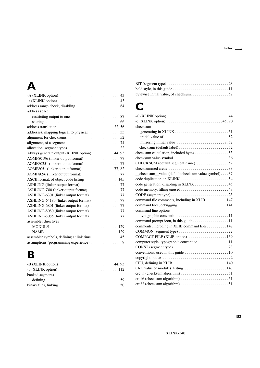### **A**

### **B**

| banked segments |  |
|-----------------|--|
|                 |  |
|                 |  |

assumptions (programming experience) . . . . . . . . . . . . . . . . [9](#page-8-0)

### **C**

| checksum                                                                                           |
|----------------------------------------------------------------------------------------------------|
|                                                                                                    |
| initial value of $\dots \dots \dots \dots \dots \dots \dots \dots \dots \dots 52$                  |
| mirroring initial value $\ldots \ldots \ldots \ldots \ldots \ldots \ldots \ldots$ 38,52            |
|                                                                                                    |
| checksum calculation, included bytes53                                                             |
| checksum value symbol 36                                                                           |
| CHECKSUM (default segment name) 52                                                                 |
|                                                                                                    |
| checksum_value (default checksum value symbol)37                                                   |
|                                                                                                    |
| code generation, disabling in XLINK 45                                                             |
| code memory, filling unused48                                                                      |
|                                                                                                    |
| command file comments, including in XLIB  147                                                      |
|                                                                                                    |
| command line options                                                                               |
| typographic convention $\ldots \ldots \ldots \ldots \ldots \ldots \ldots 11$                       |
|                                                                                                    |
| comments, including in XLIB command files. 147                                                     |
|                                                                                                    |
| COMPACT-FILE (XLIB option) 139                                                                     |
| computer style, typographic convention 11                                                          |
| $CONST$ (segment type). $\ldots \ldots \ldots \ldots \ldots \ldots \ldots \ldots \ldots \ldots 23$ |
|                                                                                                    |
|                                                                                                    |
|                                                                                                    |
| CRC value of modules, listing 143                                                                  |
|                                                                                                    |
|                                                                                                    |
|                                                                                                    |
|                                                                                                    |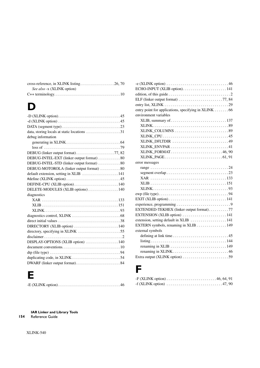| See also -x (XLINK option) |  |
|----------------------------|--|
|                            |  |

## **D**

| data, storing locals at static locations 31 |  |
|---------------------------------------------|--|
| debug information                           |  |
|                                             |  |
|                                             |  |
| DEBUG (linker output format)77, 82          |  |
| DEBUG-INTEL-EXT (linker output format) 80   |  |
| DEBUG-INTEL-STD (linker output format) 80   |  |
| DEBUG-MOTOROLA (linker output format) 80    |  |
| default extension, setting in XLIB  141     |  |
|                                             |  |
| DEFINE-CPU (XLIB option)140                 |  |
| DELETE-MODULES (XLIB options) 140           |  |
| diagnostics                                 |  |
|                                             |  |
|                                             |  |
|                                             |  |
|                                             |  |
|                                             |  |
| DIRECTORY (XLIB option) 140                 |  |
|                                             |  |
|                                             |  |
| DISPLAY-OPTIONS (XLIB option) 140           |  |
|                                             |  |
|                                             |  |
|                                             |  |
| DWARF (linker output format)84              |  |

### **E**

|--|--|--|

| entry point for applications, specifying in XLINK 66 |  |
|------------------------------------------------------|--|
| environment variables                                |  |
|                                                      |  |
|                                                      |  |
|                                                      |  |
|                                                      |  |
| XLINK_DFLTDIR 49                                     |  |
| XLINK ENVPAR41                                       |  |
| XLINK_FORMAT46,90                                    |  |
|                                                      |  |
| error messages                                       |  |
|                                                      |  |
|                                                      |  |
|                                                      |  |
|                                                      |  |
|                                                      |  |
|                                                      |  |
|                                                      |  |
|                                                      |  |
| EXTENDED-TEKHEX (linker output format). 77           |  |
| EXTENSION (XLIB option) 141                          |  |
| extension, setting default in XLIB  141              |  |
| EXTERN symbols, renaming in XLIB 149                 |  |
| external symbols                                     |  |
|                                                      |  |
|                                                      |  |
|                                                      |  |
|                                                      |  |
|                                                      |  |

### **F**

| $-F$ (XLINK option) $\ldots \ldots \ldots \ldots \ldots \ldots \ldots \ldots \ldots$ 46, 64, 91 |  |  |  |  |  |  |  |  |  |  |  |  |
|-------------------------------------------------------------------------------------------------|--|--|--|--|--|--|--|--|--|--|--|--|
|                                                                                                 |  |  |  |  |  |  |  |  |  |  |  |  |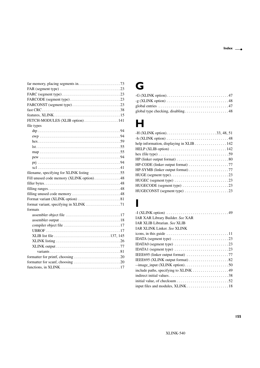| FETCH-MODULES (XLIB option) 141           |
|-------------------------------------------|
| file types                                |
|                                           |
|                                           |
|                                           |
|                                           |
|                                           |
|                                           |
|                                           |
|                                           |
| filename, specifying for XLINK listing 55 |
| Fill unused code memory (XLINK option)48  |
|                                           |
|                                           |
|                                           |
|                                           |
| Format variant (XLINK option) 81          |
|                                           |
| formats                                   |
|                                           |
|                                           |
|                                           |
|                                           |
|                                           |
|                                           |
|                                           |
|                                           |
|                                           |
|                                           |

## **G**

| global entries $\dots \dots \dots \dots \dots \dots \dots \dots \dots \dots \dots 47$ |  |
|---------------------------------------------------------------------------------------|--|
| global type checking, disabling48                                                     |  |

### **H**

| help information, displaying in XLIB. 142 |
|-------------------------------------------|
|                                           |
|                                           |
|                                           |
|                                           |
|                                           |
|                                           |
|                                           |
|                                           |
|                                           |

### **I**

| IAR XAR Library Builder. See XAR                                                             |
|----------------------------------------------------------------------------------------------|
| IAR XLIB Librarian. See XLIB                                                                 |
| <b>IAR XLINK Linker.</b> See XLINK                                                           |
|                                                                                              |
| IDATA (segment type) $\ldots \ldots \ldots \ldots \ldots \ldots \ldots \ldots \ldots \ldots$ |
|                                                                                              |
|                                                                                              |
|                                                                                              |
| IEEE695 (XLINK output format)82                                                              |
|                                                                                              |
| include paths, specifying to XLINK 49                                                        |
|                                                                                              |
|                                                                                              |
|                                                                                              |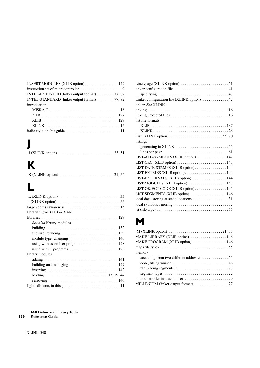| INSERT-MODULES (XLIB option). 142           |
|---------------------------------------------|
|                                             |
| INTEL-EXTENDED (linker output format)77, 82 |
| INTEL-STANDARD (linker output format)77, 82 |
| introduction                                |
|                                             |
|                                             |
|                                             |
|                                             |
|                                             |

# **J**

## **K**

## **L**

| -L (XLINK option) $\ldots \ldots \ldots \ldots \ldots \ldots \ldots \ldots \ldots \ldots$    |
|----------------------------------------------------------------------------------------------|
|                                                                                              |
| large address awareness $\dots \dots \dots \dots \dots \dots \dots \dots \dots \dots 15$     |
| librarian. See XLIB or XAR                                                                   |
|                                                                                              |
| See also library modules                                                                     |
|                                                                                              |
|                                                                                              |
|                                                                                              |
| using with assembler programs $\dots \dots \dots \dots \dots \dots \dots 128$                |
|                                                                                              |
| library modules                                                                              |
|                                                                                              |
|                                                                                              |
| $inserting \ldots \ldots \ldots \ldots \ldots \ldots \ldots \ldots \ldots \ldots \ldots 142$ |
|                                                                                              |
|                                                                                              |
|                                                                                              |
|                                                                                              |

## **M**

| $-M$ (XLINK option) $\ldots \ldots \ldots \ldots \ldots \ldots \ldots \ldots \ldots 21,55$          |
|-----------------------------------------------------------------------------------------------------|
| MAKE-LIBRARY (XLIB option) 146                                                                      |
| MAKE-PROGRAM (XLIB option) 146                                                                      |
| map (file type). $\dots \dots \dots \dots \dots \dots \dots \dots \dots \dots \dots \dots \dots 55$ |
| memory                                                                                              |
| $accessing from two different addresses \ldots \ldots \ldots \ldots 65$                             |
|                                                                                                     |
|                                                                                                     |
| segment types. $\dots \dots \dots \dots \dots \dots \dots \dots \dots \dots \dots \dots \dots 22$   |
|                                                                                                     |
|                                                                                                     |
|                                                                                                     |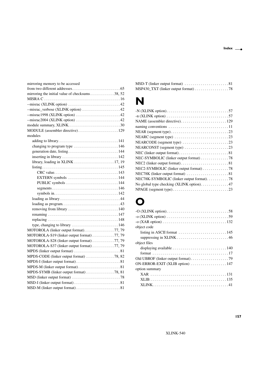$\bullet$ 

| mirroring memory to be accessed                                              |
|------------------------------------------------------------------------------|
|                                                                              |
| mirroring the initial value of checksums38,52                                |
|                                                                              |
|                                                                              |
|                                                                              |
|                                                                              |
|                                                                              |
|                                                                              |
| MODULE (assembler directive)129                                              |
| modules                                                                      |
|                                                                              |
| changing to program type 146                                                 |
| generation date, listing144                                                  |
|                                                                              |
| library, loading in XLINK $\ldots \ldots \ldots \ldots \ldots \ldots 17, 19$ |
|                                                                              |
|                                                                              |
| EXTERN symbols 144                                                           |
| PUBLIC symbols 144                                                           |
|                                                                              |
|                                                                              |
|                                                                              |
|                                                                              |
| removing from library 140                                                    |
|                                                                              |
|                                                                              |
| type, changing to library 146                                                |
| MOTOROLA (linker output format). 77, 79                                      |
| MOTOROLA-S19 (linker output format) 77, 79                                   |
| MOTOROLA-S28 (linker output format) 77, 79                                   |
| MOTOROLA-S37 (linker output format) 77, 79                                   |
|                                                                              |
| MPDS-CODE (linker output format) 78, 82                                      |
|                                                                              |
|                                                                              |
| MPDS-SYMB (linker output format) 78, 81                                      |
|                                                                              |
|                                                                              |
|                                                                              |
|                                                                              |

| MSD-T (linker output format) $\dots \dots \dots \dots \dots \dots \dots \dots 81$ |  |
|-----------------------------------------------------------------------------------|--|
|                                                                                   |  |

### **N**

| NEC-SYMBOLIC (linker output format) 78     |
|--------------------------------------------|
|                                            |
| NEC2-SYMBOLIC (linker output format) 78    |
| NEC78K (linker output format) 81           |
| NEC78K-SYMBOLIC (linker output format). 78 |
| No global type checking (XLINK option). 47 |
|                                            |
|                                            |

## **O**

| object code                                                                        |  |
|------------------------------------------------------------------------------------|--|
| listing in ASCII format $\ldots \ldots \ldots \ldots \ldots \ldots \ldots 145$     |  |
|                                                                                    |  |
| object files                                                                       |  |
| displaying available $\ldots \ldots \ldots \ldots \ldots \ldots \ldots \ldots 140$ |  |
|                                                                                    |  |
|                                                                                    |  |
| ON-ERROR-EXIT (XLIB option) 147                                                    |  |
| option summary                                                                     |  |
|                                                                                    |  |
|                                                                                    |  |
|                                                                                    |  |
|                                                                                    |  |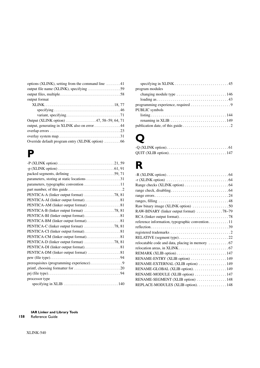| options (XLINK), setting from the command line $\dots \dots 41$      |
|----------------------------------------------------------------------|
|                                                                      |
|                                                                      |
| output format                                                        |
|                                                                      |
|                                                                      |
|                                                                      |
| Output (XLINK option) 47, 58–59, 64, 71                              |
| output, generating in XLINK also on error 44                         |
|                                                                      |
|                                                                      |
| Override default program entry (XLINK option) $\dots \dots \dots 66$ |

### **P**

|                                            | R          |
|--------------------------------------------|------------|
|                                            |            |
|                                            | $-R(2)$    |
| parameters, storing at static locations 31 | $-r(X)$    |
| parameters, typographic convention 11      | Rang       |
|                                            | rang       |
| PENTICA-A (linker output format) 78, 81    | rang       |
| PENTICA-AI (linker output format). 81      | rang       |
| PENTICA-AM (linker output format) 81       | Raw        |
| PENTICA-B (linker output format) 78, 81    | <b>RAV</b> |
| PENTICA-BI (linker output format). 81      | RCA        |
| PENTICA-BM (linker output format). 81      | refer      |
| PENTICA-C (linker output format) 78, 81    | refle      |
| PENTICA-CI (linker output format). 81      | regis      |
| PENTICA-CM (linker output format). 81      | REL        |
|                                            | reloc      |
| PENTICA-DI (linker output format). 81      | reloc      |
|                                            | <b>REN</b> |
|                                            | <b>REN</b> |
| prerequisites (programming experience). 9  | <b>REN</b> |
|                                            | <b>REN</b> |
|                                            | <b>REN</b> |
| processor type                             | <b>REN</b> |
|                                            | <b>REP</b> |

| program modules                                                                                  |
|--------------------------------------------------------------------------------------------------|
| changing module type $\ldots \ldots \ldots \ldots \ldots \ldots \ldots 146$                      |
|                                                                                                  |
|                                                                                                  |
| PUBLIC symbols                                                                                   |
|                                                                                                  |
| renaming in XLIB $\dots \dots \dots \dots \dots \dots \dots \dots \dots \dots \dots \dots \dots$ |
|                                                                                                  |

### **Q**

| RAW-BINARY (linker output format) 78-79         |
|-------------------------------------------------|
|                                                 |
| reference information, typographic convention11 |
|                                                 |
|                                                 |
|                                                 |
|                                                 |
|                                                 |
|                                                 |
| RENAME-ENTRY (XLIB option) 149                  |
| RENAME-EXTERNAL (XLIB option) 149               |
| RENAME-GLOBAL (XLIB option). 149                |
| RENAME-MODULE (XLIB option) 147                 |
| RENAME-SEGMENT (XLIB option)  148               |
| REPLACE-MODULES (XLIB option). 148              |
|                                                 |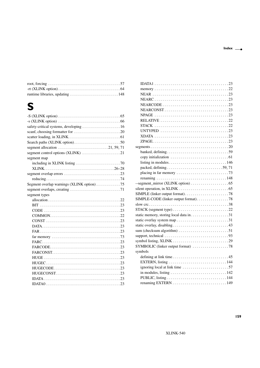$\bullet$ 

## **S**

| segment map                                                                        |
|------------------------------------------------------------------------------------|
| including in XLINK listing $\ldots \ldots \ldots \ldots \ldots \ldots \ldots$ . 70 |
|                                                                                    |
|                                                                                    |
|                                                                                    |
| Segment overlap warnings (XLINK option) 75                                         |
|                                                                                    |
| segment types                                                                      |
|                                                                                    |
|                                                                                    |
|                                                                                    |
|                                                                                    |
|                                                                                    |
|                                                                                    |
|                                                                                    |
|                                                                                    |
|                                                                                    |
|                                                                                    |
|                                                                                    |
|                                                                                    |
|                                                                                    |
|                                                                                    |
|                                                                                    |
|                                                                                    |
|                                                                                    |

| banked, defining. $\dots \dots \dots \dots \dots \dots \dots \dots \dots \dots \dots \dots 59$ |
|------------------------------------------------------------------------------------------------|
|                                                                                                |
|                                                                                                |
|                                                                                                |
|                                                                                                |
|                                                                                                |
|                                                                                                |
|                                                                                                |
|                                                                                                |
| SIMPLE-CODE (linker output format). 78                                                         |
|                                                                                                |
|                                                                                                |
|                                                                                                |
|                                                                                                |
|                                                                                                |
|                                                                                                |
| support, technical $\ldots \ldots \ldots \ldots \ldots \ldots \ldots \ldots \ldots$ . 93       |
|                                                                                                |
|                                                                                                |
| symbols                                                                                        |
|                                                                                                |
|                                                                                                |
|                                                                                                |
|                                                                                                |
|                                                                                                |
|                                                                                                |
|                                                                                                |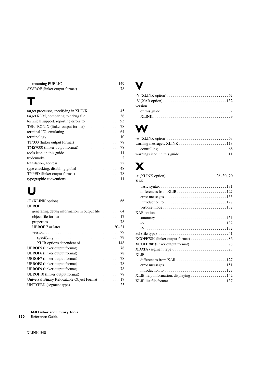## **T**

| target processor, specifying in XLINK 45                                                              |
|-------------------------------------------------------------------------------------------------------|
| target ROM, comparing to debug file 36                                                                |
|                                                                                                       |
|                                                                                                       |
|                                                                                                       |
| $terminology. \ldots \ldots \ldots \ldots \ldots \ldots \ldots \ldots \ldots \ldots \ldots \ldots 10$ |
|                                                                                                       |
|                                                                                                       |
|                                                                                                       |
|                                                                                                       |
|                                                                                                       |
| type checking, disabling global48                                                                     |
|                                                                                                       |
|                                                                                                       |

## **U**

| <b>UBROF</b>                                                                        |
|-------------------------------------------------------------------------------------|
| generating debug information in output file 64                                      |
|                                                                                     |
|                                                                                     |
|                                                                                     |
|                                                                                     |
|                                                                                     |
| XLIB options dependent of $\dots \dots \dots \dots \dots \dots \dots 148$           |
|                                                                                     |
|                                                                                     |
| UBROF7 (linker output format) $\ldots \ldots \ldots \ldots \ldots \ldots \ldots$ 78 |
|                                                                                     |
|                                                                                     |
|                                                                                     |
| Universal Binary Relocatable Object Format 17                                       |
|                                                                                     |

### **V**

| -V (XLINK option). $\ldots \ldots \ldots \ldots \ldots \ldots \ldots \ldots \ldots \ldots \ldots$   |  |
|-----------------------------------------------------------------------------------------------------|--|
| -V (XAR option). $\ldots \ldots \ldots \ldots \ldots \ldots \ldots \ldots \ldots \ldots \ldots 132$ |  |
| version                                                                                             |  |
|                                                                                                     |  |
|                                                                                                     |  |

### **W**

## **X**

| <b>XAR</b>                                                                                    |
|-----------------------------------------------------------------------------------------------|
|                                                                                               |
|                                                                                               |
|                                                                                               |
| introduction to $\dots \dots \dots \dots \dots \dots \dots \dots \dots \dots \dots \dots 127$ |
|                                                                                               |
| XAR options                                                                                   |
|                                                                                               |
|                                                                                               |
|                                                                                               |
|                                                                                               |
|                                                                                               |
|                                                                                               |
|                                                                                               |
| <b>XLIB</b>                                                                                   |
| differences from XAR 127                                                                      |
|                                                                                               |
| introduction to $\dots \dots \dots \dots \dots \dots \dots \dots \dots \dots \dots \dots 127$ |
| XLIB help information, displaying 142                                                         |
|                                                                                               |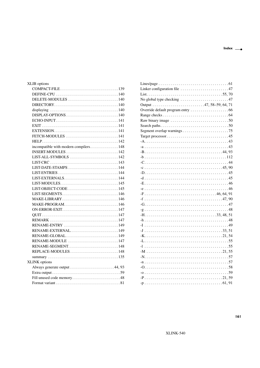| <b>XLIB</b> options                                                                           |
|-----------------------------------------------------------------------------------------------|
| COMPACT-FILE139                                                                               |
|                                                                                               |
|                                                                                               |
|                                                                                               |
| displaying $\ldots \ldots \ldots \ldots \ldots \ldots \ldots \ldots \ldots \ldots \ldots 140$ |
|                                                                                               |
|                                                                                               |
|                                                                                               |
|                                                                                               |
| FETCH-MODULES 141                                                                             |
|                                                                                               |
| incompatible with modern compilers148                                                         |
| INSERT-MODULES142                                                                             |
| LIST-ALL-SYMBOLS 142                                                                          |
|                                                                                               |
| $LIST-DATE-STAMPS$ 144                                                                        |
| $LIST-ENTRIES \ldots \ldots \ldots \ldots \ldots \ldots \ldots \ldots \ldots 144$             |
|                                                                                               |
|                                                                                               |
| LIST-OBJECT-CODE $\ldots \ldots \ldots \ldots \ldots \ldots \ldots 145$                       |
|                                                                                               |
| MAKE-LIBRARY146                                                                               |
| MAKE-PROGRAM146                                                                               |
| ON-ERROR-EXIT147                                                                              |
|                                                                                               |
|                                                                                               |
| $RENAME-ENTRY$ 149                                                                            |
| RENAME-EXTERNAL149                                                                            |
|                                                                                               |
|                                                                                               |
| $RENAME-SEGMENT$ 148                                                                          |
| REPLACE-MODULES148                                                                            |
|                                                                                               |
| <b>XLINK</b> options                                                                          |
|                                                                                               |
|                                                                                               |
| Fill unused code memory48                                                                     |
|                                                                                               |
|                                                                                               |

| Linker configuration file 47                                                                                |  |
|-------------------------------------------------------------------------------------------------------------|--|
|                                                                                                             |  |
| No global type checking 47                                                                                  |  |
|                                                                                                             |  |
|                                                                                                             |  |
|                                                                                                             |  |
|                                                                                                             |  |
|                                                                                                             |  |
|                                                                                                             |  |
|                                                                                                             |  |
|                                                                                                             |  |
|                                                                                                             |  |
|                                                                                                             |  |
|                                                                                                             |  |
| $-C.\dots\dots\dots\dots\dots\dots\dots\dots\dots\dots\dots\dots\dots\dots\dots$                            |  |
|                                                                                                             |  |
|                                                                                                             |  |
|                                                                                                             |  |
|                                                                                                             |  |
|                                                                                                             |  |
|                                                                                                             |  |
|                                                                                                             |  |
|                                                                                                             |  |
|                                                                                                             |  |
| $-H. \ldots \ldots \ldots \ldots \ldots \ldots \ldots \ldots \ldots \ldots \ldots \ldots \ldots 33, 48, 51$ |  |
|                                                                                                             |  |
|                                                                                                             |  |
|                                                                                                             |  |
|                                                                                                             |  |
|                                                                                                             |  |
|                                                                                                             |  |
|                                                                                                             |  |
|                                                                                                             |  |
|                                                                                                             |  |
|                                                                                                             |  |
|                                                                                                             |  |
|                                                                                                             |  |
|                                                                                                             |  |
|                                                                                                             |  |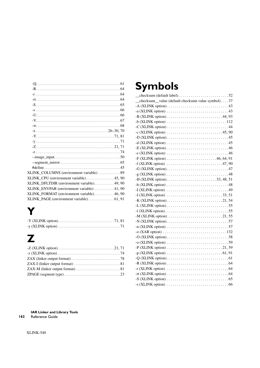| $-x \ldots \ldots \ldots \ldots \ldots \ldots \ldots \ldots \ldots \ldots \ldots \ldots \ldots 26-30, 70$ |
|-----------------------------------------------------------------------------------------------------------|
|                                                                                                           |
|                                                                                                           |
|                                                                                                           |
|                                                                                                           |
|                                                                                                           |
|                                                                                                           |
|                                                                                                           |
| XLINK_COLUMNS (environment variable) 89                                                                   |
| XLINK_CPU (environment variable)45,90                                                                     |
| XLINK_DFLTDIR (environment variable)49, 90                                                                |
| XLINK_ENVPAR (environment variable) 41, 90                                                                |
| XLINK FORMAT (environment variable)46, 90                                                                 |
|                                                                                                           |

## **Y**

## **Z**

## **Symbols**

| checksum value (default checksum value symbol)37                                                |
|-------------------------------------------------------------------------------------------------|
|                                                                                                 |
|                                                                                                 |
|                                                                                                 |
|                                                                                                 |
|                                                                                                 |
|                                                                                                 |
|                                                                                                 |
|                                                                                                 |
|                                                                                                 |
|                                                                                                 |
| $-F$ (XLINK option) $\ldots \ldots \ldots \ldots \ldots \ldots \ldots \ldots \ldots$ 46, 64, 91 |
|                                                                                                 |
|                                                                                                 |
|                                                                                                 |
|                                                                                                 |
|                                                                                                 |
|                                                                                                 |
|                                                                                                 |
|                                                                                                 |
|                                                                                                 |
|                                                                                                 |
| $-M$ (XLINK option) $\ldots \ldots \ldots \ldots \ldots \ldots \ldots \ldots \ldots \ldots$     |
|                                                                                                 |
|                                                                                                 |
|                                                                                                 |
|                                                                                                 |
|                                                                                                 |
|                                                                                                 |
|                                                                                                 |
|                                                                                                 |
|                                                                                                 |
|                                                                                                 |
|                                                                                                 |
|                                                                                                 |
|                                                                                                 |